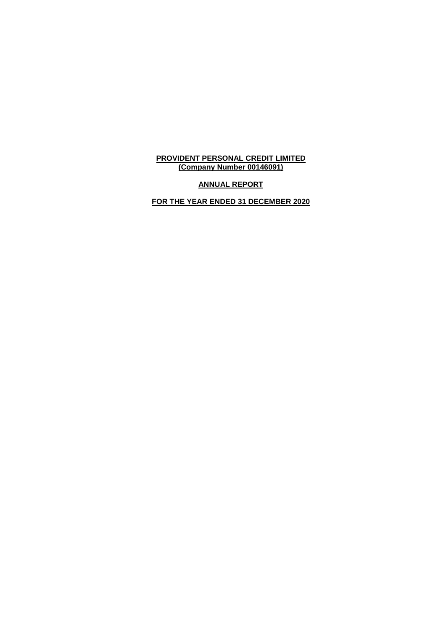**ANNUAL REPORT**

**FOR THE YEAR ENDED 31 DECEMBER 2020**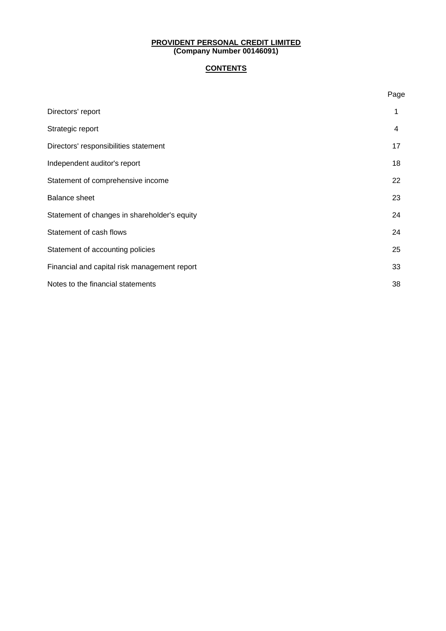# **CONTENTS**

|                                              | Page |
|----------------------------------------------|------|
| Directors' report                            | 1    |
| Strategic report                             | 4    |
| Directors' responsibilities statement        | 17   |
| Independent auditor's report                 | 18   |
| Statement of comprehensive income            | 22   |
| <b>Balance sheet</b>                         | 23   |
| Statement of changes in shareholder's equity | 24   |
| Statement of cash flows                      | 24   |
| Statement of accounting policies             | 25   |
| Financial and capital risk management report | 33   |
| Notes to the financial statements            | 38   |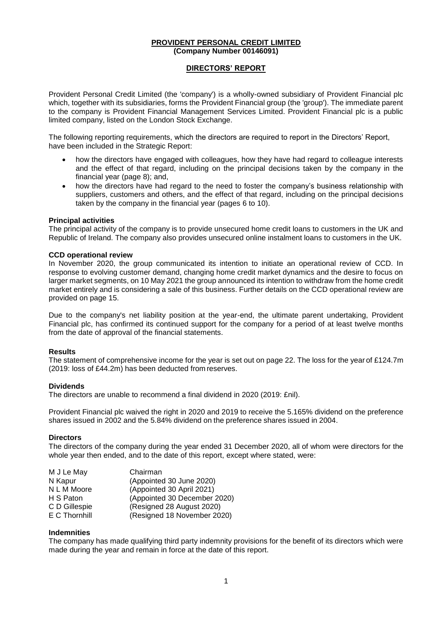### **DIRECTORS' REPORT**

Provident Personal Credit Limited (the 'company') is a wholly-owned subsidiary of Provident Financial plc which, together with its subsidiaries, forms the Provident Financial group (the 'group'). The immediate parent to the company is Provident Financial Management Services Limited. Provident Financial plc is a public limited company, listed on the London Stock Exchange.

The following reporting requirements, which the directors are required to report in the Directors' Report, have been included in the Strategic Report:

- how the directors have engaged with colleagues, how they have had regard to colleague interests and the effect of that regard, including on the principal decisions taken by the company in the financial year (page 8); and,
- how the directors have had regard to the need to foster the company's business relationship with suppliers, customers and others, and the effect of that regard, including on the principal decisions taken by the company in the financial year (pages 6 to 10).

#### **Principal activities**

The principal activity of the company is to provide unsecured home credit loans to customers in the UK and Republic of Ireland. The company also provides unsecured online instalment loans to customers in the UK.

#### **CCD operational review**

In November 2020, the group communicated its intention to initiate an operational review of CCD. In response to evolving customer demand, changing home credit market dynamics and the desire to focus on larger market segments, on 10 May 2021 the group announced its intention to withdraw from the home credit market entirely and is considering a sale of this business. Further details on the CCD operational review are provided on page 15.

Due to the company's net liability position at the year-end, the ultimate parent undertaking, Provident Financial plc, has confirmed its continued support for the company for a period of at least twelve months from the date of approval of the financial statements.

#### **Results**

The statement of comprehensive income for the year is set out on page 22. The loss for the year of £124.7m (2019: loss of £44.2m) has been deducted from reserves.

#### **Dividends**

The directors are unable to recommend a final dividend in 2020 (2019: £nil).

Provident Financial plc waived the right in 2020 and 2019 to receive the 5.165% dividend on the preference shares issued in 2002 and the 5.84% dividend on the preference shares issued in 2004.

#### **Directors**

The directors of the company during the year ended 31 December 2020, all of whom were directors for the whole year then ended, and to the date of this report, except where stated, were:

| M J Le May    | Chairman                     |
|---------------|------------------------------|
| N Kapur       | (Appointed 30 June 2020)     |
| N L M Moore   | (Appointed 30 April 2021)    |
| H S Paton     | (Appointed 30 December 2020) |
| C D Gillespie | (Resigned 28 August 2020)    |
| E C Thornhill | (Resigned 18 November 2020)  |

#### **Indemnities**

The company has made qualifying third party indemnity provisions for the benefit of its directors which were made during the year and remain in force at the date of this report.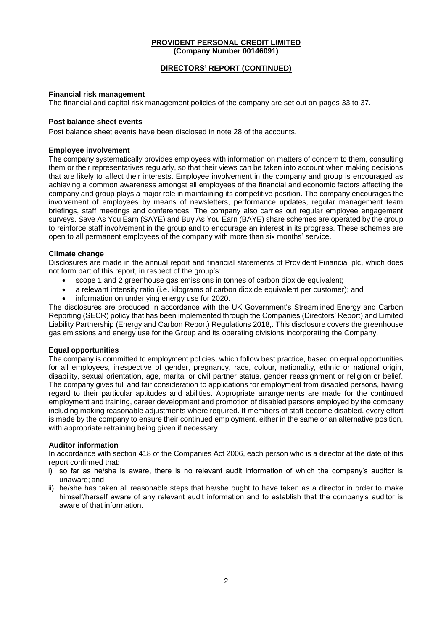### **DIRECTORS' REPORT (CONTINUED)**

### **Financial risk management**

The financial and capital risk management policies of the company are set out on pages 33 to 37.

### **Post balance sheet events**

Post balance sheet events have been disclosed in note 28 of the accounts.

### **Employee involvement**

The company systematically provides employees with information on matters of concern to them, consulting them or their representatives regularly, so that their views can be taken into account when making decisions that are likely to affect their interests. Employee involvement in the company and group is encouraged as achieving a common awareness amongst all employees of the financial and economic factors affecting the company and group plays a major role in maintaining its competitive position. The company encourages the involvement of employees by means of newsletters, performance updates, regular management team briefings, staff meetings and conferences. The company also carries out regular employee engagement surveys. Save As You Earn (SAYE) and Buy As You Earn (BAYE) share schemes are operated by the group to reinforce staff involvement in the group and to encourage an interest in its progress. These schemes are open to all permanent employees of the company with more than six months' service.

### **Climate change**

Disclosures are made in the annual report and financial statements of Provident Financial plc, which does not form part of this report, in respect of the group's:

- scope 1 and 2 greenhouse gas emissions in tonnes of carbon dioxide equivalent;
- a relevant intensity ratio (i.e. kilograms of carbon dioxide equivalent per customer); and
- information on underlying energy use for 2020.

The disclosures are produced In accordance with the UK Government's Streamlined Energy and Carbon Reporting (SECR) policy that has been implemented through the Companies (Directors' Report) and Limited Liability Partnership (Energy and Carbon Report) Regulations 2018,. This disclosure covers the greenhouse gas emissions and energy use for the Group and its operating divisions incorporating the Company.

### **Equal opportunities**

The company is committed to employment policies, which follow best practice, based on equal opportunities for all employees, irrespective of gender, pregnancy, race, colour, nationality, ethnic or national origin, disability, sexual orientation, age, marital or civil partner status, gender reassignment or religion or belief. The company gives full and fair consideration to applications for employment from disabled persons, having regard to their particular aptitudes and abilities. Appropriate arrangements are made for the continued employment and training, career development and promotion of disabled persons employed by the company including making reasonable adjustments where required. If members of staff become disabled, every effort is made by the company to ensure their continued employment, either in the same or an alternative position, with appropriate retraining being given if necessary.

#### **Auditor information**

In accordance with section 418 of the Companies Act 2006, each person who is a director at the date of this report confirmed that:

- i) so far as he/she is aware, there is no relevant audit information of which the company's auditor is unaware; and
- ii) he/she has taken all reasonable steps that he/she ought to have taken as a director in order to make himself/herself aware of any relevant audit information and to establish that the company's auditor is aware of that information.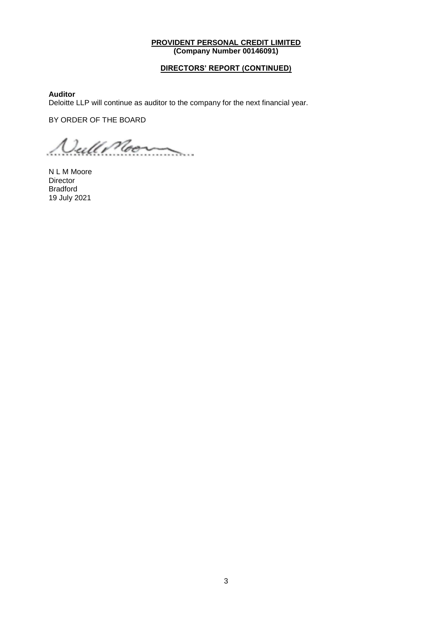### **DIRECTORS' REPORT (CONTINUED)**

**Auditor**

Deloitte LLP will continue as auditor to the company for the next financial year.

BY ORDER OF THE BOARD

*<u>Nullimon*</u>

N L M Moore Director Bradford 19 July 2021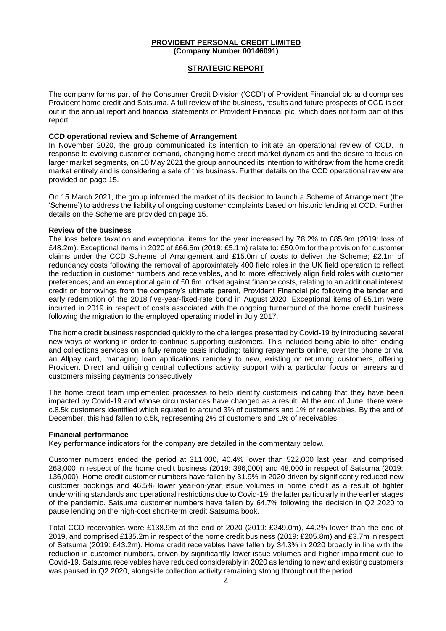### **STRATEGIC REPORT**

The company forms part of the Consumer Credit Division ('CCD') of Provident Financial plc and comprises Provident home credit and Satsuma. A full review of the business, results and future prospects of CCD is set out in the annual report and financial statements of Provident Financial plc, which does not form part of this report.

#### **CCD operational review and Scheme of Arrangement**

In November 2020, the group communicated its intention to initiate an operational review of CCD. In response to evolving customer demand, changing home credit market dynamics and the desire to focus on larger market segments, on 10 May 2021 the group announced its intention to withdraw from the home credit market entirely and is considering a sale of this business. Further details on the CCD operational review are provided on page 15.

On 15 March 2021, the group informed the market of its decision to launch a Scheme of Arrangement (the 'Scheme') to address the liability of ongoing customer complaints based on historic lending at CCD. Further details on the Scheme are provided on page 15.

#### **Review of the business**

The loss before taxation and exceptional items for the year increased by 78.2% to £85.9m (2019: loss of £48.2m). Exceptional items in 2020 of £66.5m (2019: £5.1m) relate to: £50.0m for the provision for customer claims under the CCD Scheme of Arrangement and £15.0m of costs to deliver the Scheme; £2.1m of redundancy costs following the removal of approximately 400 field roles in the UK field operation to reflect the reduction in customer numbers and receivables, and to more effectively align field roles with customer preferences; and an exceptional gain of £0.6m, offset against finance costs, relating to an additional interest credit on borrowings from the company's ultimate parent, Provident Financial plc following the tender and early redemption of the 2018 five-year-fixed-rate bond in August 2020. Exceptional items of £5.1m were incurred in 2019 in respect of costs associated with the ongoing turnaround of the home credit business following the migration to the employed operating model in July 2017.

The home credit business responded quickly to the challenges presented by Covid-19 by introducing several new ways of working in order to continue supporting customers. This included being able to offer lending and collections services on a fully remote basis including: taking repayments online, over the phone or via an Allpay card, managing loan applications remotely to new, existing or returning customers, offering Provident Direct and utilising central collections activity support with a particular focus on arrears and customers missing payments consecutively.

The home credit team implemented processes to help identify customers indicating that they have been impacted by Covid-19 and whose circumstances have changed as a result. At the end of June, there were c.8.5k customers identified which equated to around 3% of customers and 1% of receivables. By the end of December, this had fallen to c.5k, representing 2% of customers and 1% of receivables.

#### **Financial performance**

Key performance indicators for the company are detailed in the commentary below.

Customer numbers ended the period at 311,000, 40.4% lower than 522,000 last year, and comprised 263,000 in respect of the home credit business (2019: 386,000) and 48,000 in respect of Satsuma (2019: 136,000). Home credit customer numbers have fallen by 31.9% in 2020 driven by significantly reduced new customer bookings and 46.5% lower year-on-year issue volumes in home credit as a result of tighter underwriting standards and operational restrictions due to Covid-19, the latter particularly in the earlier stages of the pandemic. Satsuma customer numbers have fallen by 64.7% following the decision in Q2 2020 to pause lending on the high-cost short-term credit Satsuma book.

Total CCD receivables were £138.9m at the end of 2020 (2019: £249.0m), 44.2% lower than the end of 2019, and comprised £135.2m in respect of the home credit business (2019: £205.8m) and £3.7m in respect of Satsuma (2019: £43.2m). Home credit receivables have fallen by 34.3% in 2020 broadly in line with the reduction in customer numbers, driven by significantly lower issue volumes and higher impairment due to Covid-19. Satsuma receivables have reduced considerably in 2020 as lending to new and existing customers was paused in Q2 2020, alongside collection activity remaining strong throughout the period.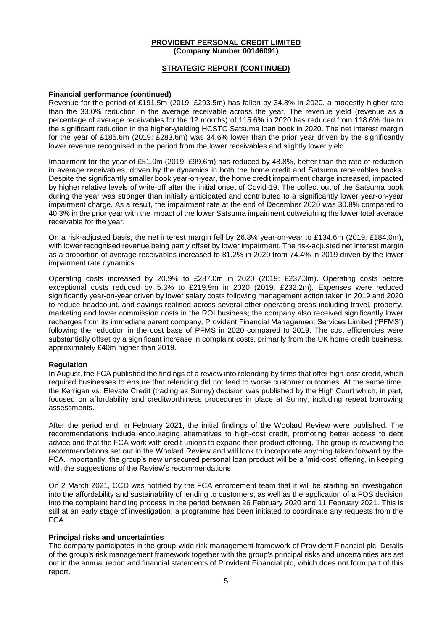### **STRATEGIC REPORT (CONTINUED)**

#### **Financial performance (continued)**

Revenue for the period of £191.5m (2019: £293.5m) has fallen by 34.8% in 2020, a modestly higher rate than the 33.0% reduction in the average receivable across the year. The revenue yield (revenue as a percentage of average receivables for the 12 months) of 115.6% in 2020 has reduced from 118.6% due to the significant reduction in the higher-yielding HCSTC Satsuma loan book in 2020. The net interest margin for the year of £185.6m (2019: £283.6m) was 34.6% lower than the prior year driven by the significantly lower revenue recognised in the period from the lower receivables and slightly lower yield.

Impairment for the year of £51.0m (2019: £99.6m) has reduced by 48.8%, better than the rate of reduction in average receivables, driven by the dynamics in both the home credit and Satsuma receivables books. Despite the significantly smaller book year-on-year, the home credit impairment charge increased, impacted by higher relative levels of write-off after the initial onset of Covid-19. The collect out of the Satsuma book during the year was stronger than initially anticipated and contributed to a significantly lower year-on-year impairment charge. As a result, the impairment rate at the end of December 2020 was 30.8% compared to 40.3% in the prior year with the impact of the lower Satsuma impairment outweighing the lower total average receivable for the year.

On a risk-adjusted basis, the net interest margin fell by 26.8% year-on-year to £134.6m (2019: £184.0m), with lower recognised revenue being partly offset by lower impairment. The risk-adjusted net interest margin as a proportion of average receivables increased to 81.2% in 2020 from 74.4% in 2019 driven by the lower impairment rate dynamics.

Operating costs increased by 20.9% to £287.0m in 2020 (2019: £237.3m). Operating costs before exceptional costs reduced by 5.3% to £219.9m in 2020 (2019: £232.2m). Expenses were reduced significantly year-on-year driven by lower salary costs following management action taken in 2019 and 2020 to reduce headcount, and savings realised across several other operating areas including travel, property, marketing and lower commission costs in the ROI business; the company also received significantly lower recharges from its immediate parent company, Provident Financial Management Services Limited ('PFMS') following the reduction in the cost base of PFMS in 2020 compared to 2019. The cost efficiencies were substantially offset by a significant increase in complaint costs, primarily from the UK home credit business, approximately £40m higher than 2019.

#### **Regulation**

In August, the FCA published the findings of a review into relending by firms that offer high-cost credit, which required businesses to ensure that relending did not lead to worse customer outcomes. At the same time, the Kerrigan vs. Elevate Credit (trading as Sunny) decision was published by the High Court which, in part, focused on affordability and creditworthiness procedures in place at Sunny, including repeat borrowing assessments.

After the period end, in February 2021, the initial findings of the Woolard Review were published. The recommendations include encouraging alternatives to high-cost credit, promoting better access to debt advice and that the FCA work with credit unions to expand their product offering. The group is reviewing the recommendations set out in the Woolard Review and will look to incorporate anything taken forward by the FCA. Importantly, the group's new unsecured personal loan product will be a 'mid-cost' offering, in keeping with the suggestions of the Review's recommendations.

On 2 March 2021, CCD was notified by the FCA enforcement team that it will be starting an investigation into the affordability and sustainability of lending to customers, as well as the application of a FOS decision into the complaint handling process in the period between 26 February 2020 and 11 February 2021. This is still at an early stage of investigation; a programme has been initiated to coordinate any requests from the FCA.

### **Principal risks and uncertainties**

The company participates in the group-wide risk management framework of Provident Financial plc. Details of the group's risk management framework together with the group's principal risks and uncertainties are set out in the annual report and financial statements of Provident Financial plc, which does not form part of this report.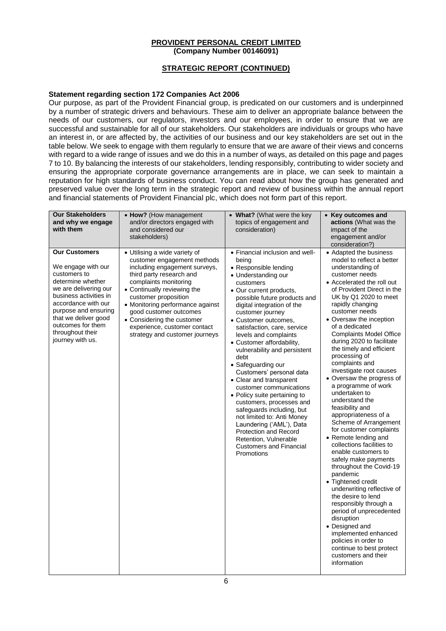# **STRATEGIC REPORT (CONTINUED)**

### **Statement regarding section 172 Companies Act 2006**

Our purpose, as part of the Provident Financial group, is predicated on our customers and is underpinned by a number of strategic drivers and behaviours. These aim to deliver an appropriate balance between the needs of our customers, our regulators, investors and our employees, in order to ensure that we are successful and sustainable for all of our stakeholders. Our stakeholders are individuals or groups who have an interest in, or are affected by, the activities of our business and our key stakeholders are set out in the table below. We seek to engage with them regularly to ensure that we are aware of their views and concerns with regard to a wide range of issues and we do this in a number of ways, as detailed on this page and pages 7 to 10. By balancing the interests of our stakeholders, lending responsibly, contributing to wider society and ensuring the appropriate corporate governance arrangements are in place, we can seek to maintain a reputation for high standards of business conduct. You can read about how the group has generated and preserved value over the long term in the strategic report and review of business within the annual report and financial statements of Provident Financial plc, which does not form part of this report.

| <b>Our Stakeholders</b><br>and why we engage<br>with them                                                                                                                                                                                                              | • How? (How management<br>and/or directors engaged with<br>and considered our<br>stakeholders)                                                                                                                                                                                                                                                                          | • What? (What were the key<br>topics of engagement and<br>consideration)                                                                                                                                                                                                                                                                                                                                                                                                                                                                                                                                                                                                                                                             | • Key outcomes and<br>actions (What was the<br>impact of the<br>engagement and/or<br>consideration?)                                                                                                                                                                                                                                                                                                                                                                                                                                                                                                                                                                                                                                                                                                                                                                                                                                                                                                                                        |
|------------------------------------------------------------------------------------------------------------------------------------------------------------------------------------------------------------------------------------------------------------------------|-------------------------------------------------------------------------------------------------------------------------------------------------------------------------------------------------------------------------------------------------------------------------------------------------------------------------------------------------------------------------|--------------------------------------------------------------------------------------------------------------------------------------------------------------------------------------------------------------------------------------------------------------------------------------------------------------------------------------------------------------------------------------------------------------------------------------------------------------------------------------------------------------------------------------------------------------------------------------------------------------------------------------------------------------------------------------------------------------------------------------|---------------------------------------------------------------------------------------------------------------------------------------------------------------------------------------------------------------------------------------------------------------------------------------------------------------------------------------------------------------------------------------------------------------------------------------------------------------------------------------------------------------------------------------------------------------------------------------------------------------------------------------------------------------------------------------------------------------------------------------------------------------------------------------------------------------------------------------------------------------------------------------------------------------------------------------------------------------------------------------------------------------------------------------------|
| <b>Our Customers</b><br>We engage with our<br>customers to<br>determine whether<br>we are delivering our<br>business activities in<br>accordance with our<br>purpose and ensuring<br>that we deliver good<br>outcomes for them<br>throughout their<br>journey with us. | · Utilising a wide variety of<br>customer engagement methods<br>including engagement surveys,<br>third party research and<br>complaints monitoring<br>• Continually reviewing the<br>customer proposition<br>• Monitoring performance against<br>good customer outcomes<br>• Considering the customer<br>experience, customer contact<br>strategy and customer journeys | • Financial inclusion and well-<br>being<br>• Responsible lending<br>• Understanding our<br>customers<br>• Our current products,<br>possible future products and<br>digital integration of the<br>customer journey<br>• Customer outcomes.<br>satisfaction, care, service<br>levels and complaints<br>• Customer affordability,<br>vulnerability and persistent<br>debt<br>• Safeguarding our<br>Customers' personal data<br>• Clear and transparent<br>customer communications<br>• Policy suite pertaining to<br>customers, processes and<br>safeguards including, but<br>not limited to: Anti Money<br>Laundering ('AML'), Data<br>Protection and Record<br>Retention, Vulnerable<br><b>Customers and Financial</b><br>Promotions | • Adapted the business<br>model to reflect a better<br>understanding of<br>customer needs<br>• Accelerated the roll out<br>of Provident Direct in the<br>UK by Q1 2020 to meet<br>rapidly changing<br>customer needs<br>• Oversaw the inception<br>of a dedicated<br><b>Complaints Model Office</b><br>during 2020 to facilitate<br>the timely and efficient<br>processing of<br>complaints and<br>investigate root causes<br>• Oversaw the progress of<br>a programme of work<br>undertaken to<br>understand the<br>feasibility and<br>appropriateness of a<br>Scheme of Arrangement<br>for customer complaints<br>• Remote lending and<br>collections facilities to<br>enable customers to<br>safely make payments<br>throughout the Covid-19<br>pandemic<br>• Tightened credit<br>underwriting reflective of<br>the desire to lend<br>responsibly through a<br>period of unprecedented<br>disruption<br>• Designed and<br>implemented enhanced<br>policies in order to<br>continue to best protect<br>customers and their<br>information |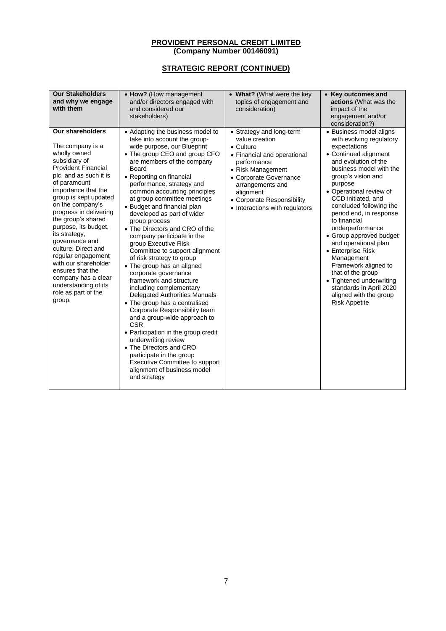| <b>Our Stakeholders</b><br>and why we engage<br>with them                                                                                                                                                                                                                                                                                                                                                                                                                                             | • How? (How management<br>and/or directors engaged with<br>and considered our<br>stakeholders)                                                                                                                                                                                                                                                                                                                                                                                                                                                                                                                                                                                                                                                                                                                                                                                                                                                                                                          | • What? (What were the key<br>topics of engagement and<br>consideration)                                                                                                                                                                                      | • Key outcomes and<br>actions (What was the<br>impact of the<br>engagement and/or<br>consideration?)                                                                                                                                                                                                                                                                                                                                                                                                                                                                    |
|-------------------------------------------------------------------------------------------------------------------------------------------------------------------------------------------------------------------------------------------------------------------------------------------------------------------------------------------------------------------------------------------------------------------------------------------------------------------------------------------------------|---------------------------------------------------------------------------------------------------------------------------------------------------------------------------------------------------------------------------------------------------------------------------------------------------------------------------------------------------------------------------------------------------------------------------------------------------------------------------------------------------------------------------------------------------------------------------------------------------------------------------------------------------------------------------------------------------------------------------------------------------------------------------------------------------------------------------------------------------------------------------------------------------------------------------------------------------------------------------------------------------------|---------------------------------------------------------------------------------------------------------------------------------------------------------------------------------------------------------------------------------------------------------------|-------------------------------------------------------------------------------------------------------------------------------------------------------------------------------------------------------------------------------------------------------------------------------------------------------------------------------------------------------------------------------------------------------------------------------------------------------------------------------------------------------------------------------------------------------------------------|
| Our shareholders<br>The company is a<br>wholly owned<br>subsidiary of<br><b>Provident Financial</b><br>plc, and as such it is<br>of paramount<br>importance that the<br>group is kept updated<br>on the company's<br>progress in delivering<br>the group's shared<br>purpose, its budget,<br>its strategy,<br>governance and<br>culture. Direct and<br>regular engagement<br>with our shareholder<br>ensures that the<br>company has a clear<br>understanding of its<br>role as part of the<br>group. | • Adapting the business model to<br>take into account the group-<br>wide purpose, our Blueprint<br>• The group CEO and group CFO<br>are members of the company<br>Board<br>• Reporting on financial<br>performance, strategy and<br>common accounting principles<br>at group committee meetings<br>• Budget and financial plan<br>developed as part of wider<br>group process<br>• The Directors and CRO of the<br>company participate in the<br>group Executive Risk<br>Committee to support alignment<br>of risk strategy to group<br>• The group has an aligned<br>corporate governance<br>framework and structure<br>including complementary<br>Delegated Authorities Manuals<br>• The group has a centralised<br>Corporate Responsibility team<br>and a group-wide approach to<br><b>CSR</b><br>• Participation in the group credit<br>underwriting review<br>• The Directors and CRO<br>participate in the group<br>Executive Committee to support<br>alignment of business model<br>and strategy | • Strategy and long-term<br>value creation<br>$\bullet$ Culture<br>• Financial and operational<br>performance<br>• Risk Management<br>• Corporate Governance<br>arrangements and<br>alignment<br>• Corporate Responsibility<br>• Interactions with regulators | • Business model aligns<br>with evolving regulatory<br>expectations<br>• Continued alignment<br>and evolution of the<br>business model with the<br>group's vision and<br>purpose<br>• Operational review of<br>CCD initiated, and<br>concluded following the<br>period end, in response<br>to financial<br>underperformance<br>• Group approved budget<br>and operational plan<br>• Enterprise Risk<br>Management<br>Framework aligned to<br>that of the group<br>• Tightened underwriting<br>standards in April 2020<br>aligned with the group<br><b>Risk Appetite</b> |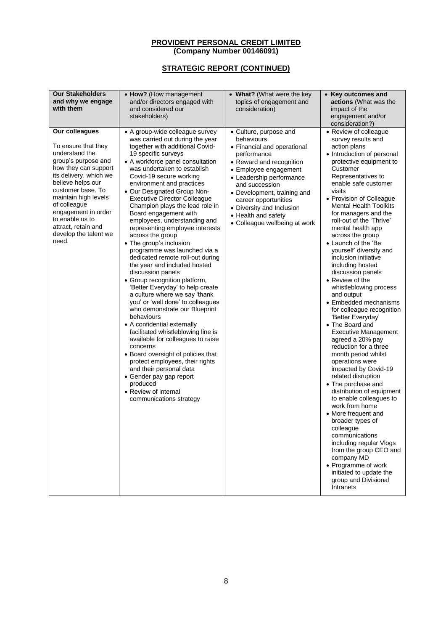| <b>Our Stakeholders</b><br>and why we engage<br>and/or directors engaged with<br>topics of engagement and<br>actions (What was the<br>with them<br>and considered our<br>consideration)<br>impact of the<br>stakeholders)<br>engagement and/or<br>consideration?)                                                                                                                                                                                                                                                                                                                                                                                                                                                                                                                                                                                                                                                                                                                                                                                                                                                                                                                                                                                                                                                                                                                                                                                                                                                                                                                                                                                                                                                                                                                                                                                                                                                                                                                                                                                                                                                                                                                                                                                                                                                                                                                                                                                                                                                                                                                                                                                                     | • How? (How management | • What? (What were the key | • Key outcomes and                                                                                                                                                                                                                                                                |
|-----------------------------------------------------------------------------------------------------------------------------------------------------------------------------------------------------------------------------------------------------------------------------------------------------------------------------------------------------------------------------------------------------------------------------------------------------------------------------------------------------------------------------------------------------------------------------------------------------------------------------------------------------------------------------------------------------------------------------------------------------------------------------------------------------------------------------------------------------------------------------------------------------------------------------------------------------------------------------------------------------------------------------------------------------------------------------------------------------------------------------------------------------------------------------------------------------------------------------------------------------------------------------------------------------------------------------------------------------------------------------------------------------------------------------------------------------------------------------------------------------------------------------------------------------------------------------------------------------------------------------------------------------------------------------------------------------------------------------------------------------------------------------------------------------------------------------------------------------------------------------------------------------------------------------------------------------------------------------------------------------------------------------------------------------------------------------------------------------------------------------------------------------------------------------------------------------------------------------------------------------------------------------------------------------------------------------------------------------------------------------------------------------------------------------------------------------------------------------------------------------------------------------------------------------------------------------------------------------------------------------------------------------------------------|------------------------|----------------------------|-----------------------------------------------------------------------------------------------------------------------------------------------------------------------------------------------------------------------------------------------------------------------------------|
| Our colleagues<br>• A group-wide colleague survey<br>• Review of colleague<br>• Culture, purpose and<br>was carried out during the year<br>behaviours<br>survey results and<br>To ensure that they<br>together with additional Covid-<br>action plans<br>• Financial and operational<br>understand the<br>19 specific surveys<br>performance<br>group's purpose and<br>• A workforce panel consultation<br>• Reward and recognition<br>how they can support<br>was undertaken to establish<br>Customer<br>• Employee engagement<br>its delivery, which we<br>Covid-19 secure working<br>Representatives to<br>• Leadership performance<br>believe helps our<br>enable safe customer<br>environment and practices<br>and succession<br>customer base. To<br>visits<br>• Our Designated Group Non-<br>• Development, training and<br>maintain high levels<br><b>Executive Director Colleague</b><br>• Provision of Colleague<br>career opportunities<br>of colleague<br>Champion plays the lead role in<br><b>Mental Health Toolkits</b><br>• Diversity and Inclusion<br>engagement in order<br>Board engagement with<br>for managers and the<br>• Health and safety<br>to enable us to<br>roll-out of the 'Thrive'<br>employees, understanding and<br>• Colleague wellbeing at work<br>attract, retain and<br>representing employee interests<br>mental health app<br>develop the talent we<br>across the group<br>across the group<br>need.<br>• The group's inclusion<br>• Launch of the 'Be<br>programme was launched via a<br>yourself' diversity and<br>dedicated remote roll-out during<br>inclusion initiative<br>the year and included hosted<br>including hosted<br>discussion panels<br>discussion panels<br>• Review of the<br>• Group recognition platform,<br>'Better Everyday' to help create<br>a culture where we say 'thank<br>and output<br>you' or 'well done' to colleagues<br>who demonstrate our Blueprint<br>behaviours<br>'Better Everyday'<br>• A confidential externally<br>• The Board and<br>facilitated whistleblowing line is<br>available for colleagues to raise<br>agreed a 20% pay<br>reduction for a three<br>concerns<br>• Board oversight of policies that<br>month period whilst<br>protect employees, their rights<br>operations were<br>and their personal data<br>impacted by Covid-19<br>related disruption<br>• Gender pay gap report<br>produced<br>• The purchase and<br>• Review of internal<br>communications strategy<br>work from home<br>• More frequent and<br>broader types of<br>colleague<br>communications<br>company MD<br>• Programme of work<br>initiated to update the<br>group and Divisional<br>Intranets |                        |                            | • Introduction of personal<br>protective equipment to<br>whistleblowing process<br>• Embedded mechanisms<br>for colleague recognition<br><b>Executive Management</b><br>distribution of equipment<br>to enable colleagues to<br>including regular Vlogs<br>from the group CEO and |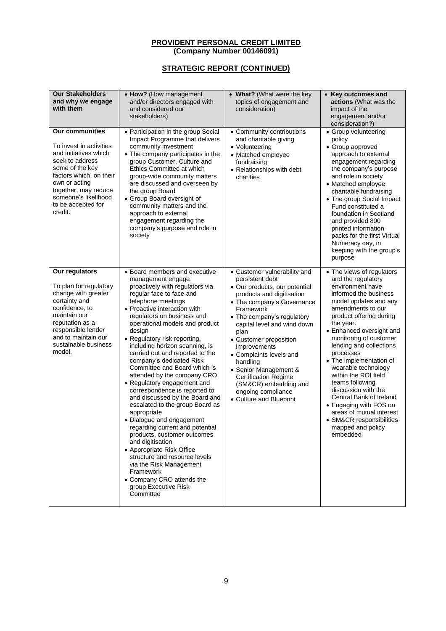| <b>Our Stakeholders</b><br>and why we engage<br>with them                                                                                                                                                                                     | • How? (How management<br>and/or directors engaged with<br>and considered our<br>stakeholders)                                                                                                                                                                                                                                                                                                                                                                                                                                                                                                                                                                                                                                                                                                                                                                                                   | • What? (What were the key<br>topics of engagement and<br>consideration)                                                                                                                                                                                                                                                                                                                                                                         | • Key outcomes and<br>actions (What was the<br>impact of the<br>engagement and/or<br>consideration?)                                                                                                                                                                                                                                                                                                                                                                                                                                               |
|-----------------------------------------------------------------------------------------------------------------------------------------------------------------------------------------------------------------------------------------------|--------------------------------------------------------------------------------------------------------------------------------------------------------------------------------------------------------------------------------------------------------------------------------------------------------------------------------------------------------------------------------------------------------------------------------------------------------------------------------------------------------------------------------------------------------------------------------------------------------------------------------------------------------------------------------------------------------------------------------------------------------------------------------------------------------------------------------------------------------------------------------------------------|--------------------------------------------------------------------------------------------------------------------------------------------------------------------------------------------------------------------------------------------------------------------------------------------------------------------------------------------------------------------------------------------------------------------------------------------------|----------------------------------------------------------------------------------------------------------------------------------------------------------------------------------------------------------------------------------------------------------------------------------------------------------------------------------------------------------------------------------------------------------------------------------------------------------------------------------------------------------------------------------------------------|
| <b>Our communities</b><br>To invest in activities<br>and initiatives which<br>seek to address<br>some of the key<br>factors which, on their<br>own or acting<br>together, may reduce<br>someone's likelihood<br>to be accepted for<br>credit. | • Participation in the group Social<br>Impact Programme that delivers<br>community investment<br>• The company participates in the<br>group Customer, Culture and<br>Ethics Committee at which<br>group-wide community matters<br>are discussed and overseen by<br>the group Board<br>• Group Board oversight of<br>community matters and the<br>approach to external<br>engagement regarding the<br>company's purpose and role in<br>society                                                                                                                                                                                                                                                                                                                                                                                                                                                    | • Community contributions<br>and charitable giving<br>• Volunteering<br>• Matched employee<br>fundraising<br>• Relationships with debt<br>charities                                                                                                                                                                                                                                                                                              | • Group volunteering<br>policy<br>• Group approved<br>approach to external<br>engagement regarding<br>the company's purpose<br>and role in society<br>• Matched employee<br>charitable fundraising<br>• The group Social Impact<br>Fund constituted a<br>foundation in Scotland<br>and provided 800<br>printed information<br>packs for the first Virtual<br>Numeracy day, in<br>keeping with the group's<br>purpose                                                                                                                               |
| Our regulators<br>To plan for regulatory<br>change with greater<br>certainty and<br>confidence, to<br>maintain our<br>reputation as a<br>responsible lender<br>and to maintain our<br>sustainable business<br>model.                          | • Board members and executive<br>management engage<br>proactively with regulators via<br>regular face to face and<br>telephone meetings<br>• Proactive interaction with<br>regulators on business and<br>operational models and product<br>design<br>• Regulatory risk reporting,<br>including horizon scanning, is<br>carried out and reported to the<br>company's dedicated Risk<br>Committee and Board which is<br>attended by the company CRO<br>• Regulatory engagement and<br>correspondence is reported to<br>and discussed by the Board and<br>escalated to the group Board as<br>appropriate<br>• Dialogue and engagement<br>regarding current and potential<br>products, customer outcomes<br>and digitisation<br>• Appropriate Risk Office<br>structure and resource levels<br>via the Risk Management<br>Framework<br>• Company CRO attends the<br>group Executive Risk<br>Committee | • Customer vulnerability and<br>persistent debt<br>· Our products, our potential<br>products and digitisation<br>• The company's Governance<br>Framework<br>• The company's regulatory<br>capital level and wind down<br>plan<br>• Customer proposition<br>improvements<br>• Complaints levels and<br>handling<br>• Senior Management &<br><b>Certification Regime</b><br>(SM&CR) embedding and<br>ongoing compliance<br>• Culture and Blueprint | • The views of regulators<br>and the regulatory<br>environment have<br>informed the business<br>model updates and any<br>amendments to our<br>product offering during<br>the year.<br>• Enhanced oversight and<br>monitoring of customer<br>lending and collections<br>processes<br>• The implementation of<br>wearable technology<br>within the ROI field<br>teams following<br>discussion with the<br>Central Bank of Ireland<br>• Engaging with FOS on<br>areas of mutual interest<br>• SM&CR responsibilities<br>mapped and policy<br>embedded |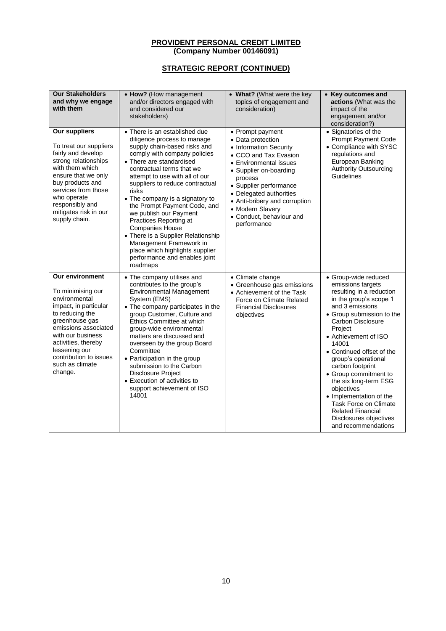| <b>Our Stakeholders</b><br>and why we engage<br>with them                                                                                                                                                                                                        | • How? (How management<br>and/or directors engaged with<br>and considered our<br>stakeholders)                                                                                                                                                                                                                                                                                                                                                                                                                                                                        | • What? (What were the key<br>topics of engagement and<br>consideration)                                                                                                                                                                                                                                     | • Key outcomes and<br>actions (What was the<br>impact of the<br>engagement and/or<br>consideration?)                                                                                                                                                                                                                                                                                                                                                                                             |
|------------------------------------------------------------------------------------------------------------------------------------------------------------------------------------------------------------------------------------------------------------------|-----------------------------------------------------------------------------------------------------------------------------------------------------------------------------------------------------------------------------------------------------------------------------------------------------------------------------------------------------------------------------------------------------------------------------------------------------------------------------------------------------------------------------------------------------------------------|--------------------------------------------------------------------------------------------------------------------------------------------------------------------------------------------------------------------------------------------------------------------------------------------------------------|--------------------------------------------------------------------------------------------------------------------------------------------------------------------------------------------------------------------------------------------------------------------------------------------------------------------------------------------------------------------------------------------------------------------------------------------------------------------------------------------------|
| Our suppliers<br>To treat our suppliers<br>fairly and develop<br>strong relationships<br>with them which<br>ensure that we only<br>buy products and<br>services from those<br>who operate<br>responsibly and<br>mitigates risk in our<br>supply chain.           | • There is an established due<br>diligence process to manage<br>supply chain-based risks and<br>comply with company policies<br>• There are standardised<br>contractual terms that we<br>attempt to use with all of our<br>suppliers to reduce contractual<br>risks<br>• The company is a signatory to<br>the Prompt Payment Code, and<br>we publish our Payment<br>Practices Reporting at<br><b>Companies House</b><br>• There is a Supplier Relationship<br>Management Framework in<br>place which highlights supplier<br>performance and enables joint<br>roadmaps | • Prompt payment<br>• Data protection<br>• Information Security<br>• CCO and Tax Evasion<br>• Environmental issues<br>• Supplier on-boarding<br>process<br>· Supplier performance<br>• Delegated authorities<br>• Anti-bribery and corruption<br>• Modern Slavery<br>• Conduct, behaviour and<br>performance | • Signatories of the<br><b>Prompt Payment Code</b><br>• Compliance with SYSC<br>regulations and<br>European Banking<br><b>Authority Outsourcing</b><br>Guidelines                                                                                                                                                                                                                                                                                                                                |
| Our environment<br>To minimising our<br>environmental<br>impact, in particular<br>to reducing the<br>greenhouse gas<br>emissions associated<br>with our business<br>activities, thereby<br>lessening our<br>contribution to issues<br>such as climate<br>change. | • The company utilises and<br>contributes to the group's<br><b>Environmental Management</b><br>System (EMS)<br>• The company participates in the<br>group Customer, Culture and<br>Ethics Committee at which<br>group-wide environmental<br>matters are discussed and<br>overseen by the group Board<br>Committee<br>• Participation in the group<br>submission to the Carbon<br>Disclosure Project<br>• Execution of activities to<br>support achievement of ISO<br>14001                                                                                            | • Climate change<br>• Greenhouse gas emissions<br>• Achievement of the Task<br>Force on Climate Related<br><b>Financial Disclosures</b><br>objectives                                                                                                                                                        | · Group-wide reduced<br>emissions targets<br>resulting in a reduction<br>in the group's scope 1<br>and 3 emissions<br>• Group submission to the<br><b>Carbon Disclosure</b><br>Project<br>• Achievement of ISO<br>14001<br>• Continued offset of the<br>group's operational<br>carbon footprint<br>• Group commitment to<br>the six long-term ESG<br>objectives<br>• Implementation of the<br>Task Force on Climate<br><b>Related Financial</b><br>Disclosures objectives<br>and recommendations |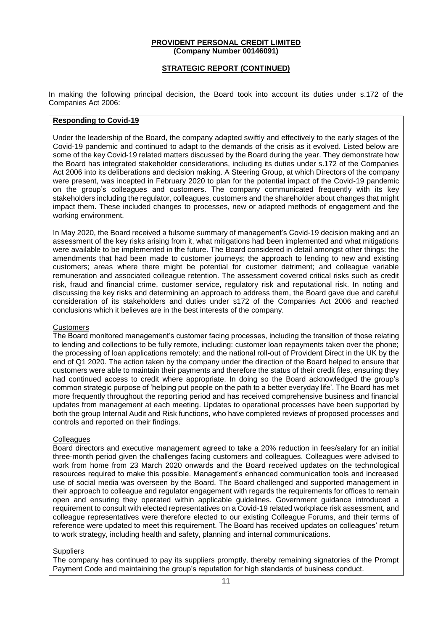### **STRATEGIC REPORT (CONTINUED)**

In making the following principal decision, the Board took into account its duties under s.172 of the Companies Act 2006:

### **Responding to Covid-19**

Under the leadership of the Board, the company adapted swiftly and effectively to the early stages of the Covid-19 pandemic and continued to adapt to the demands of the crisis as it evolved. Listed below are some of the key Covid-19 related matters discussed by the Board during the year. They demonstrate how the Board has integrated stakeholder considerations, including its duties under s.172 of the Companies Act 2006 into its deliberations and decision making. A Steering Group, at which Directors of the company were present, was incepted in February 2020 to plan for the potential impact of the Covid-19 pandemic on the group's colleagues and customers. The company communicated frequently with its key stakeholders including the regulator, colleagues, customers and the shareholder about changes that might impact them. These included changes to processes, new or adapted methods of engagement and the working environment.

In May 2020, the Board received a fulsome summary of management's Covid-19 decision making and an assessment of the key risks arising from it, what mitigations had been implemented and what mitigations were available to be implemented in the future. The Board considered in detail amongst other things: the amendments that had been made to customer journeys; the approach to lending to new and existing customers; areas where there might be potential for customer detriment; and colleague variable remuneration and associated colleague retention. The assessment covered critical risks such as credit risk, fraud and financial crime, customer service, regulatory risk and reputational risk. In noting and discussing the key risks and determining an approach to address them, the Board gave due and careful consideration of its stakeholders and duties under s172 of the Companies Act 2006 and reached conclusions which it believes are in the best interests of the company.

#### **Customers**

The Board monitored management's customer facing processes, including the transition of those relating to lending and collections to be fully remote, including: customer loan repayments taken over the phone; the processing of loan applications remotely; and the national roll-out of Provident Direct in the UK by the end of Q1 2020. The action taken by the company under the direction of the Board helped to ensure that customers were able to maintain their payments and therefore the status of their credit files, ensuring they had continued access to credit where appropriate. In doing so the Board acknowledged the group's common strategic purpose of 'helping put people on the path to a better everyday life'. The Board has met more frequently throughout the reporting period and has received comprehensive business and financial updates from management at each meeting. Updates to operational processes have been supported by both the group Internal Audit and Risk functions, who have completed reviews of proposed processes and controls and reported on their findings.

#### **Colleagues**

Board directors and executive management agreed to take a 20% reduction in fees/salary for an initial three-month period given the challenges facing customers and colleagues. Colleagues were advised to work from home from 23 March 2020 onwards and the Board received updates on the technological resources required to make this possible. Management's enhanced communication tools and increased use of social media was overseen by the Board. The Board challenged and supported management in their approach to colleague and regulator engagement with regards the requirements for offices to remain open and ensuring they operated within applicable guidelines. Government guidance introduced a requirement to consult with elected representatives on a Covid-19 related workplace risk assessment, and colleague representatives were therefore elected to our existing Colleague Forums, and their terms of reference were updated to meet this requirement. The Board has received updates on colleagues' return to work strategy, including health and safety, planning and internal communications.

#### **Suppliers**

The company has continued to pay its suppliers promptly, thereby remaining signatories of the Prompt Payment Code and maintaining the group's reputation for high standards of business conduct.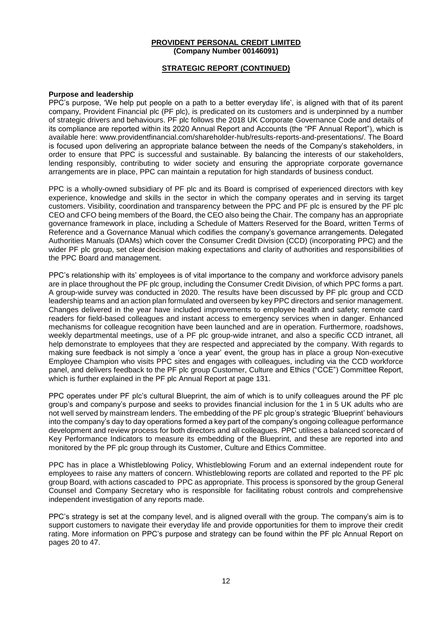### **STRATEGIC REPORT (CONTINUED)**

#### **Purpose and leadership**

PPC's purpose, 'We help put people on a path to a better everyday life', is aligned with that of its parent company, Provident Financial plc (PF plc), is predicated on its customers and is underpinned by a number of strategic drivers and behaviours. PF plc follows the 2018 UK Corporate Governance Code and details of its compliance are reported within its 2020 Annual Report and Accounts (the "PF Annual Report"), which is available here: www.providentfinancial.com/shareholder-hub/results-reports-and-presentations/. The Board is focused upon delivering an appropriate balance between the needs of the Company's stakeholders, in order to ensure that PPC is successful and sustainable. By balancing the interests of our stakeholders, lending responsibly, contributing to wider society and ensuring the appropriate corporate governance arrangements are in place, PPC can maintain a reputation for high standards of business conduct.

PPC is a wholly-owned subsidiary of PF plc and its Board is comprised of experienced directors with key experience, knowledge and skills in the sector in which the company operates and in serving its target customers. Visibility, coordination and transparency between the PPC and PF plc is ensured by the PF plc CEO and CFO being members of the Board, the CEO also being the Chair. The company has an appropriate governance framework in place, including a Schedule of Matters Reserved for the Board, written Terms of Reference and a Governance Manual which codifies the company's governance arrangements. Delegated Authorities Manuals (DAMs) which cover the Consumer Credit Division (CCD) (incorporating PPC) and the wider PF plc group, set clear decision making expectations and clarity of authorities and responsibilities of the PPC Board and management.

PPC's relationship with its' employees is of vital importance to the company and workforce advisory panels are in place throughout the PF plc group, including the Consumer Credit Division, of which PPC forms a part. A group-wide survey was conducted in 2020. The results have been discussed by PF plc group and CCD leadership teams and an action plan formulated and overseen by key PPC directors and senior management. Changes delivered in the year have included improvements to employee health and safety; remote card readers for field-based colleagues and instant access to emergency services when in danger. Enhanced mechanisms for colleague recognition have been launched and are in operation. Furthermore, roadshows, weekly departmental meetings, use of a PF plc group-wide intranet, and also a specific CCD intranet, all help demonstrate to employees that they are respected and appreciated by the company. With regards to making sure feedback is not simply a 'once a year' event, the group has in place a group Non-executive Employee Champion who visits PPC sites and engages with colleagues, including via the CCD workforce panel, and delivers feedback to the PF plc group Customer, Culture and Ethics ("CCE") Committee Report, which is further explained in the PF plc Annual Report at page 131.

PPC operates under PF plc's cultural Blueprint, the aim of which is to unify colleagues around the PF plc group's and company's purpose and seeks to provides financial inclusion for the 1 in 5 UK adults who are not well served by mainstream lenders. The embedding of the PF plc group's strategic 'Blueprint' behaviours into the company's day to day operations formed a key part of the company's ongoing colleague performance development and review process for both directors and all colleagues. PPC utilises a balanced scorecard of Key Performance Indicators to measure its embedding of the Blueprint, and these are reported into and monitored by the PF plc group through its Customer, Culture and Ethics Committee.

PPC has in place a Whistleblowing Policy, Whistleblowing Forum and an external independent route for employees to raise any matters of concern. Whistleblowing reports are collated and reported to the PF plc group Board, with actions cascaded to PPC as appropriate. This process is sponsored by the group General Counsel and Company Secretary who is responsible for facilitating robust controls and comprehensive independent investigation of any reports made.

PPC's strategy is set at the company level, and is aligned overall with the group. The company's aim is to support customers to navigate their everyday life and provide opportunities for them to improve their credit rating. More information on PPC's purpose and strategy can be found within the PF plc Annual Report on pages 20 to 47.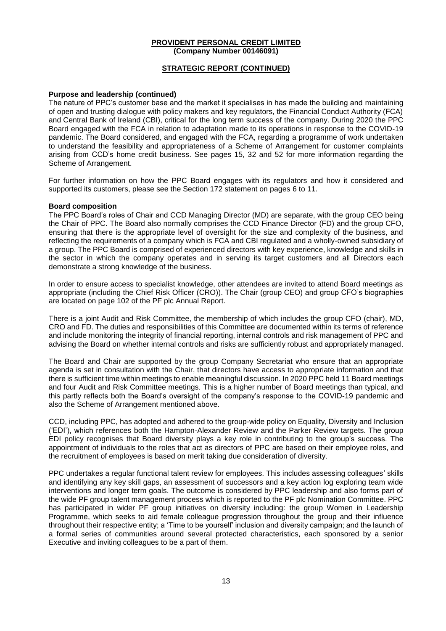### **STRATEGIC REPORT (CONTINUED)**

#### **Purpose and leadership (continued)**

The nature of PPC's customer base and the market it specialises in has made the building and maintaining of open and trusting dialogue with policy makers and key regulators, the Financial Conduct Authority (FCA) and Central Bank of Ireland (CBI), critical for the long term success of the company. During 2020 the PPC Board engaged with the FCA in relation to adaptation made to its operations in response to the COVID-19 pandemic. The Board considered, and engaged with the FCA, regarding a programme of work undertaken to understand the feasibility and appropriateness of a Scheme of Arrangement for customer complaints arising from CCD's home credit business. See pages 15, 32 and 52 for more information regarding the Scheme of Arrangement.

For further information on how the PPC Board engages with its regulators and how it considered and supported its customers, please see the Section 172 statement on pages 6 to 11.

#### **Board composition**

The PPC Board's roles of Chair and CCD Managing Director (MD) are separate, with the group CEO being the Chair of PPC. The Board also normally comprises the CCD Finance Director (FD) and the group CFO, ensuring that there is the appropriate level of oversight for the size and complexity of the business, and reflecting the requirements of a company which is FCA and CBI regulated and a wholly-owned subsidiary of a group. The PPC Board is comprised of experienced directors with key experience, knowledge and skills in the sector in which the company operates and in serving its target customers and all Directors each demonstrate a strong knowledge of the business.

In order to ensure access to specialist knowledge, other attendees are invited to attend Board meetings as appropriate (including the Chief Risk Officer (CRO)). The Chair (group CEO) and group CFO's biographies are located on page 102 of the PF plc Annual Report.

There is a joint Audit and Risk Committee, the membership of which includes the group CFO (chair), MD, CRO and FD. The duties and responsibilities of this Committee are documented within its terms of reference and include monitoring the integrity of financial reporting, internal controls and risk management of PPC and advising the Board on whether internal controls and risks are sufficiently robust and appropriately managed.

The Board and Chair are supported by the group Company Secretariat who ensure that an appropriate agenda is set in consultation with the Chair, that directors have access to appropriate information and that there is sufficient time within meetings to enable meaningful discussion. In 2020 PPC held 11 Board meetings and four Audit and Risk Committee meetings. This is a higher number of Board meetings than typical, and this partly reflects both the Board's oversight of the company's response to the COVID-19 pandemic and also the Scheme of Arrangement mentioned above.

CCD, including PPC, has adopted and adhered to the group-wide policy on Equality, Diversity and Inclusion ('EDI'), which references both the Hampton-Alexander Review and the Parker Review targets. The group EDI policy recognises that Board diversity plays a key role in contributing to the group's success. The appointment of individuals to the roles that act as directors of PPC are based on their employee roles, and the recruitment of employees is based on merit taking due consideration of diversity.

PPC undertakes a regular functional talent review for employees. This includes assessing colleagues' skills and identifying any key skill gaps, an assessment of successors and a key action log exploring team wide interventions and longer term goals. The outcome is considered by PPC leadership and also forms part of the wide PF group talent management process which is reported to the PF plc Nomination Committee. PPC has participated in wider PF group initiatives on diversity including: the group Women in Leadership Programme, which seeks to aid female colleague progression throughout the group and their influence throughout their respective entity; a 'Time to be yourself' inclusion and diversity campaign; and the launch of a formal series of communities around several protected characteristics, each sponsored by a senior Executive and inviting colleagues to be a part of them.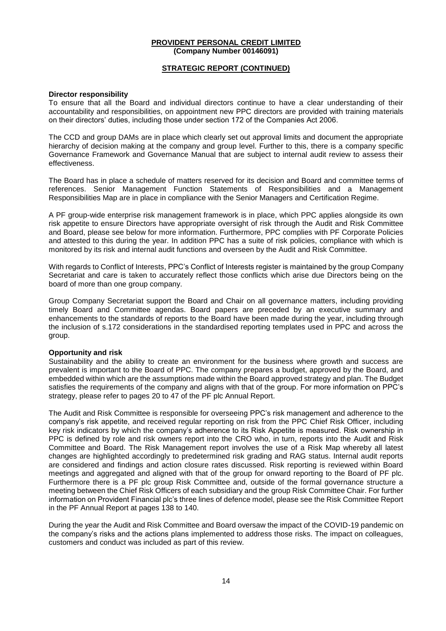### **STRATEGIC REPORT (CONTINUED)**

#### **Director responsibility**

To ensure that all the Board and individual directors continue to have a clear understanding of their accountability and responsibilities, on appointment new PPC directors are provided with training materials on their directors' duties, including those under section 172 of the Companies Act 2006.

The CCD and group DAMs are in place which clearly set out approval limits and document the appropriate hierarchy of decision making at the company and group level. Further to this, there is a company specific Governance Framework and Governance Manual that are subject to internal audit review to assess their effectiveness.

The Board has in place a schedule of matters reserved for its decision and Board and committee terms of references. Senior Management Function Statements of Responsibilities and a Management Responsibilities Map are in place in compliance with the Senior Managers and Certification Regime.

A PF group-wide enterprise risk management framework is in place, which PPC applies alongside its own risk appetite to ensure Directors have appropriate oversight of risk through the Audit and Risk Committee and Board, please see below for more information. Furthermore, PPC complies with PF Corporate Policies and attested to this during the year. In addition PPC has a suite of risk policies, compliance with which is monitored by its risk and internal audit functions and overseen by the Audit and Risk Committee.

With regards to Conflict of Interests, PPC's Conflict of Interests register is maintained by the group Company Secretariat and care is taken to accurately reflect those conflicts which arise due Directors being on the board of more than one group company.

Group Company Secretariat support the Board and Chair on all governance matters, including providing timely Board and Committee agendas. Board papers are preceded by an executive summary and enhancements to the standards of reports to the Board have been made during the year, including through the inclusion of s.172 considerations in the standardised reporting templates used in PPC and across the group.

#### **Opportunity and risk**

Sustainability and the ability to create an environment for the business where growth and success are prevalent is important to the Board of PPC. The company prepares a budget, approved by the Board, and embedded within which are the assumptions made within the Board approved strategy and plan. The Budget satisfies the requirements of the company and aligns with that of the group. For more information on PPC's strategy, please refer to pages 20 to 47 of the PF plc Annual Report.

The Audit and Risk Committee is responsible for overseeing PPC's risk management and adherence to the company's risk appetite, and received regular reporting on risk from the PPC Chief Risk Officer, including key risk indicators by which the company's adherence to its Risk Appetite is measured. Risk ownership in PPC is defined by role and risk owners report into the CRO who, in turn, reports into the Audit and Risk Committee and Board. The Risk Management report involves the use of a Risk Map whereby all latest changes are highlighted accordingly to predetermined risk grading and RAG status. Internal audit reports are considered and findings and action closure rates discussed. Risk reporting is reviewed within Board meetings and aggregated and aligned with that of the group for onward reporting to the Board of PF plc. Furthermore there is a PF plc group Risk Committee and, outside of the formal governance structure a meeting between the Chief Risk Officers of each subsidiary and the group Risk Committee Chair. For further information on Provident Financial plc's three lines of defence model, please see the Risk Committee Report in the PF Annual Report at pages 138 to 140.

During the year the Audit and Risk Committee and Board oversaw the impact of the COVID-19 pandemic on the company's risks and the actions plans implemented to address those risks. The impact on colleagues, customers and conduct was included as part of this review.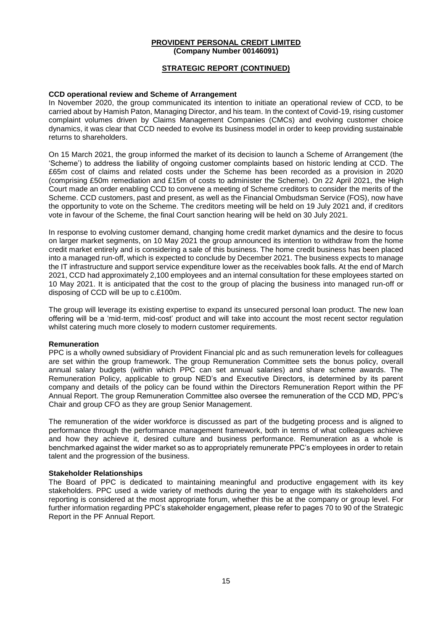### **STRATEGIC REPORT (CONTINUED)**

#### **CCD operational review and Scheme of Arrangement**

In November 2020, the group communicated its intention to initiate an operational review of CCD, to be carried about by Hamish Paton, Managing Director, and his team. In the context of Covid-19, rising customer complaint volumes driven by Claims Management Companies (CMCs) and evolving customer choice dynamics, it was clear that CCD needed to evolve its business model in order to keep providing sustainable returns to shareholders.

On 15 March 2021, the group informed the market of its decision to launch a Scheme of Arrangement (the 'Scheme') to address the liability of ongoing customer complaints based on historic lending at CCD. The £65m cost of claims and related costs under the Scheme has been recorded as a provision in 2020 (comprising £50m remediation and £15m of costs to administer the Scheme). On 22 April 2021, the High Court made an order enabling CCD to convene a meeting of Scheme creditors to consider the merits of the Scheme. CCD customers, past and present, as well as the Financial Ombudsman Service (FOS), now have the opportunity to vote on the Scheme. The creditors meeting will be held on 19 July 2021 and, if creditors vote in favour of the Scheme, the final Court sanction hearing will be held on 30 July 2021.

In response to evolving customer demand, changing home credit market dynamics and the desire to focus on larger market segments, on 10 May 2021 the group announced its intention to withdraw from the home credit market entirely and is considering a sale of this business. The home credit business has been placed into a managed run-off, which is expected to conclude by December 2021. The business expects to manage the IT infrastructure and support service expenditure lower as the receivables book falls. At the end of March 2021, CCD had approximately 2,100 employees and an internal consultation for these employees started on 10 May 2021. It is anticipated that the cost to the group of placing the business into managed run-off or disposing of CCD will be up to c.£100m.

The group will leverage its existing expertise to expand its unsecured personal loan product. The new loan offering will be a 'mid-term, mid-cost' product and will take into account the most recent sector regulation whilst catering much more closely to modern customer requirements.

#### **Remuneration**

PPC is a wholly owned subsidiary of Provident Financial plc and as such remuneration levels for colleagues are set within the group framework. The group Remuneration Committee sets the bonus policy, overall annual salary budgets (within which PPC can set annual salaries) and share scheme awards. The Remuneration Policy, applicable to group NED's and Executive Directors, is determined by its parent company and details of the policy can be found within the Directors Remuneration Report within the PF Annual Report. The group Remuneration Committee also oversee the remuneration of the CCD MD, PPC's Chair and group CFO as they are group Senior Management.

The remuneration of the wider workforce is discussed as part of the budgeting process and is aligned to performance through the performance management framework, both in terms of what colleagues achieve and how they achieve it, desired culture and business performance. Remuneration as a whole is benchmarked against the wider market so as to appropriately remunerate PPC's employees in order to retain talent and the progression of the business.

#### **Stakeholder Relationships**

The Board of PPC is dedicated to maintaining meaningful and productive engagement with its key stakeholders. PPC used a wide variety of methods during the year to engage with its stakeholders and reporting is considered at the most appropriate forum, whether this be at the company or group level. For further information regarding PPC's stakeholder engagement, please refer to pages 70 to 90 of the Strategic Report in the PF Annual Report.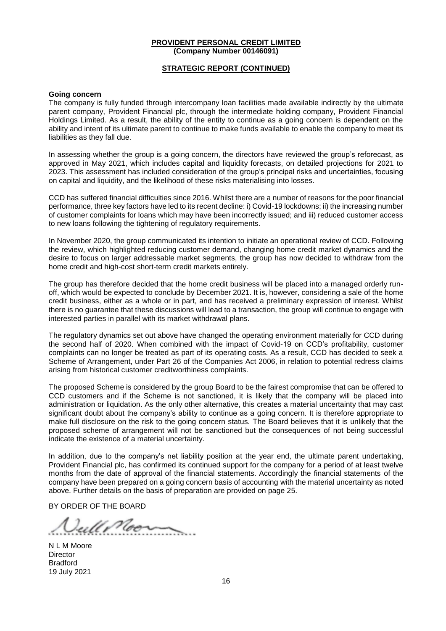### **STRATEGIC REPORT (CONTINUED)**

#### **Going concern**

The company is fully funded through intercompany loan facilities made available indirectly by the ultimate parent company, Provident Financial plc, through the intermediate holding company, Provident Financial Holdings Limited. As a result, the ability of the entity to continue as a going concern is dependent on the ability and intent of its ultimate parent to continue to make funds available to enable the company to meet its liabilities as they fall due.

In assessing whether the group is a going concern, the directors have reviewed the group's reforecast, as approved in May 2021, which includes capital and liquidity forecasts, on detailed projections for 2021 to 2023. This assessment has included consideration of the group's principal risks and uncertainties, focusing on capital and liquidity, and the likelihood of these risks materialising into losses.

CCD has suffered financial difficulties since 2016. Whilst there are a number of reasons for the poor financial performance, three key factors have led to its recent decline: i) Covid-19 lockdowns; ii) the increasing number of customer complaints for loans which may have been incorrectly issued; and iii) reduced customer access to new loans following the tightening of regulatory requirements.

In November 2020, the group communicated its intention to initiate an operational review of CCD. Following the review, which highlighted reducing customer demand, changing home credit market dynamics and the desire to focus on larger addressable market segments, the group has now decided to withdraw from the home credit and high-cost short-term credit markets entirely.

The group has therefore decided that the home credit business will be placed into a managed orderly runoff, which would be expected to conclude by December 2021. It is, however, considering a sale of the home credit business, either as a whole or in part, and has received a preliminary expression of interest. Whilst there is no guarantee that these discussions will lead to a transaction, the group will continue to engage with interested parties in parallel with its market withdrawal plans.

The regulatory dynamics set out above have changed the operating environment materially for CCD during the second half of 2020. When combined with the impact of Covid-19 on CCD's profitability, customer complaints can no longer be treated as part of its operating costs. As a result, CCD has decided to seek a Scheme of Arrangement, under Part 26 of the Companies Act 2006, in relation to potential redress claims arising from historical customer creditworthiness complaints.

The proposed Scheme is considered by the group Board to be the fairest compromise that can be offered to CCD customers and if the Scheme is not sanctioned, it is likely that the company will be placed into administration or liquidation. As the only other alternative, this creates a material uncertainty that may cast significant doubt about the company's ability to continue as a going concern. It is therefore appropriate to make full disclosure on the risk to the going concern status. The Board believes that it is unlikely that the proposed scheme of arrangement will not be sanctioned but the consequences of not being successful indicate the existence of a material uncertainty.

In addition, due to the company's net liability position at the year end, the ultimate parent undertaking, Provident Financial plc, has confirmed its continued support for the company for a period of at least twelve months from the date of approval of the financial statements. Accordingly the financial statements of the company have been prepared on a going concern basis of accounting with the material uncertainty as noted above. Further details on the basis of preparation are provided on page 25.

BY ORDER OF THE BOARD

Vullinoon

N L M Moore **Director** Bradford 19 July 2021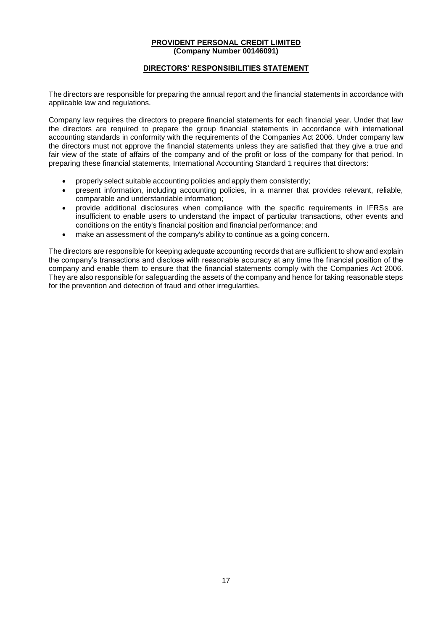### **DIRECTORS' RESPONSIBILITIES STATEMENT**

The directors are responsible for preparing the annual report and the financial statements in accordance with applicable law and regulations.

Company law requires the directors to prepare financial statements for each financial year. Under that law the directors are required to prepare the group financial statements in accordance with international accounting standards in conformity with the requirements of the Companies Act 2006. Under company law the directors must not approve the financial statements unless they are satisfied that they give a true and fair view of the state of affairs of the company and of the profit or loss of the company for that period. In preparing these financial statements, International Accounting Standard 1 requires that directors:

- properly select suitable accounting policies and apply them consistently;
- present information, including accounting policies, in a manner that provides relevant, reliable, comparable and understandable information;
- provide additional disclosures when compliance with the specific requirements in IFRSs are insufficient to enable users to understand the impact of particular transactions, other events and conditions on the entity's financial position and financial performance; and
- make an assessment of the company's ability to continue as a going concern.

The directors are responsible for keeping adequate accounting records that are sufficient to show and explain the company's transactions and disclose with reasonable accuracy at any time the financial position of the company and enable them to ensure that the financial statements comply with the Companies Act 2006. They are also responsible for safeguarding the assets of the company and hence for taking reasonable steps for the prevention and detection of fraud and other irregularities.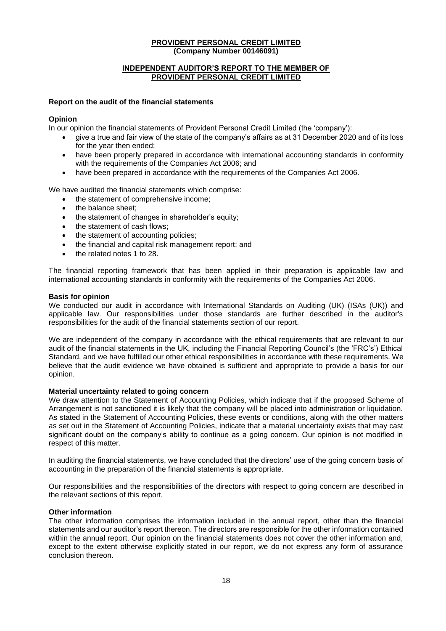### **INDEPENDENT AUDITOR'S REPORT TO THE MEMBER OF PROVIDENT PERSONAL CREDIT LIMITED**

#### **Report on the audit of the financial statements**

#### **Opinion**

In our opinion the financial statements of Provident Personal Credit Limited (the 'company'):

- give a true and fair view of the state of the company's affairs as at 31 December 2020 and of its loss for the year then ended;
- have been properly prepared in accordance with international accounting standards in conformity with the requirements of the Companies Act 2006; and
- have been prepared in accordance with the requirements of the Companies Act 2006.

We have audited the financial statements which comprise:

- the statement of comprehensive income;
- the balance sheet;
- the statement of changes in shareholder's equity;
- the statement of cash flows;
- the statement of accounting policies:
- the financial and capital risk management report; and
- the related notes 1 to 28.

The financial reporting framework that has been applied in their preparation is applicable law and international accounting standards in conformity with the requirements of the Companies Act 2006.

#### **Basis for opinion**

We conducted our audit in accordance with International Standards on Auditing (UK) (ISAs (UK)) and applicable law. Our responsibilities under those standards are further described in the auditor's responsibilities for the audit of the financial statements section of our report.

We are independent of the company in accordance with the ethical requirements that are relevant to our audit of the financial statements in the UK, including the Financial Reporting Council's (the 'FRC's') Ethical Standard, and we have fulfilled our other ethical responsibilities in accordance with these requirements. We believe that the audit evidence we have obtained is sufficient and appropriate to provide a basis for our opinion.

#### **Material uncertainty related to going concern**

We draw attention to the Statement of Accounting Policies, which indicate that if the proposed Scheme of Arrangement is not sanctioned it is likely that the company will be placed into administration or liquidation. As stated in the Statement of Accounting Policies, these events or conditions, along with the other matters as set out in the Statement of Accounting Policies, indicate that a material uncertainty exists that may cast significant doubt on the company's ability to continue as a going concern. Our opinion is not modified in respect of this matter.

In auditing the financial statements, we have concluded that the directors' use of the going concern basis of accounting in the preparation of the financial statements is appropriate.

Our responsibilities and the responsibilities of the directors with respect to going concern are described in the relevant sections of this report.

### **Other information**

The other information comprises the information included in the annual report, other than the financial statements and our auditor's report thereon. The directors are responsible for the other information contained within the annual report. Our opinion on the financial statements does not cover the other information and, except to the extent otherwise explicitly stated in our report, we do not express any form of assurance conclusion thereon.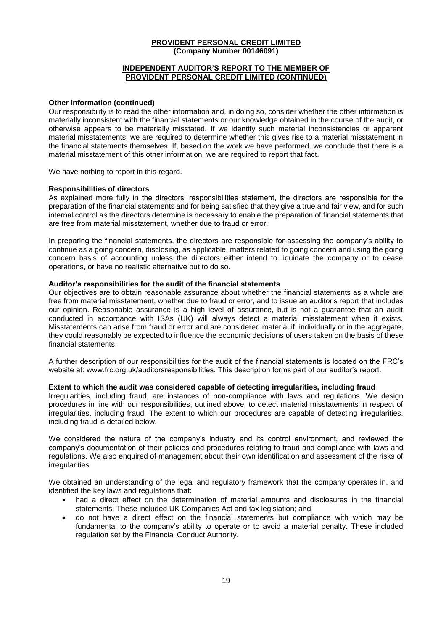### **INDEPENDENT AUDITOR'S REPORT TO THE MEMBER OF PROVIDENT PERSONAL CREDIT LIMITED (CONTINUED)**

#### **Other information (continued)**

Our responsibility is to read the other information and, in doing so, consider whether the other information is materially inconsistent with the financial statements or our knowledge obtained in the course of the audit, or otherwise appears to be materially misstated. If we identify such material inconsistencies or apparent material misstatements, we are required to determine whether this gives rise to a material misstatement in the financial statements themselves. If, based on the work we have performed, we conclude that there is a material misstatement of this other information, we are required to report that fact.

We have nothing to report in this regard.

#### **Responsibilities of directors**

As explained more fully in the directors' responsibilities statement, the directors are responsible for the preparation of the financial statements and for being satisfied that they give a true and fair view, and for such internal control as the directors determine is necessary to enable the preparation of financial statements that are free from material misstatement, whether due to fraud or error.

In preparing the financial statements, the directors are responsible for assessing the company's ability to continue as a going concern, disclosing, as applicable, matters related to going concern and using the going concern basis of accounting unless the directors either intend to liquidate the company or to cease operations, or have no realistic alternative but to do so.

#### **Auditor's responsibilities for the audit of the financial statements**

Our objectives are to obtain reasonable assurance about whether the financial statements as a whole are free from material misstatement, whether due to fraud or error, and to issue an auditor's report that includes our opinion. Reasonable assurance is a high level of assurance, but is not a guarantee that an audit conducted in accordance with ISAs (UK) will always detect a material misstatement when it exists. Misstatements can arise from fraud or error and are considered material if, individually or in the aggregate, they could reasonably be expected to influence the economic decisions of users taken on the basis of these financial statements.

A further description of our responsibilities for the audit of the financial statements is located on the FRC's website at: www.frc.org.uk/auditorsresponsibilities. This description forms part of our auditor's report.

#### **Extent to which the audit was considered capable of detecting irregularities, including fraud**

Irregularities, including fraud, are instances of non-compliance with laws and regulations. We design procedures in line with our responsibilities, outlined above, to detect material misstatements in respect of irregularities, including fraud. The extent to which our procedures are capable of detecting irregularities, including fraud is detailed below.

We considered the nature of the company's industry and its control environment, and reviewed the company's documentation of their policies and procedures relating to fraud and compliance with laws and regulations. We also enquired of management about their own identification and assessment of the risks of irregularities.

We obtained an understanding of the legal and regulatory framework that the company operates in, and identified the key laws and regulations that:

- had a direct effect on the determination of material amounts and disclosures in the financial statements. These included UK Companies Act and tax legislation; and
- do not have a direct effect on the financial statements but compliance with which may be fundamental to the company's ability to operate or to avoid a material penalty. These included regulation set by the Financial Conduct Authority.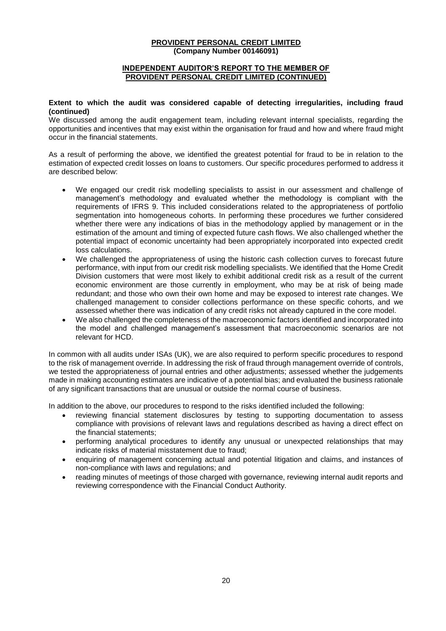### **INDEPENDENT AUDITOR'S REPORT TO THE MEMBER OF PROVIDENT PERSONAL CREDIT LIMITED (CONTINUED)**

### **Extent to which the audit was considered capable of detecting irregularities, including fraud (continued)**

We discussed among the audit engagement team, including relevant internal specialists, regarding the opportunities and incentives that may exist within the organisation for fraud and how and where fraud might occur in the financial statements.

As a result of performing the above, we identified the greatest potential for fraud to be in relation to the estimation of expected credit losses on loans to customers. Our specific procedures performed to address it are described below:

- We engaged our credit risk modelling specialists to assist in our assessment and challenge of management's methodology and evaluated whether the methodology is compliant with the requirements of IFRS 9. This included considerations related to the appropriateness of portfolio segmentation into homogeneous cohorts. In performing these procedures we further considered whether there were any indications of bias in the methodology applied by management or in the estimation of the amount and timing of expected future cash flows. We also challenged whether the potential impact of economic uncertainty had been appropriately incorporated into expected credit loss calculations.
- We challenged the appropriateness of using the historic cash collection curves to forecast future performance, with input from our credit risk modelling specialists. We identified that the Home Credit Division customers that were most likely to exhibit additional credit risk as a result of the current economic environment are those currently in employment, who may be at risk of being made redundant; and those who own their own home and may be exposed to interest rate changes. We challenged management to consider collections performance on these specific cohorts, and we assessed whether there was indication of any credit risks not already captured in the core model.
- We also challenged the completeness of the macroeconomic factors identified and incorporated into the model and challenged management's assessment that macroeconomic scenarios are not relevant for HCD.

In common with all audits under ISAs (UK), we are also required to perform specific procedures to respond to the risk of management override. In addressing the risk of fraud through management override of controls, we tested the appropriateness of journal entries and other adjustments; assessed whether the judgements made in making accounting estimates are indicative of a potential bias; and evaluated the business rationale of any significant transactions that are unusual or outside the normal course of business.

In addition to the above, our procedures to respond to the risks identified included the following:

- reviewing financial statement disclosures by testing to supporting documentation to assess compliance with provisions of relevant laws and regulations described as having a direct effect on the financial statements;
- performing analytical procedures to identify any unusual or unexpected relationships that may indicate risks of material misstatement due to fraud;
- enquiring of management concerning actual and potential litigation and claims, and instances of non-compliance with laws and regulations; and
- reading minutes of meetings of those charged with governance, reviewing internal audit reports and reviewing correspondence with the Financial Conduct Authority.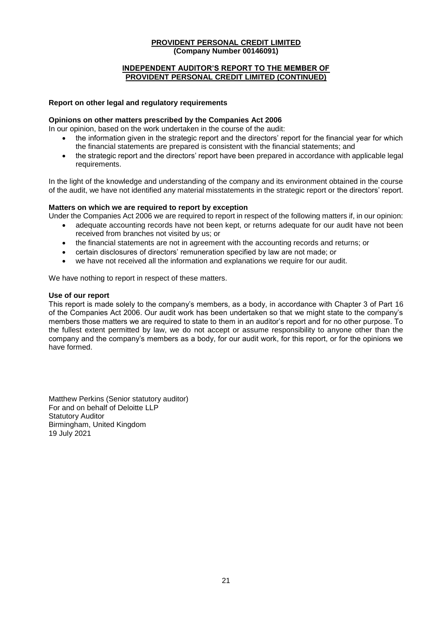### **INDEPENDENT AUDITOR'S REPORT TO THE MEMBER OF PROVIDENT PERSONAL CREDIT LIMITED (CONTINUED)**

#### **Report on other legal and regulatory requirements**

#### **Opinions on other matters prescribed by the Companies Act 2006**

In our opinion, based on the work undertaken in the course of the audit:

- the information given in the strategic report and the directors' report for the financial year for which the financial statements are prepared is consistent with the financial statements; and
- the strategic report and the directors' report have been prepared in accordance with applicable legal requirements.

In the light of the knowledge and understanding of the company and its environment obtained in the course of the audit, we have not identified any material misstatements in the strategic report or the directors' report.

### **Matters on which we are required to report by exception**

Under the Companies Act 2006 we are required to report in respect of the following matters if, in our opinion:

- adequate accounting records have not been kept, or returns adequate for our audit have not been received from branches not visited by us; or
- the financial statements are not in agreement with the accounting records and returns; or
- certain disclosures of directors' remuneration specified by law are not made; or
- we have not received all the information and explanations we require for our audit.

We have nothing to report in respect of these matters.

#### **Use of our report**

This report is made solely to the company's members, as a body, in accordance with Chapter 3 of Part 16 of the Companies Act 2006. Our audit work has been undertaken so that we might state to the company's members those matters we are required to state to them in an auditor's report and for no other purpose. To the fullest extent permitted by law, we do not accept or assume responsibility to anyone other than the company and the company's members as a body, for our audit work, for this report, or for the opinions we have formed.

Matthew Perkins (Senior statutory auditor) For and on behalf of Deloitte LLP Statutory Auditor Birmingham, United Kingdom 19 July 2021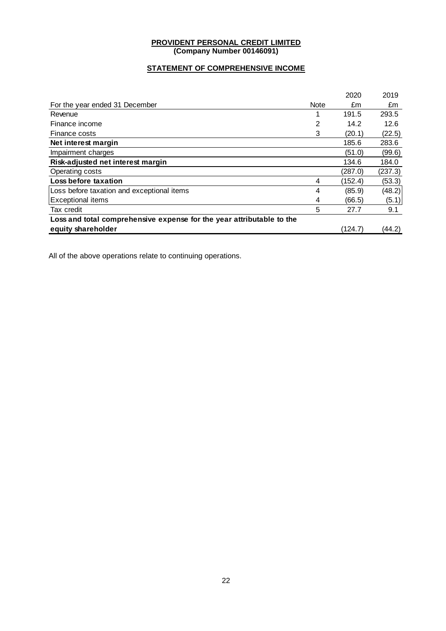# **STATEMENT OF COMPREHENSIVE INCOME**

|                                                                       |             | 2020    | 2019    |
|-----------------------------------------------------------------------|-------------|---------|---------|
| For the year ended 31 December                                        | <b>Note</b> | £m      | £m      |
| Revenue                                                               |             | 191.5   | 293.5   |
| Finance income                                                        | 2           | 14.2    | 12.6    |
| Finance costs                                                         | 3           | (20.1)  | (22.5)  |
| Net interest margin                                                   |             | 185.6   | 283.6   |
| Impairment charges                                                    |             | (51.0)  | (99.6)  |
| Risk-adjusted net interest margin                                     |             | 134.6   | 184.0   |
| Operating costs                                                       |             | (287.0) | (237.3) |
| Loss before taxation                                                  | 4           | (152.4) | (53.3)  |
| Loss before taxation and exceptional items                            | 4           | (85.9)  | (48.2)  |
| <b>Exceptional items</b>                                              | 4           | (66.5)  | (5.1)   |
| Tax credit                                                            | 5           | 27.7    | 9.1     |
| Loss and total comprehensive expense for the year attributable to the |             |         |         |
| equity shareholder                                                    |             | (124.7) | (44.2)  |
|                                                                       |             |         |         |

All of the above operations relate to continuing operations.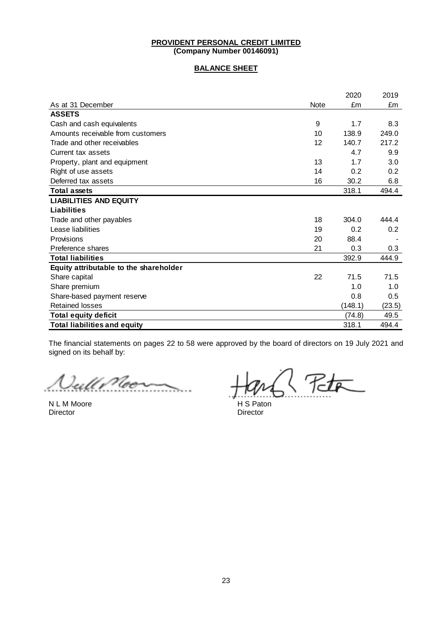### **BALANCE SHEET**

|                                        |      | 2020    | 2019   |
|----------------------------------------|------|---------|--------|
| As at 31 December                      | Note | £m      | £m     |
| <b>ASSETS</b>                          |      |         |        |
| Cash and cash equivalents              | 9    | 1.7     | 8.3    |
| Amounts receivable from customers      | 10   | 138.9   | 249.0  |
| Trade and other receivables            | 12   | 140.7   | 217.2  |
| Current tax assets                     |      | 4.7     | 9.9    |
| Property, plant and equipment          | 13   | 1.7     | 3.0    |
| Right of use assets                    | 14   | 0.2     | 0.2    |
| Deferred tax assets                    | 16   | 30.2    | 6.8    |
| <b>Total assets</b>                    |      | 318.1   | 494.4  |
| <b>LIABILITIES AND EQUITY</b>          |      |         |        |
| <b>Liabilities</b>                     |      |         |        |
| Trade and other payables               | 18   | 304.0   | 444.4  |
| Lease liabilities                      | 19   | 0.2     | 0.2    |
| Provisions                             | 20   | 88.4    |        |
| Preference shares                      | 21   | 0.3     | 0.3    |
| <b>Total liabilities</b>               |      | 392.9   | 444.9  |
| Equity attributable to the shareholder |      |         |        |
| Share capital                          | 22   | 71.5    | 71.5   |
| Share premium                          |      | 1.0     | 1.0    |
| Share-based payment reserve            |      | 0.8     | 0.5    |
| <b>Retained losses</b>                 |      | (148.1) | (23.5) |
| <b>Total equity deficit</b>            |      | (74.8)  | 49.5   |
| <b>Total liabilities and equity</b>    |      | 318.1   | 494.4  |

The financial statements on pages 22 to 58 were approved by the board of directors on 19 July 2021 and signed on its behalf by:

Jull Moor

Director **Director** Director

 $\sqrt{75}$ 

N L M Moore H S Paton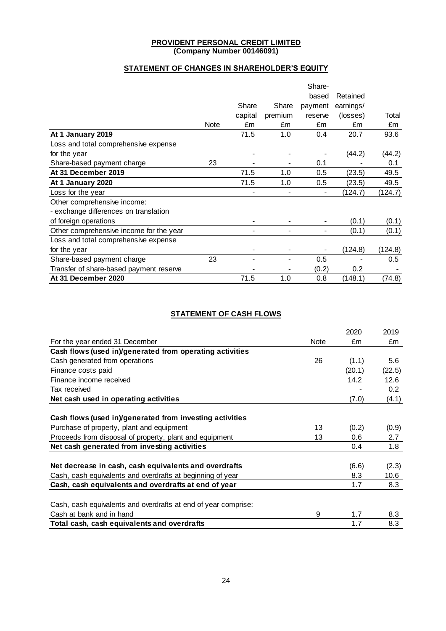# **STATEMENT OF CHANGES IN SHAREHOLDER'S EQUITY**

|                                         |      |         |                          | Share-         |           |         |
|-----------------------------------------|------|---------|--------------------------|----------------|-----------|---------|
|                                         |      |         |                          | based          | Retained  |         |
|                                         |      | Share   | Share                    | payment        | earnings/ |         |
|                                         |      | capital | premium                  | reserve        | (losses)  | Total   |
|                                         | Note | £m      | £m                       | £m             | £m        | £m      |
| At 1 January 2019                       |      | 71.5    | 1.0                      | 0.4            | 20.7      | 93.6    |
| Loss and total comprehensive expense    |      |         |                          |                |           |         |
| for the year                            |      |         |                          |                | (44.2)    | (44.2)  |
| Share-based payment charge              | 23   |         | $\overline{\phantom{a}}$ | 0.1            |           | 0.1     |
| At 31 December 2019                     |      | 71.5    | 1.0                      | 0.5            | (23.5)    | 49.5    |
| At 1 January 2020                       |      | 71.5    | 1.0                      | 0.5            | (23.5)    | 49.5    |
| Loss for the year                       |      |         | $\blacksquare$           | $\blacksquare$ | (124.7)   | (124.7) |
| Other comprehensive income:             |      |         |                          |                |           |         |
| - exchange differences on translation   |      |         |                          |                |           |         |
| of foreign operations                   |      |         |                          |                | (0.1)     | (0.1)   |
| Other comprehensive income for the year |      |         |                          |                | (0.1)     | (0.1)   |
| Loss and total comprehensive expense    |      |         |                          |                |           |         |
| for the year                            |      |         |                          |                | (124.8)   | (124.8) |
| Share-based payment charge              | 23   |         |                          | 0.5            |           | 0.5     |
| Transfer of share-based payment reserve |      |         |                          | (0.2)          | 0.2       |         |
| At 31 December 2020                     |      | 71.5    | 1.0                      | 0.8            | (148.1)   | (74.8)  |

## **STATEMENT OF CASH FLOWS**

|                                                                |      | 2020   | 2019             |
|----------------------------------------------------------------|------|--------|------------------|
| For the year ended 31 December                                 | Note | £m     | £m               |
| Cash flows (used in)/generated from operating activities       |      |        |                  |
| Cash generated from operations                                 | 26   | (1.1)  | 5.6              |
| Finance costs paid                                             |      | (20.1) | (22.5)           |
| Finance income received                                        |      | 14.2   | 12.6             |
| Tax received                                                   |      |        | 0.2 <sub>0</sub> |
| Net cash used in operating activities                          |      | (7.0)  | (4.1)            |
|                                                                |      |        |                  |
| Cash flows (used in)/generated from investing activities       |      |        |                  |
| Purchase of property, plant and equipment                      | 13   | (0.2)  | (0.9)            |
| Proceeds from disposal of property, plant and equipment        | 13   | 0.6    | 2.7              |
| Net cash generated from investing activities                   |      | 0.4    | 1.8              |
|                                                                |      |        |                  |
| Net decrease in cash, cash equivalents and overdrafts          |      | (6.6)  | (2.3)            |
| Cash, cash equivalents and overdrafts at beginning of year     |      | 8.3    | 10.6             |
| Cash, cash equivalents and overdrafts at end of year           |      | 1.7    | 8.3              |
|                                                                |      |        |                  |
| Cash, cash equivalents and overdrafts at end of year comprise: |      |        |                  |
| Cash at bank and in hand                                       | 9    | 1.7    | 8.3              |
| Total cash, cash equivalents and overdrafts                    |      | 1.7    | 8.3              |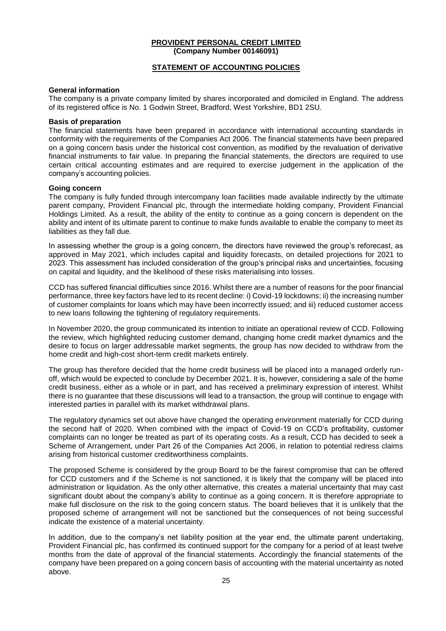### **STATEMENT OF ACCOUNTING POLICIES**

#### **General information**

The company is a private company limited by shares incorporated and domiciled in England. The address of its registered office is No. 1 Godwin Street, Bradford, West Yorkshire, BD1 2SU.

#### **Basis of preparation**

The financial statements have been prepared in accordance with international accounting standards in conformity with the requirements of the Companies Act 2006. The financial statements have been prepared on a going concern basis under the historical cost convention, as modified by the revaluation of derivative financial instruments to fair value. In preparing the financial statements, the directors are required to use certain critical accounting estimates and are required to exercise judgement in the application of the company's accounting policies.

#### **Going concern**

The company is fully funded through intercompany loan facilities made available indirectly by the ultimate parent company, Provident Financial plc, through the intermediate holding company, Provident Financial Holdings Limited. As a result, the ability of the entity to continue as a going concern is dependent on the ability and intent of its ultimate parent to continue to make funds available to enable the company to meet its liabilities as they fall due.

In assessing whether the group is a going concern, the directors have reviewed the group's reforecast, as approved in May 2021, which includes capital and liquidity forecasts, on detailed projections for 2021 to 2023. This assessment has included consideration of the group's principal risks and uncertainties, focusing on capital and liquidity, and the likelihood of these risks materialising into losses.

CCD has suffered financial difficulties since 2016. Whilst there are a number of reasons for the poor financial performance, three key factors have led to its recent decline: i) Covid-19 lockdowns; ii) the increasing number of customer complaints for loans which may have been incorrectly issued; and iii) reduced customer access to new loans following the tightening of regulatory requirements.

In November 2020, the group communicated its intention to initiate an operational review of CCD. Following the review, which highlighted reducing customer demand, changing home credit market dynamics and the desire to focus on larger addressable market segments, the group has now decided to withdraw from the home credit and high-cost short-term credit markets entirely.

The group has therefore decided that the home credit business will be placed into a managed orderly runoff, which would be expected to conclude by December 2021. It is, however, considering a sale of the home credit business, either as a whole or in part, and has received a preliminary expression of interest. Whilst there is no guarantee that these discussions will lead to a transaction, the group will continue to engage with interested parties in parallel with its market withdrawal plans.

The regulatory dynamics set out above have changed the operating environment materially for CCD during the second half of 2020. When combined with the impact of Covid-19 on CCD's profitability, customer complaints can no longer be treated as part of its operating costs. As a result, CCD has decided to seek a Scheme of Arrangement, under Part 26 of the Companies Act 2006, in relation to potential redress claims arising from historical customer creditworthiness complaints.

The proposed Scheme is considered by the group Board to be the fairest compromise that can be offered for CCD customers and if the Scheme is not sanctioned, it is likely that the company will be placed into administration or liquidation. As the only other alternative, this creates a material uncertainty that may cast significant doubt about the company's ability to continue as a going concern. It is therefore appropriate to make full disclosure on the risk to the going concern status. The board believes that it is unlikely that the proposed scheme of arrangement will not be sanctioned but the consequences of not being successful indicate the existence of a material uncertainty.

In addition, due to the company's net liability position at the year end, the ultimate parent undertaking, Provident Financial plc, has confirmed its continued support for the company for a period of at least twelve months from the date of approval of the financial statements. Accordingly the financial statements of the company have been prepared on a going concern basis of accounting with the material uncertainty as noted above.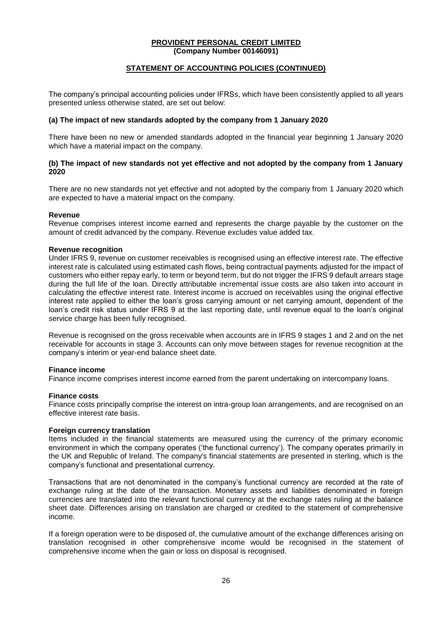### **STATEMENT OF ACCOUNTING POLICIES (CONTINUED)**

The company's principal accounting policies under IFRSs, which have been consistently applied to all years presented unless otherwise stated, are set out below:

#### **(a) The impact of new standards adopted by the company from 1 January 2020**

There have been no new or amended standards adopted in the financial year beginning 1 January 2020 which have a material impact on the company.

### **(b) The impact of new standards not yet effective and not adopted by the company from 1 January 2020**

There are no new standards not yet effective and not adopted by the company from 1 January 2020 which are expected to have a material impact on the company.

#### **Revenue**

Revenue comprises interest income earned and represents the charge payable by the customer on the amount of credit advanced by the company. Revenue excludes value added tax.

### **Revenue recognition**

Under IFRS 9, revenue on customer receivables is recognised using an effective interest rate. The effective interest rate is calculated using estimated cash flows, being contractual payments adjusted for the impact of customers who either repay early, to term or beyond term, but do not trigger the IFRS 9 default arrears stage during the full life of the loan. Directly attributable incremental issue costs are also taken into account in calculating the effective interest rate. Interest income is accrued on receivables using the original effective interest rate applied to either the loan's gross carrying amount or net carrying amount, dependent of the loan's credit risk status under IFRS 9 at the last reporting date, until revenue equal to the loan's original service charge has been fully recognised.

Revenue is recognised on the gross receivable when accounts are in IFRS 9 stages 1 and 2 and on the net receivable for accounts in stage 3. Accounts can only move between stages for revenue recognition at the company's interim or year-end balance sheet date.

#### **Finance income**

Finance income comprises interest income earned from the parent undertaking on intercompany loans.

#### **Finance costs**

Finance costs principally comprise the interest on intra-group loan arrangements, and are recognised on an effective interest rate basis.

#### **Foreign currency translation**

Items included in the financial statements are measured using the currency of the primary economic environment in which the company operates ('the functional currency'). The company operates primarily in the UK and Republic of Ireland. The company's financial statements are presented in sterling, which is the company's functional and presentational currency.

Transactions that are not denominated in the company's functional currency are recorded at the rate of exchange ruling at the date of the transaction. Monetary assets and liabilities denominated in foreign currencies are translated into the relevant functional currency at the exchange rates ruling at the balance sheet date. Differences arising on translation are charged or credited to the statement of comprehensive income.

If a foreign operation were to be disposed of, the cumulative amount of the exchange differences arising on translation recognised in other comprehensive income would be recognised in the statement of comprehensive income when the gain or loss on disposal is recognised.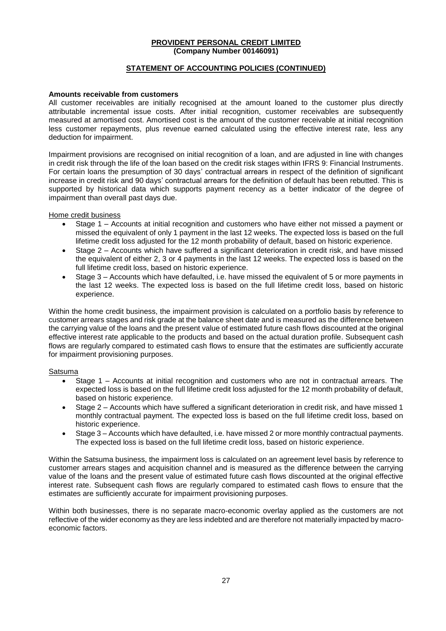### **STATEMENT OF ACCOUNTING POLICIES (CONTINUED)**

#### **Amounts receivable from customers**

All customer receivables are initially recognised at the amount loaned to the customer plus directly attributable incremental issue costs. After initial recognition, customer receivables are subsequently measured at amortised cost. Amortised cost is the amount of the customer receivable at initial recognition less customer repayments, plus revenue earned calculated using the effective interest rate, less any deduction for impairment.

Impairment provisions are recognised on initial recognition of a loan, and are adjusted in line with changes in credit risk through the life of the loan based on the credit risk stages within IFRS 9: Financial Instruments. For certain loans the presumption of 30 days' contractual arrears in respect of the definition of significant increase in credit risk and 90 days' contractual arrears for the definition of default has been rebutted. This is supported by historical data which supports payment recency as a better indicator of the degree of impairment than overall past days due.

Home credit business

- Stage 1 Accounts at initial recognition and customers who have either not missed a payment or missed the equivalent of only 1 payment in the last 12 weeks. The expected loss is based on the full lifetime credit loss adjusted for the 12 month probability of default, based on historic experience.
- Stage 2 Accounts which have suffered a significant deterioration in credit risk, and have missed the equivalent of either 2, 3 or 4 payments in the last 12 weeks. The expected loss is based on the full lifetime credit loss, based on historic experience.
- Stage 3 Accounts which have defaulted, i.e. have missed the equivalent of 5 or more payments in the last 12 weeks. The expected loss is based on the full lifetime credit loss, based on historic experience.

Within the home credit business, the impairment provision is calculated on a portfolio basis by reference to customer arrears stages and risk grade at the balance sheet date and is measured as the difference between the carrying value of the loans and the present value of estimated future cash flows discounted at the original effective interest rate applicable to the products and based on the actual duration profile. Subsequent cash flows are regularly compared to estimated cash flows to ensure that the estimates are sufficiently accurate for impairment provisioning purposes.

#### Satsuma

- Stage 1 Accounts at initial recognition and customers who are not in contractual arrears. The expected loss is based on the full lifetime credit loss adjusted for the 12 month probability of default, based on historic experience.
- Stage 2 Accounts which have suffered a significant deterioration in credit risk, and have missed 1 monthly contractual payment. The expected loss is based on the full lifetime credit loss, based on historic experience.
- Stage 3 Accounts which have defaulted, i.e. have missed 2 or more monthly contractual payments. The expected loss is based on the full lifetime credit loss, based on historic experience.

Within the Satsuma business, the impairment loss is calculated on an agreement level basis by reference to customer arrears stages and acquisition channel and is measured as the difference between the carrying value of the loans and the present value of estimated future cash flows discounted at the original effective interest rate. Subsequent cash flows are regularly compared to estimated cash flows to ensure that the estimates are sufficiently accurate for impairment provisioning purposes.

Within both businesses, there is no separate macro-economic overlay applied as the customers are not reflective of the wider economy as they are less indebted and are therefore not materially impacted by macroeconomic factors.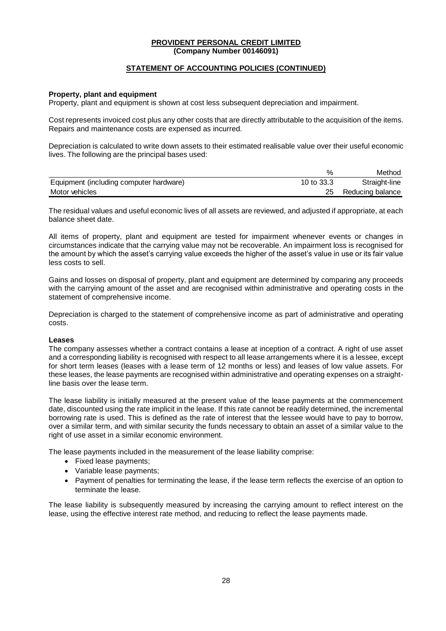### **STATEMENT OF ACCOUNTING POLICIES (CONTINUED)**

#### **Property, plant and equipment**

Property, plant and equipment is shown at cost less subsequent depreciation and impairment.

Cost represents invoiced cost plus any other costs that are directly attributable to the acquisition of the items. Repairs and maintenance costs are expensed as incurred.

Depreciation is calculated to write down assets to their estimated realisable value over their useful economic lives. The following are the principal bases used:

|                                         |            | Method           |
|-----------------------------------------|------------|------------------|
| Equipment (including computer hardware) | 10 to 33.3 | Straight-line    |
| Motor vehicles                          |            | Reducing balance |

The residual values and useful economic lives of all assets are reviewed, and adjusted if appropriate, at each balance sheet date.

All items of property, plant and equipment are tested for impairment whenever events or changes in circumstances indicate that the carrying value may not be recoverable. An impairment loss is recognised for the amount by which the asset's carrying value exceeds the higher of the asset's value in use or its fair value less costs to sell.

Gains and losses on disposal of property, plant and equipment are determined by comparing any proceeds with the carrying amount of the asset and are recognised within administrative and operating costs in the statement of comprehensive income.

Depreciation is charged to the statement of comprehensive income as part of administrative and operating costs.

#### **Leases**

The company assesses whether a contract contains a lease at inception of a contract. A right of use asset and a corresponding liability is recognised with respect to all lease arrangements where it is a lessee, except for short term leases (leases with a lease term of 12 months or less) and leases of low value assets. For these leases, the lease payments are recognised within administrative and operating expenses on a straightline basis over the lease term.

The lease liability is initially measured at the present value of the lease payments at the commencement date, discounted using the rate implicit in the lease. If this rate cannot be readily determined, the incremental borrowing rate is used. This is defined as the rate of interest that the lessee would have to pay to borrow, over a similar term, and with similar security the funds necessary to obtain an asset of a similar value to the right of use asset in a similar economic environment.

The lease payments included in the measurement of the lease liability comprise:

- Fixed lease payments;
- Variable lease payments;
- Payment of penalties for terminating the lease, if the lease term reflects the exercise of an option to terminate the lease.

The lease liability is subsequently measured by increasing the carrying amount to reflect interest on the lease, using the effective interest rate method, and reducing to reflect the lease payments made.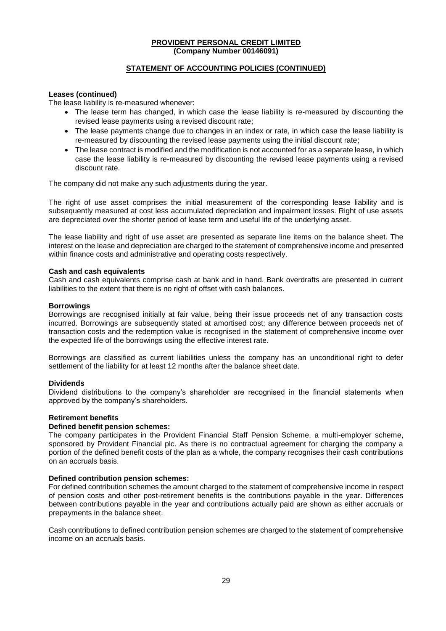### **STATEMENT OF ACCOUNTING POLICIES (CONTINUED)**

#### **Leases (continued)**

The lease liability is re-measured whenever:

- The lease term has changed, in which case the lease liability is re-measured by discounting the revised lease payments using a revised discount rate;
- The lease payments change due to changes in an index or rate, in which case the lease liability is re-measured by discounting the revised lease payments using the initial discount rate;
- The lease contract is modified and the modification is not accounted for as a separate lease, in which case the lease liability is re-measured by discounting the revised lease payments using a revised discount rate.

The company did not make any such adjustments during the year.

The right of use asset comprises the initial measurement of the corresponding lease liability and is subsequently measured at cost less accumulated depreciation and impairment losses. Right of use assets are depreciated over the shorter period of lease term and useful life of the underlying asset.

The lease liability and right of use asset are presented as separate line items on the balance sheet. The interest on the lease and depreciation are charged to the statement of comprehensive income and presented within finance costs and administrative and operating costs respectively.

#### **Cash and cash equivalents**

Cash and cash equivalents comprise cash at bank and in hand. Bank overdrafts are presented in current liabilities to the extent that there is no right of offset with cash balances.

#### **Borrowings**

Borrowings are recognised initially at fair value, being their issue proceeds net of any transaction costs incurred. Borrowings are subsequently stated at amortised cost; any difference between proceeds net of transaction costs and the redemption value is recognised in the statement of comprehensive income over the expected life of the borrowings using the effective interest rate.

Borrowings are classified as current liabilities unless the company has an unconditional right to defer settlement of the liability for at least 12 months after the balance sheet date.

#### **Dividends**

Dividend distributions to the company's shareholder are recognised in the financial statements when approved by the company's shareholders.

#### **Retirement benefits**

#### **Defined benefit pension schemes:**

The company participates in the Provident Financial Staff Pension Scheme, a multi-employer scheme, sponsored by Provident Financial plc. As there is no contractual agreement for charging the company a portion of the defined benefit costs of the plan as a whole, the company recognises their cash contributions on an accruals basis.

#### **Defined contribution pension schemes:**

For defined contribution schemes the amount charged to the statement of comprehensive income in respect of pension costs and other post-retirement benefits is the contributions payable in the year. Differences between contributions payable in the year and contributions actually paid are shown as either accruals or prepayments in the balance sheet.

Cash contributions to defined contribution pension schemes are charged to the statement of comprehensive income on an accruals basis.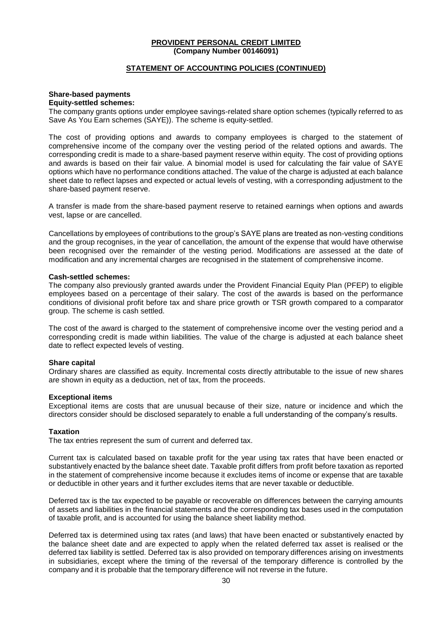#### **STATEMENT OF ACCOUNTING POLICIES (CONTINUED)**

# **Share-based payments**

#### **Equity-settled schemes:**

The company grants options under employee savings-related share option schemes (typically referred to as Save As You Earn schemes (SAYE)). The scheme is equity-settled.

The cost of providing options and awards to company employees is charged to the statement of comprehensive income of the company over the vesting period of the related options and awards. The corresponding credit is made to a share-based payment reserve within equity. The cost of providing options and awards is based on their fair value. A binomial model is used for calculating the fair value of SAYE options which have no performance conditions attached. The value of the charge is adjusted at each balance sheet date to reflect lapses and expected or actual levels of vesting, with a corresponding adjustment to the share-based payment reserve.

A transfer is made from the share-based payment reserve to retained earnings when options and awards vest, lapse or are cancelled.

Cancellations by employees of contributions to the group's SAYE plans are treated as non-vesting conditions and the group recognises, in the year of cancellation, the amount of the expense that would have otherwise been recognised over the remainder of the vesting period. Modifications are assessed at the date of modification and any incremental charges are recognised in the statement of comprehensive income.

### **Cash-settled schemes:**

The company also previously granted awards under the Provident Financial Equity Plan (PFEP) to eligible employees based on a percentage of their salary. The cost of the awards is based on the performance conditions of divisional profit before tax and share price growth or TSR growth compared to a comparator group. The scheme is cash settled.

The cost of the award is charged to the statement of comprehensive income over the vesting period and a corresponding credit is made within liabilities. The value of the charge is adjusted at each balance sheet date to reflect expected levels of vesting.

#### **Share capital**

Ordinary shares are classified as equity. Incremental costs directly attributable to the issue of new shares are shown in equity as a deduction, net of tax, from the proceeds.

#### **Exceptional items**

Exceptional items are costs that are unusual because of their size, nature or incidence and which the directors consider should be disclosed separately to enable a full understanding of the company's results.

#### **Taxation**

The tax entries represent the sum of current and deferred tax.

Current tax is calculated based on taxable profit for the year using tax rates that have been enacted or substantively enacted by the balance sheet date. Taxable profit differs from profit before taxation as reported in the statement of comprehensive income because it excludes items of income or expense that are taxable or deductible in other years and it further excludes items that are never taxable or deductible.

Deferred tax is the tax expected to be payable or recoverable on differences between the carrying amounts of assets and liabilities in the financial statements and the corresponding tax bases used in the computation of taxable profit, and is accounted for using the balance sheet liability method.

Deferred tax is determined using tax rates (and laws) that have been enacted or substantively enacted by the balance sheet date and are expected to apply when the related deferred tax asset is realised or the deferred tax liability is settled. Deferred tax is also provided on temporary differences arising on investments in subsidiaries, except where the timing of the reversal of the temporary difference is controlled by the company and it is probable that the temporary difference will not reverse in the future.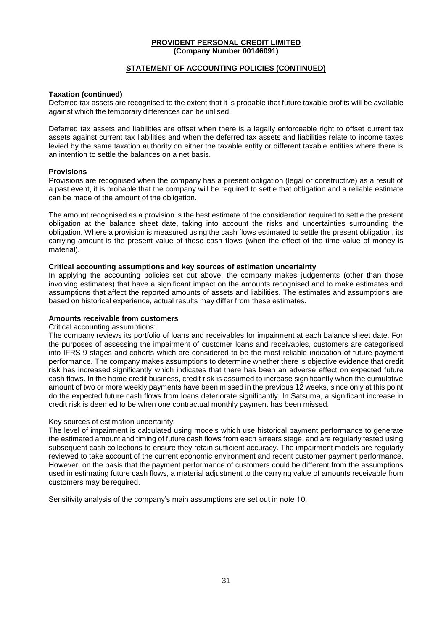### **STATEMENT OF ACCOUNTING POLICIES (CONTINUED)**

#### **Taxation (continued)**

Deferred tax assets are recognised to the extent that it is probable that future taxable profits will be available against which the temporary differences can be utilised.

Deferred tax assets and liabilities are offset when there is a legally enforceable right to offset current tax assets against current tax liabilities and when the deferred tax assets and liabilities relate to income taxes levied by the same taxation authority on either the taxable entity or different taxable entities where there is an intention to settle the balances on a net basis.

### **Provisions**

Provisions are recognised when the company has a present obligation (legal or constructive) as a result of a past event, it is probable that the company will be required to settle that obligation and a reliable estimate can be made of the amount of the obligation.

The amount recognised as a provision is the best estimate of the consideration required to settle the present obligation at the balance sheet date, taking into account the risks and uncertainties surrounding the obligation. Where a provision is measured using the cash flows estimated to settle the present obligation, its carrying amount is the present value of those cash flows (when the effect of the time value of money is material).

#### **Critical accounting assumptions and key sources of estimation uncertainty**

In applying the accounting policies set out above, the company makes judgements (other than those involving estimates) that have a significant impact on the amounts recognised and to make estimates and assumptions that affect the reported amounts of assets and liabilities. The estimates and assumptions are based on historical experience, actual results may differ from these estimates.

#### **Amounts receivable from customers**

#### Critical accounting assumptions:

The company reviews its portfolio of loans and receivables for impairment at each balance sheet date. For the purposes of assessing the impairment of customer loans and receivables, customers are categorised into IFRS 9 stages and cohorts which are considered to be the most reliable indication of future payment performance. The company makes assumptions to determine whether there is objective evidence that credit risk has increased significantly which indicates that there has been an adverse effect on expected future cash flows. In the home credit business, credit risk is assumed to increase significantly when the cumulative amount of two or more weekly payments have been missed in the previous 12 weeks, since only at this point do the expected future cash flows from loans deteriorate significantly. In Satsuma, a significant increase in credit risk is deemed to be when one contractual monthly payment has been missed.

#### Key sources of estimation uncertainty:

The level of impairment is calculated using models which use historical payment performance to generate the estimated amount and timing of future cash flows from each arrears stage, and are regularly tested using subsequent cash collections to ensure they retain sufficient accuracy. The impairment models are regularly reviewed to take account of the current economic environment and recent customer payment performance. However, on the basis that the payment performance of customers could be different from the assumptions used in estimating future cash flows, a material adjustment to the carrying value of amounts receivable from customers may berequired.

Sensitivity analysis of the company's main assumptions are set out in note 10.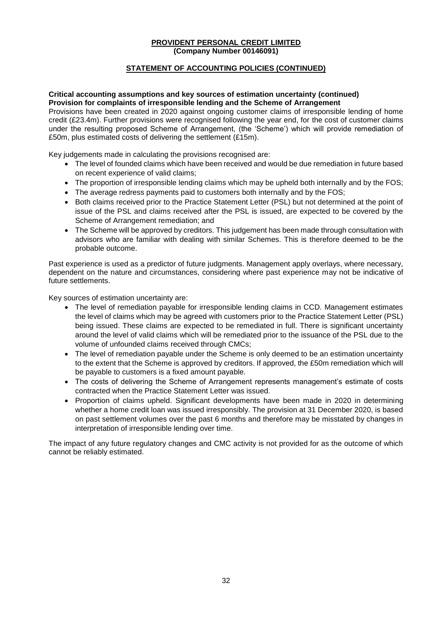### **STATEMENT OF ACCOUNTING POLICIES (CONTINUED)**

#### **Critical accounting assumptions and key sources of estimation uncertainty (continued) Provision for complaints of irresponsible lending and the Scheme of Arrangement**

Provisions have been created in 2020 against ongoing customer claims of irresponsible lending of home credit (£23.4m). Further provisions were recognised following the year end, for the cost of customer claims under the resulting proposed Scheme of Arrangement, (the 'Scheme') which will provide remediation of £50m, plus estimated costs of delivering the settlement (£15m).

Key judgements made in calculating the provisions recognised are:

- The level of founded claims which have been received and would be due remediation in future based on recent experience of valid claims;
- The proportion of irresponsible lending claims which may be upheld both internally and by the FOS;
- The average redress payments paid to customers both internally and by the FOS;
- Both claims received prior to the Practice Statement Letter (PSL) but not determined at the point of issue of the PSL and claims received after the PSL is issued, are expected to be covered by the Scheme of Arrangement remediation; and
- The Scheme will be approved by creditors. This judgement has been made through consultation with advisors who are familiar with dealing with similar Schemes. This is therefore deemed to be the probable outcome.

Past experience is used as a predictor of future judgments. Management apply overlays, where necessary, dependent on the nature and circumstances, considering where past experience may not be indicative of future settlements.

Key sources of estimation uncertainty are:

- The level of remediation payable for irresponsible lending claims in CCD. Management estimates the level of claims which may be agreed with customers prior to the Practice Statement Letter (PSL) being issued. These claims are expected to be remediated in full. There is significant uncertainty around the level of valid claims which will be remediated prior to the issuance of the PSL due to the volume of unfounded claims received through CMCs;
- The level of remediation payable under the Scheme is only deemed to be an estimation uncertainty to the extent that the Scheme is approved by creditors. If approved, the £50m remediation which will be payable to customers is a fixed amount payable.
- The costs of delivering the Scheme of Arrangement represents management's estimate of costs contracted when the Practice Statement Letter was issued.
- Proportion of claims upheld. Significant developments have been made in 2020 in determining whether a home credit loan was issued irresponsibly. The provision at 31 December 2020, is based on past settlement volumes over the past 6 months and therefore may be misstated by changes in interpretation of irresponsible lending over time.

The impact of any future regulatory changes and CMC activity is not provided for as the outcome of which cannot be reliably estimated.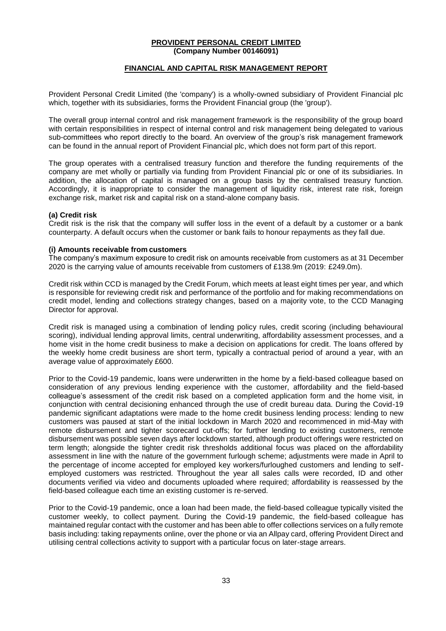### **FINANCIAL AND CAPITAL RISK MANAGEMENT REPORT**

Provident Personal Credit Limited (the 'company') is a wholly-owned subsidiary of Provident Financial plc which, together with its subsidiaries, forms the Provident Financial group (the 'group').

The overall group internal control and risk management framework is the responsibility of the group board with certain responsibilities in respect of internal control and risk management being delegated to various sub-committees who report directly to the board. An overview of the group's risk management framework can be found in the annual report of Provident Financial plc, which does not form part of this report.

The group operates with a centralised treasury function and therefore the funding requirements of the company are met wholly or partially via funding from Provident Financial plc or one of its subsidiaries. In addition, the allocation of capital is managed on a group basis by the centralised treasury function. Accordingly, it is inappropriate to consider the management of liquidity risk, interest rate risk, foreign exchange risk, market risk and capital risk on a stand-alone company basis.

### **(a) Credit risk**

Credit risk is the risk that the company will suffer loss in the event of a default by a customer or a bank counterparty. A default occurs when the customer or bank fails to honour repayments as they fall due.

#### **(i) Amounts receivable from customers**

The company's maximum exposure to credit risk on amounts receivable from customers as at 31 December 2020 is the carrying value of amounts receivable from customers of £138.9m (2019: £249.0m).

Credit risk within CCD is managed by the Credit Forum, which meets at least eight times per year, and which is responsible for reviewing credit risk and performance of the portfolio and for making recommendations on credit model, lending and collections strategy changes, based on a majority vote, to the CCD Managing Director for approval.

Credit risk is managed using a combination of lending policy rules, credit scoring (including behavioural scoring), individual lending approval limits, central underwriting, affordability assessment processes, and a home visit in the home credit business to make a decision on applications for credit. The loans offered by the weekly home credit business are short term, typically a contractual period of around a year, with an average value of approximately £600.

Prior to the Covid-19 pandemic, loans were underwritten in the home by a field-based colleague based on consideration of any previous lending experience with the customer, affordability and the field-based colleague's assessment of the credit risk based on a completed application form and the home visit, in conjunction with central decisioning enhanced through the use of credit bureau data. During the Covid-19 pandemic significant adaptations were made to the home credit business lending process: lending to new customers was paused at start of the initial lockdown in March 2020 and recommenced in mid-May with remote disbursement and tighter scorecard cut-offs; for further lending to existing customers, remote disbursement was possible seven days after lockdown started, although product offerings were restricted on term length; alongside the tighter credit risk thresholds additional focus was placed on the affordability assessment in line with the nature of the government furlough scheme; adjustments were made in April to the percentage of income accepted for employed key workers/furloughed customers and lending to selfemployed customers was restricted. Throughout the year all sales calls were recorded, ID and other documents verified via video and documents uploaded where required; affordability is reassessed by the field-based colleague each time an existing customer is re-served.

Prior to the Covid-19 pandemic, once a loan had been made, the field-based colleague typically visited the customer weekly, to collect payment. During the Covid-19 pandemic, the field-based colleague has maintained regular contact with the customer and has been able to offer collections services on a fully remote basis including: taking repayments online, over the phone or via an Allpay card, offering Provident Direct and utilising central collections activity to support with a particular focus on later-stage arrears.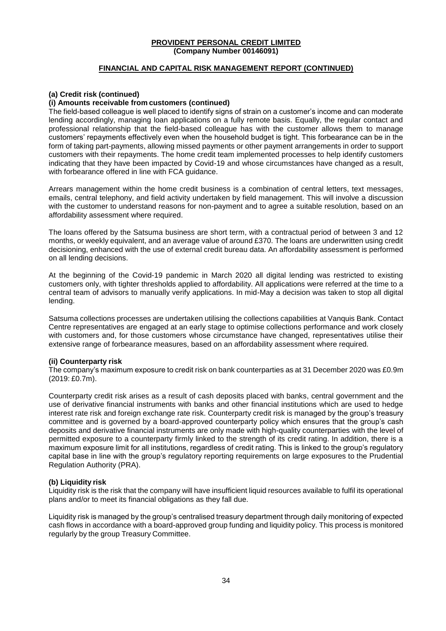### **FINANCIAL AND CAPITAL RISK MANAGEMENT REPORT (CONTINUED)**

### **(a) Credit risk (continued)**

### **(i) Amounts receivable from customers (continued)**

The field-based colleague is well placed to identify signs of strain on a customer's income and can moderate lending accordingly, managing loan applications on a fully remote basis. Equally, the regular contact and professional relationship that the field-based colleague has with the customer allows them to manage customers' repayments effectively even when the household budget is tight. This forbearance can be in the form of taking part-payments, allowing missed payments or other payment arrangements in order to support customers with their repayments. The home credit team implemented processes to help identify customers indicating that they have been impacted by Covid-19 and whose circumstances have changed as a result, with forbearance offered in line with FCA guidance.

Arrears management within the home credit business is a combination of central letters, text messages, emails, central telephony, and field activity undertaken by field management. This will involve a discussion with the customer to understand reasons for non-payment and to agree a suitable resolution, based on an affordability assessment where required.

The loans offered by the Satsuma business are short term, with a contractual period of between 3 and 12 months, or weekly equivalent, and an average value of around £370. The loans are underwritten using credit decisioning, enhanced with the use of external credit bureau data. An affordability assessment is performed on all lending decisions.

At the beginning of the Covid-19 pandemic in March 2020 all digital lending was restricted to existing customers only, with tighter thresholds applied to affordability. All applications were referred at the time to a central team of advisors to manually verify applications. In mid-May a decision was taken to stop all digital lending.

Satsuma collections processes are undertaken utilising the collections capabilities at Vanquis Bank. Contact Centre representatives are engaged at an early stage to optimise collections performance and work closely with customers and, for those customers whose circumstance have changed, representatives utilise their extensive range of forbearance measures, based on an affordability assessment where required.

#### **(ii) Counterparty risk**

The company's maximum exposure to credit risk on bank counterparties as at 31 December 2020 was £0.9m (2019: £0.7m).

Counterparty credit risk arises as a result of cash deposits placed with banks, central government and the use of derivative financial instruments with banks and other financial institutions which are used to hedge interest rate risk and foreign exchange rate risk. Counterparty credit risk is managed by the group's treasury committee and is governed by a board-approved counterparty policy which ensures that the group's cash deposits and derivative financial instruments are only made with high-quality counterparties with the level of permitted exposure to a counterparty firmly linked to the strength of its credit rating. In addition, there is a maximum exposure limit for all institutions, regardless of credit rating. This is linked to the group's regulatory capital base in line with the group's regulatory reporting requirements on large exposures to the Prudential Regulation Authority (PRA).

#### **(b) Liquidity risk**

Liquidity risk is the risk that the company will have insufficient liquid resources available to fulfil its operational plans and/or to meet its financial obligations as they fall due.

Liquidity risk is managed by the group's centralised treasury department through daily monitoring of expected cash flows in accordance with a board-approved group funding and liquidity policy. This process is monitored regularly by the group Treasury Committee.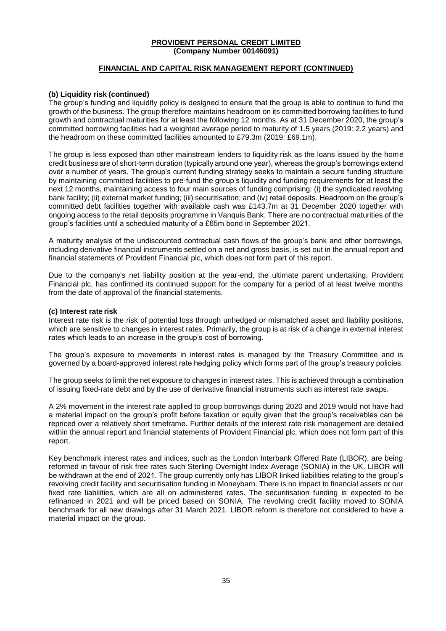### **FINANCIAL AND CAPITAL RISK MANAGEMENT REPORT (CONTINUED)**

### **(b) Liquidity risk (continued)**

The group's funding and liquidity policy is designed to ensure that the group is able to continue to fund the growth of the business. The group therefore maintains headroom on its committed borrowing facilities to fund growth and contractual maturities for at least the following 12 months. As at 31 December 2020, the group's committed borrowing facilities had a weighted average period to maturity of 1.5 years (2019: 2.2 years) and the headroom on these committed facilities amounted to £79.3m (2019: £69.1m).

The group is less exposed than other mainstream lenders to liquidity risk as the loans issued by the home credit business are of short-term duration (typically around one year), whereas the group's borrowings extend over a number of years. The group's current funding strategy seeks to maintain a secure funding structure by maintaining committed facilities to pre-fund the group's liquidity and funding requirements for at least the next 12 months, maintaining access to four main sources of funding comprising: (i) the syndicated revolving bank facility; (ii) external market funding; (iii) securitisation; and (iv) retail deposits. Headroom on the group's committed debt facilities together with available cash was £143.7m at 31 December 2020 together with ongoing access to the retail deposits programme in Vanquis Bank. There are no contractual maturities of the group's facilities until a scheduled maturity of a £65m bond in September 2021.

A maturity analysis of the undiscounted contractual cash flows of the group's bank and other borrowings, including derivative financial instruments settled on a net and gross basis, is set out in the annual report and financial statements of Provident Financial plc, which does not form part of this report.

Due to the company's net liability position at the year-end, the ultimate parent undertaking, Provident Financial plc, has confirmed its continued support for the company for a period of at least twelve months from the date of approval of the financial statements.

#### **(c) Interest rate risk**

Interest rate risk is the risk of potential loss through unhedged or mismatched asset and liability positions, which are sensitive to changes in interest rates. Primarily, the group is at risk of a change in external interest rates which leads to an increase in the group's cost of borrowing.

The group's exposure to movements in interest rates is managed by the Treasury Committee and is governed by a board-approved interest rate hedging policy which forms part of the group's treasury policies.

The group seeks to limit the net exposure to changes in interest rates. This is achieved through a combination of issuing fixed-rate debt and by the use of derivative financial instruments such as interest rate swaps.

A 2% movement in the interest rate applied to group borrowings during 2020 and 2019 would not have had a material impact on the group's profit before taxation or equity given that the group's receivables can be repriced over a relatively short timeframe. Further details of the interest rate risk management are detailed within the annual report and financial statements of Provident Financial plc, which does not form part of this report.

Key benchmark interest rates and indices, such as the London Interbank Offered Rate (LIBOR), are being reformed in favour of risk free rates such Sterling Overnight Index Average (SONIA) in the UK. LIBOR will be withdrawn at the end of 2021. The group currently only has LIBOR linked liabilities relating to the group's revolving credit facility and securitisation funding in Moneybarn. There is no impact to financial assets or our fixed rate liabilities, which are all on administered rates. The securitisation funding is expected to be refinanced in 2021 and will be priced based on SONIA. The revolving credit facility moved to SONIA benchmark for all new drawings after 31 March 2021. LIBOR reform is therefore not considered to have a material impact on the group.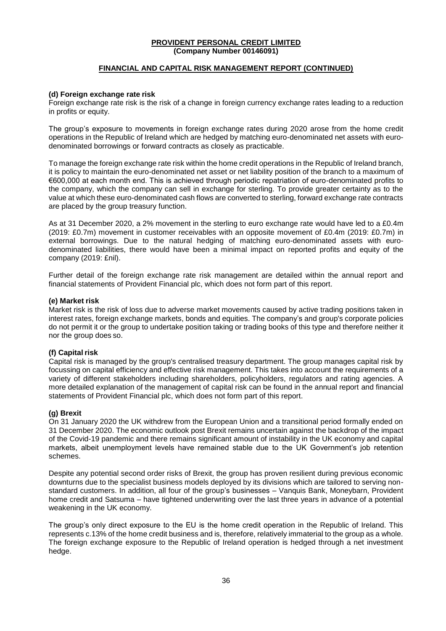### **FINANCIAL AND CAPITAL RISK MANAGEMENT REPORT (CONTINUED)**

#### **(d) Foreign exchange rate risk**

Foreign exchange rate risk is the risk of a change in foreign currency exchange rates leading to a reduction in profits or equity.

The group's exposure to movements in foreign exchange rates during 2020 arose from the home credit operations in the Republic of Ireland which are hedged by matching euro-denominated net assets with eurodenominated borrowings or forward contracts as closely as practicable.

To manage the foreign exchange rate risk within the home credit operations in the Republic of Ireland branch, it is policy to maintain the euro-denominated net asset or net liability position of the branch to a maximum of €600,000 at each month end. This is achieved through periodic repatriation of euro-denominated profits to the company, which the company can sell in exchange for sterling. To provide greater certainty as to the value at which these euro-denominated cash flows are converted to sterling, forward exchange rate contracts are placed by the group treasury function.

As at 31 December 2020, a 2% movement in the sterling to euro exchange rate would have led to a £0.4m (2019: £0.7m) movement in customer receivables with an opposite movement of £0.4m (2019: £0.7m) in external borrowings. Due to the natural hedging of matching euro-denominated assets with eurodenominated liabilities, there would have been a minimal impact on reported profits and equity of the company (2019: £nil).

Further detail of the foreign exchange rate risk management are detailed within the annual report and financial statements of Provident Financial plc, which does not form part of this report.

#### **(e) Market risk**

Market risk is the risk of loss due to adverse market movements caused by active trading positions taken in interest rates, foreign exchange markets, bonds and equities. The company's and group's corporate policies do not permit it or the group to undertake position taking or trading books of this type and therefore neither it nor the group does so.

#### **(f) Capital risk**

Capital risk is managed by the group's centralised treasury department. The group manages capital risk by focussing on capital efficiency and effective risk management. This takes into account the requirements of a variety of different stakeholders including shareholders, policyholders, regulators and rating agencies. A more detailed explanation of the management of capital risk can be found in the annual report and financial statements of Provident Financial plc, which does not form part of this report.

### **(g) Brexit**

On 31 January 2020 the UK withdrew from the European Union and a transitional period formally ended on 31 December 2020. The economic outlook post Brexit remains uncertain against the backdrop of the impact of the Covid-19 pandemic and there remains significant amount of instability in the UK economy and capital markets, albeit unemployment levels have remained stable due to the UK Government's job retention schemes.

Despite any potential second order risks of Brexit, the group has proven resilient during previous economic downturns due to the specialist business models deployed by its divisions which are tailored to serving nonstandard customers. In addition, all four of the group's businesses – Vanquis Bank, Moneybarn, Provident home credit and Satsuma – have tightened underwriting over the last three years in advance of a potential weakening in the UK economy.

The group's only direct exposure to the EU is the home credit operation in the Republic of Ireland. This represents c.13% of the home credit business and is, therefore, relatively immaterial to the group as a whole. The foreign exchange exposure to the Republic of Ireland operation is hedged through a net investment hedge.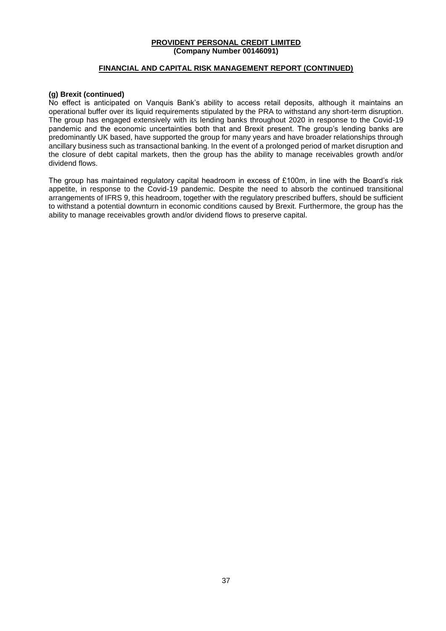### **FINANCIAL AND CAPITAL RISK MANAGEMENT REPORT (CONTINUED)**

#### **(g) Brexit (continued)**

No effect is anticipated on Vanquis Bank's ability to access retail deposits, although it maintains an operational buffer over its liquid requirements stipulated by the PRA to withstand any short-term disruption. The group has engaged extensively with its lending banks throughout 2020 in response to the Covid-19 pandemic and the economic uncertainties both that and Brexit present. The group's lending banks are predominantly UK based, have supported the group for many years and have broader relationships through ancillary business such as transactional banking. In the event of a prolonged period of market disruption and the closure of debt capital markets, then the group has the ability to manage receivables growth and/or dividend flows.

The group has maintained regulatory capital headroom in excess of £100m, in line with the Board's risk appetite, in response to the Covid-19 pandemic. Despite the need to absorb the continued transitional arrangements of IFRS 9, this headroom, together with the regulatory prescribed buffers, should be sufficient to withstand a potential downturn in economic conditions caused by Brexit. Furthermore, the group has the ability to manage receivables growth and/or dividend flows to preserve capital.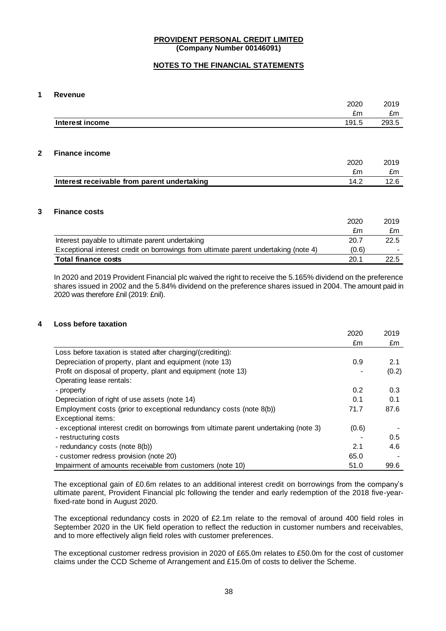### **NOTES TO THE FINANCIAL STATEMENTS**

#### **1 Revenue**

|             |                                             | 2020  | 2019  |
|-------------|---------------------------------------------|-------|-------|
|             |                                             | £m    | £m    |
|             | Interest income                             | 191.5 | 293.5 |
|             |                                             |       |       |
|             |                                             |       |       |
| $\mathbf 2$ | <b>Finance income</b>                       |       |       |
|             |                                             | 2020  | 2019  |
|             |                                             | £m    | £m    |
|             | Interest receivable from parent undertaking | 14.2  | 12.6  |

#### **3 Finance costs**

|                                                                                     | 2020  | 2019                     |
|-------------------------------------------------------------------------------------|-------|--------------------------|
|                                                                                     | £m    | £m                       |
| Interest payable to ultimate parent undertaking                                     | 20.7  | 22.5                     |
| Exceptional interest credit on borrowings from ultimate parent undertaking (note 4) | (0.6) | $\overline{\phantom{a}}$ |
| <b>Total finance costs</b>                                                          | 20.1  | 22.5                     |

In 2020 and 2019 Provident Financial plc waived the right to receive the 5.165% dividend on the preference shares issued in 2002 and the 5.84% dividend on the preference shares issued in 2004. The amount paid in 2020 was therefore £nil (2019: £nil).

### **4 Loss before taxation**

|                                                                                       | 2020  | 2019  |
|---------------------------------------------------------------------------------------|-------|-------|
|                                                                                       | £m    | £m    |
| Loss before taxation is stated after charging/(crediting):                            |       |       |
| Depreciation of property, plant and equipment (note 13)                               | 0.9   | 2.1   |
| Profit on disposal of property, plant and equipment (note 13)                         |       | (0.2) |
| Operating lease rentals:                                                              |       |       |
| - property                                                                            | 0.2   | 0.3   |
| Depreciation of right of use assets (note 14)                                         | 0.1   | 0.1   |
| Employment costs (prior to exceptional redundancy costs (note 8(b))                   | 71.7  | 87.6  |
| Exceptional items:                                                                    |       |       |
| - exceptional interest credit on borrowings from ultimate parent undertaking (note 3) | (0.6) |       |
| - restructuring costs                                                                 |       | 0.5   |
| - redundancy costs (note 8(b))                                                        | 2.1   | 4.6   |
| - customer redress provision (note 20)                                                | 65.0  |       |
| Impairment of amounts receivable from customers (note 10)                             | 51.0  | 99.6  |

The exceptional gain of £0.6m relates to an additional interest credit on borrowings from the company's ultimate parent, Provident Financial plc following the tender and early redemption of the 2018 five-yearfixed-rate bond in August 2020.

The exceptional redundancy costs in 2020 of £2.1m relate to the removal of around 400 field roles in September 2020 in the UK field operation to reflect the reduction in customer numbers and receivables, and to more effectively align field roles with customer preferences.

The exceptional customer redress provision in 2020 of £65.0m relates to £50.0m for the cost of customer claims under the CCD Scheme of Arrangement and £15.0m of costs to deliver the Scheme.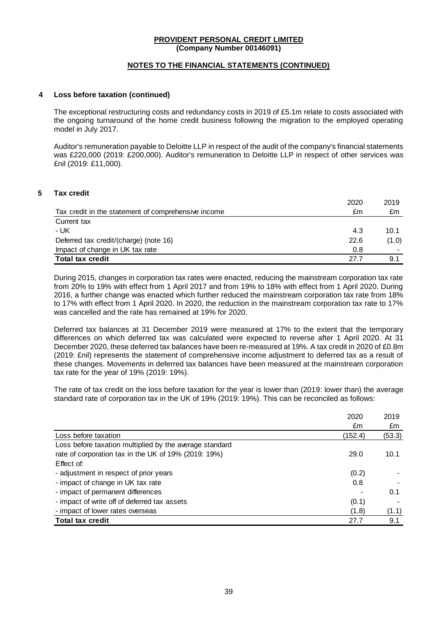### **NOTES TO THE FINANCIAL STATEMENTS (CONTINUED)**

#### **4 Loss before taxation (continued)**

The exceptional restructuring costs and redundancy costs in 2019 of £5.1m relate to costs associated with the ongoing turnaround of the home credit business following the migration to the employed operating model in July 2017.

Auditor's remuneration payable to Deloitte LLP in respect of the audit of the company's financial statements was £220,000 (2019: £200,000). Auditor's remuneration to Deloitte LLP in respect of other services was £nil (2019: £11,000).

### **5 Tax credit**

| 2020                                                      | 2019  |
|-----------------------------------------------------------|-------|
| Tax credit in the statement of comprehensive income<br>£m | £m    |
| Current tax                                               |       |
| - UK<br>4.3                                               | 10.1  |
| Deferred tax credit/(charge) (note 16)<br>22.6            | (1.0) |
| Impact of change in UK tax rate<br>0.8                    | -     |
| <b>Total tax credit</b><br>27.7                           | 9.1   |

During 2015, changes in corporation tax rates were enacted, reducing the mainstream corporation tax rate from 20% to 19% with effect from 1 April 2017 and from 19% to 18% with effect from 1 April 2020. During 2016, a further change was enacted which further reduced the mainstream corporation tax rate from 18% to 17% with effect from 1 April 2020. In 2020, the reduction in the mainstream corporation tax rate to 17% was cancelled and the rate has remained at 19% for 2020.

Deferred tax balances at 31 December 2019 were measured at 17% to the extent that the temporary differences on which deferred tax was calculated were expected to reverse after 1 April 2020. At 31 December 2020, these deferred tax balances have been re-measured at 19%. A tax credit in 2020 of £0.8m (2019: £nil) represents the statement of comprehensive income adjustment to deferred tax as a result of these changes. Movements in deferred tax balances have been measured at the mainstream corporation tax rate for the year of 19% (2019: 19%).

The rate of tax credit on the loss before taxation for the year is lower than (2019: lower than) the average standard rate of corporation tax in the UK of 19% (2019: 19%). This can be reconciled as follows:

|                                                         | 2020    | 2019   |
|---------------------------------------------------------|---------|--------|
|                                                         | £m      | £m     |
| Loss before taxation                                    | (152.4) | (53.3) |
| Loss before taxation multiplied by the average standard |         |        |
| rate of corporation tax in the UK of 19% (2019: 19%)    | 29.0    | 10.1   |
| Effect of:                                              |         |        |
| - adjustment in respect of prior years                  | (0.2)   |        |
| - impact of change in UK tax rate                       | 0.8     |        |
| - impact of permanent differences                       |         | 0.1    |
| - impact of write off of deferred tax assets            | (0.1)   |        |
| - impact of lower rates overseas                        | (1.8)   | (1.1)  |
| <b>Total tax credit</b>                                 | 27.7    | 9.1    |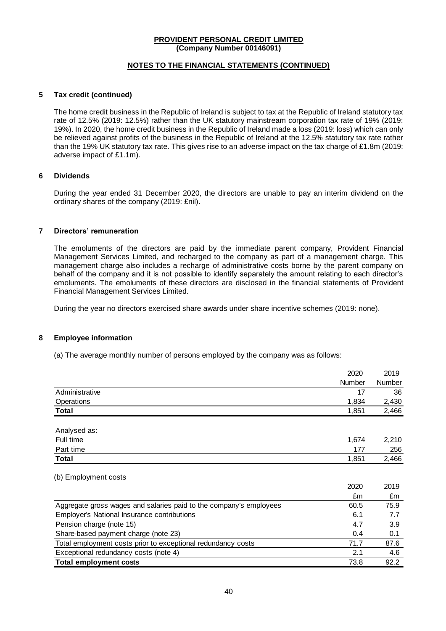### **NOTES TO THE FINANCIAL STATEMENTS (CONTINUED)**

### **5 Tax credit (continued)**

The home credit business in the Republic of Ireland is subject to tax at the Republic of Ireland statutory tax rate of 12.5% (2019: 12.5%) rather than the UK statutory mainstream corporation tax rate of 19% (2019: 19%). In 2020, the home credit business in the Republic of Ireland made a loss (2019: loss) which can only be relieved against profits of the business in the Republic of Ireland at the 12.5% statutory tax rate rather than the 19% UK statutory tax rate. This gives rise to an adverse impact on the tax charge of £1.8m (2019: adverse impact of £1.1m).

### **6 Dividends**

During the year ended 31 December 2020, the directors are unable to pay an interim dividend on the ordinary shares of the company (2019: £nil).

### **7 Directors' remuneration**

The emoluments of the directors are paid by the immediate parent company, Provident Financial Management Services Limited, and recharged to the company as part of a management charge. This management charge also includes a recharge of administrative costs borne by the parent company on behalf of the company and it is not possible to identify separately the amount relating to each director's emoluments. The emoluments of these directors are disclosed in the financial statements of Provident Financial Management Services Limited.

During the year no directors exercised share awards under share incentive schemes (2019: none).

#### **8 Employee information**

(a) The average monthly number of persons employed by the company was as follows:

|                                                                    | 2020   | 2019   |
|--------------------------------------------------------------------|--------|--------|
|                                                                    | Number | Number |
| Administrative                                                     | 17     | 36     |
| Operations                                                         | 1,834  | 2,430  |
| Total                                                              | 1,851  | 2,466  |
| Analysed as:                                                       |        |        |
| Full time                                                          | 1,674  | 2,210  |
| Part time                                                          | 177    | 256    |
| Total                                                              | 1,851  | 2,466  |
| (b) Employment costs                                               |        |        |
|                                                                    | 2020   | 2019   |
|                                                                    | £m     | £m     |
| Aggregate gross wages and salaries paid to the company's employees | 60.5   | 75.9   |
| <b>Employer's National Insurance contributions</b>                 | 6.1    | 7.7    |
| Pension charge (note 15)                                           | 4.7    | 3.9    |
| Share-based payment charge (note 23)                               | 0.4    | 0.1    |
| Total employment costs prior to exceptional redundancy costs       | 71.7   | 87.6   |
| Exceptional redundancy costs (note 4)                              | 2.1    | 4.6    |
| <b>Total employment costs</b>                                      | 73.8   | 92.2   |
|                                                                    |        |        |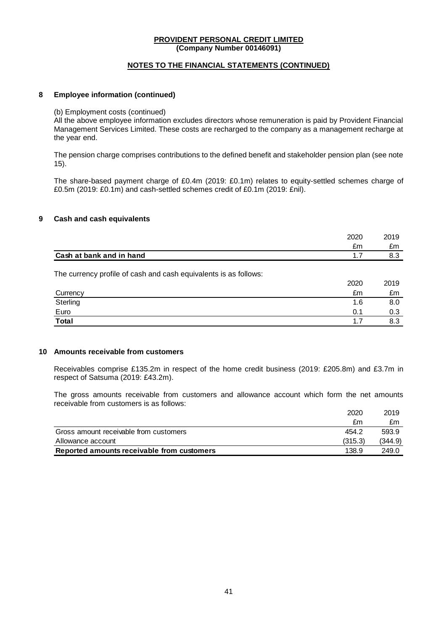### **NOTES TO THE FINANCIAL STATEMENTS (CONTINUED)**

### **8 Employee information (continued)**

(b) Employment costs (continued)

All the above employee information excludes directors whose remuneration is paid by Provident Financial Management Services Limited. These costs are recharged to the company as a management recharge at the year end.

The pension charge comprises contributions to the defined benefit and stakeholder pension plan (see note 15).

The share-based payment charge of £0.4m (2019: £0.1m) relates to equity-settled schemes charge of £0.5m (2019: £0.1m) and cash-settled schemes credit of £0.1m (2019: £nil).

### **9 Cash and cash equivalents**

|                                                                  | 2020 | 2019 |
|------------------------------------------------------------------|------|------|
|                                                                  | £m   | £m   |
| Cash at bank and in hand                                         | 1.7  | 8.3  |
| The currency profile of cash and cash equivalents is as follows: | 2020 | 2019 |
| Currency                                                         | £m   | £m   |
| Sterling                                                         | 1.6  | 8.0  |
| Euro                                                             | 0.1  | 0.3  |
| <b>Total</b>                                                     | 1.7  | 8.3  |
|                                                                  |      |      |

### **10 Amounts receivable from customers**

Receivables comprise £135.2m in respect of the home credit business (2019: £205.8m) and £3.7m in respect of Satsuma (2019: £43.2m).

The gross amounts receivable from customers and allowance account which form the net amounts receivable from customers is as follows:

|                                            | 2020    | 2019    |
|--------------------------------------------|---------|---------|
|                                            | £m      | £m      |
| Gross amount receivable from customers     | 454.2   | 593.9   |
| Allowance account                          | (315.3) | (344.9) |
| Reported amounts receivable from customers | 138.9   | 249.0   |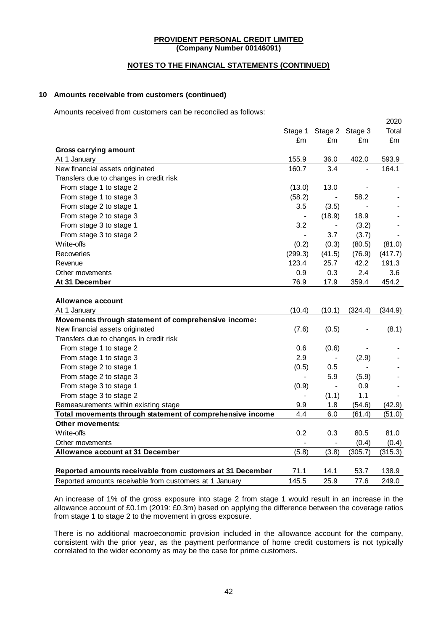### **NOTES TO THE FINANCIAL STATEMENTS (CONTINUED)**

### **10 Amounts receivable from customers (continued)**

Amounts received from customers can be reconciled as follows:

|                                                           |                          |                          |                 | 2020    |
|-----------------------------------------------------------|--------------------------|--------------------------|-----------------|---------|
|                                                           | Stage 1                  |                          | Stage 2 Stage 3 | Total   |
|                                                           | £m                       | £m                       | £m              | £m      |
| <b>Gross carrying amount</b>                              |                          |                          |                 |         |
| At 1 January                                              | 155.9                    | 36.0                     | 402.0           | 593.9   |
| New financial assets originated                           | 160.7                    | 3.4                      | $\overline{a}$  | 164.1   |
| Transfers due to changes in credit risk                   |                          |                          |                 |         |
| From stage 1 to stage 2                                   | (13.0)                   | 13.0                     |                 |         |
| From stage 1 to stage 3                                   | (58.2)                   | $\overline{\phantom{a}}$ | 58.2            |         |
| From stage 2 to stage 1                                   | 3.5                      | (3.5)                    |                 |         |
| From stage 2 to stage 3                                   | $\blacksquare$           | (18.9)                   | 18.9            |         |
| From stage 3 to stage 1                                   | 3.2                      | $\overline{\phantom{a}}$ | (3.2)           |         |
| From stage 3 to stage 2                                   | $\overline{\phantom{a}}$ | 3.7                      | (3.7)           |         |
| Write-offs                                                | (0.2)                    | (0.3)                    | (80.5)          | (81.0)  |
| Recoveries                                                | (299.3)                  | (41.5)                   | (76.9)          | (417.7) |
| Revenue                                                   | 123.4                    | 25.7                     | 42.2            | 191.3   |
| Other movements                                           | 0.9                      | 0.3                      | 2.4             | 3.6     |
| At 31 December                                            | 76.9                     | 17.9                     | 359.4           | 454.2   |
| <b>Allowance account</b>                                  |                          |                          |                 |         |
| At 1 January                                              | (10.4)                   | (10.1)                   | (324.4)         | (344.9) |
| Movements through statement of comprehensive income:      |                          |                          |                 |         |
| New financial assets originated                           | (7.6)                    | (0.5)                    |                 | (8.1)   |
| Transfers due to changes in credit risk                   |                          |                          |                 |         |
| From stage 1 to stage 2                                   | 0.6                      | (0.6)                    |                 |         |
| From stage 1 to stage 3                                   | 2.9                      |                          | (2.9)           |         |
| From stage 2 to stage 1                                   | (0.5)                    | 0.5                      |                 |         |
| From stage 2 to stage 3                                   |                          | 5.9                      | (5.9)           |         |
| From stage 3 to stage 1                                   | (0.9)                    | $\blacksquare$           | 0.9             |         |
| From stage 3 to stage 2                                   |                          | (1.1)                    | 1.1             |         |
| Remeasurements within existing stage                      | 9.9                      | 1.8                      | (54.6)          | (42.9)  |
| Total movements through statement of comprehensive income | 4.4                      | 6.0                      | (61.4)          | (51.0)  |
| <b>Other movements:</b>                                   |                          |                          |                 |         |
| Write-offs                                                | 0.2                      | 0.3                      | 80.5            | 81.0    |
| Other movements                                           |                          |                          | (0.4)           | (0.4)   |
| Allowance account at 31 December                          | (5.8)                    | (3.8)                    | (305.7)         | (315.3) |
| Reported amounts receivable from customers at 31 December | 71.1                     | 14.1                     | 53.7            | 138.9   |
| Reported amounts receivable from customers at 1 January   | 145.5                    | 25.9                     | 77.6            | 249.0   |

An increase of 1% of the gross exposure into stage 2 from stage 1 would result in an increase in the allowance account of £0.1m (2019: £0.3m) based on applying the difference between the coverage ratios from stage 1 to stage 2 to the movement in gross exposure.

There is no additional macroeconomic provision included in the allowance account for the company, consistent with the prior year, as the payment performance of home credit customers is not typically correlated to the wider economy as may be the case for prime customers.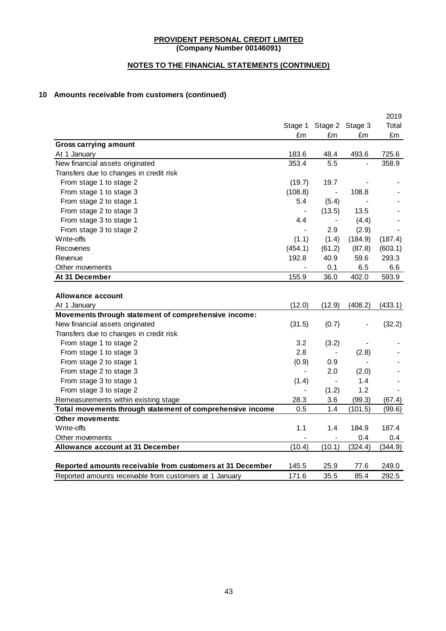# **NOTES TO THE FINANCIAL STATEMENTS (CONTINUED)**

# **10 Amounts receivable from customers (continued)**

|                                                           |                |                 |                | 2019    |
|-----------------------------------------------------------|----------------|-----------------|----------------|---------|
|                                                           | Stage 1        | Stage 2 Stage 3 |                | Total   |
|                                                           | £m             | £m              | £m             | £m      |
| <b>Gross carrying amount</b>                              |                |                 |                |         |
| At 1 January                                              | 183.6          | 48.4            | 493.6          | 725.6   |
| New financial assets originated                           | 353.4          | 5.5             | $\overline{a}$ | 358.9   |
| Transfers due to changes in credit risk                   |                |                 |                |         |
| From stage 1 to stage 2                                   | (19.7)         | 19.7            |                |         |
| From stage 1 to stage 3                                   | (108.8)        | $\blacksquare$  | 108.8          |         |
| From stage 2 to stage 1                                   | 5.4            | (5.4)           |                |         |
| From stage 2 to stage 3                                   |                | (13.5)          | 13.5           |         |
| From stage 3 to stage 1                                   | 4.4            |                 | (4.4)          |         |
| From stage 3 to stage 2                                   |                | 2.9             | (2.9)          |         |
| Write-offs                                                | (1.1)          | (1.4)           | (184.9)        | (187.4) |
| Recoveries                                                | (454.1)        | (61.2)          | (87.8)         | (603.1) |
| Revenue                                                   | 192.8          | 40.9            | 59.6           | 293.3   |
| Other movements                                           | $\blacksquare$ | 0.1             | 6.5            | 6.6     |
| At 31 December                                            | 155.9          | 36.0            | 402.0          | 593.9   |
|                                                           |                |                 |                |         |
| <b>Allowance account</b>                                  |                |                 |                |         |
| At 1 January                                              | (12.0)         | (12.9)          | (408.2)        | (433.1) |
| Movements through statement of comprehensive income:      |                |                 |                |         |
| New financial assets originated                           | (31.5)         | (0.7)           |                | (32.2)  |
| Transfers due to changes in credit risk                   |                |                 |                |         |
| From stage 1 to stage 2                                   | 3.2            | (3.2)           |                |         |
| From stage 1 to stage 3                                   | 2.8            |                 | (2.8)          |         |
| From stage 2 to stage 1                                   | (0.9)          | 0.9             |                |         |
| From stage 2 to stage 3                                   | $\sim$         | 2.0             | (2.0)          |         |
| From stage 3 to stage 1                                   | (1.4)          | $\blacksquare$  | 1.4            |         |
| From stage 3 to stage 2                                   |                | (1.2)           | 1.2            |         |
| Remeasurements within existing stage                      | 28.3           | 3.6             | (99.3)         | (67.4)  |
| Total movements through statement of comprehensive income | 0.5            | 1.4             | (101.5)        | (99.6)  |
| <b>Other movements:</b>                                   |                |                 |                |         |
| Write-offs                                                | 1.1            | 1.4             | 184.9          | 187.4   |
| Other movements                                           |                |                 | 0.4            | 0.4     |
| Allowance account at 31 December                          | (10.4)         | (10.1)          | (324.4)        | (344.9) |
|                                                           |                |                 |                |         |
| Reported amounts receivable from customers at 31 December | 145.5          | 25.9            | 77.6           | 249.0   |
| Reported amounts receivable from customers at 1 January   | 171.6          | 35.5            | 85.4           | 292.5   |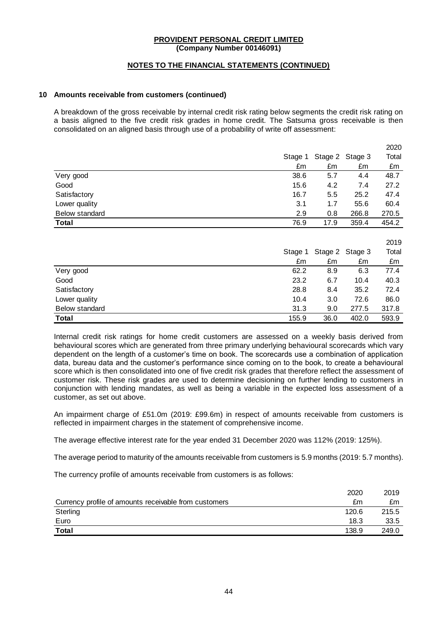### **NOTES TO THE FINANCIAL STATEMENTS (CONTINUED)**

#### **10 Amounts receivable from customers (continued)**

A breakdown of the gross receivable by internal credit risk rating below segments the credit risk rating on a basis aligned to the five credit risk grades in home credit. The Satsuma gross receivable is then consolidated on an aligned basis through use of a probability of write off assessment:

|                       |         |         |                 | 2020  |
|-----------------------|---------|---------|-----------------|-------|
|                       | Stage 1 |         | Stage 2 Stage 3 | Total |
|                       | £m      | £m      | £m              | £m    |
| Very good             | 38.6    | 5.7     | 4.4             | 48.7  |
| Good                  | 15.6    | 4.2     | 7.4             | 27.2  |
| Satisfactory          | 16.7    | 5.5     | 25.2            | 47.4  |
| Lower quality         | 3.1     | 1.7     | 55.6            | 60.4  |
| <b>Below standard</b> | 2.9     | 0.8     | 266.8           | 270.5 |
| Total                 | 76.9    | 17.9    | 359.4           | 454.2 |
|                       |         |         |                 |       |
|                       |         |         |                 | 2019  |
|                       | Stage 1 | Stage 2 | Stage 3         | Total |
|                       | £m      | £m      | £m              | £m    |
| Very good             | 62.2    | 8.9     | 6.3             | 77.4  |
| Good                  | 23.2    | 6.7     | 10.4            | 40.3  |
| Satisfactory          | 28.8    | 8.4     | 35.2            | 72.4  |
| Lower quality         | 10.4    | 3.0     | 72.6            | 86.0  |
| <b>Below standard</b> | 31.3    | 9.0     | 277.5           | 317.8 |
| Total                 | 155.9   | 36.0    | 402.0           | 593.9 |

Internal credit risk ratings for home credit customers are assessed on a weekly basis derived from behavioural scores which are generated from three primary underlying behavioural scorecards which vary dependent on the length of a customer's time on book. The scorecards use a combination of application data, bureau data and the customer's performance since coming on to the book, to create a behavioural score which is then consolidated into one of five credit risk grades that therefore reflect the assessment of customer risk. These risk grades are used to determine decisioning on further lending to customers in conjunction with lending mandates, as well as being a variable in the expected loss assessment of a customer, as set out above.

An impairment charge of £51.0m (2019: £99.6m) in respect of amounts receivable from customers is reflected in impairment charges in the statement of comprehensive income.

The average effective interest rate for the year ended 31 December 2020 was 112% (2019: 125%).

The average period to maturity of the amounts receivable from customers is 5.9 months (2019: 5.7 months).

The currency profile of amounts receivable from customers is as follows:

|                                                       | 2020  | 2019  |
|-------------------------------------------------------|-------|-------|
| Currency profile of amounts receivable from customers | £m    | £m    |
| Sterling                                              | 120.6 | 215.5 |
| Euro                                                  | 18.3  | 33.5  |
| <b>Total</b>                                          | 138.9 | 249.0 |
|                                                       |       |       |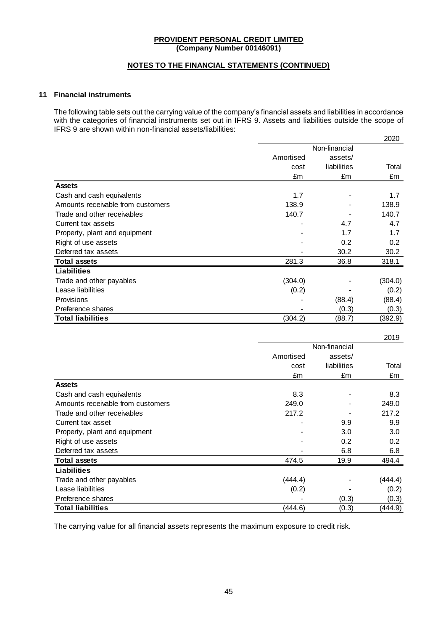### **NOTES TO THE FINANCIAL STATEMENTS (CONTINUED)**

### **11 Financial instruments**

The following table sets out the carrying value of the company's financial assets and liabilities in accordance with the categories of financial instruments set out in IFRS 9. Assets and liabilities outside the scope of IFRS 9 are shown within non-financial assets/liabilities:

|                                   |           |               | 2020    |  |
|-----------------------------------|-----------|---------------|---------|--|
|                                   |           | Non-financial |         |  |
|                                   | Amortised | assets/       |         |  |
|                                   | cost      | liabilities   | Total   |  |
|                                   | £m        | £m            | £m      |  |
| <b>Assets</b>                     |           |               |         |  |
| Cash and cash equivalents         | 1.7       |               | 1.7     |  |
| Amounts receivable from customers | 138.9     |               | 138.9   |  |
| Trade and other receivables       | 140.7     |               | 140.7   |  |
| Current tax assets                |           | 4.7           | 4.7     |  |
| Property, plant and equipment     |           | 1.7           | 1.7     |  |
| Right of use assets               |           | 0.2           | 0.2     |  |
| Deferred tax assets               |           | 30.2          | 30.2    |  |
| <b>Total assets</b>               | 281.3     | 36.8          | 318.1   |  |
| <b>Liabilities</b>                |           |               |         |  |
| Trade and other payables          | (304.0)   |               | (304.0) |  |
| Lease liabilities                 | (0.2)     |               | (0.2)   |  |
| <b>Provisions</b>                 |           | (88.4)        | (88.4)  |  |
| Preference shares                 |           | (0.3)         | (0.3)   |  |
| <b>Total liabilities</b>          | (304.2)   | (88.7)        | (392.9) |  |

|                                   |           |               | 2019    |  |
|-----------------------------------|-----------|---------------|---------|--|
|                                   |           | Non-financial |         |  |
|                                   | Amortised | assets/       |         |  |
|                                   | cost      | liabilities   | Total   |  |
|                                   | £m        | £m            | £m      |  |
| <b>Assets</b>                     |           |               |         |  |
| Cash and cash equivalents         | 8.3       |               | 8.3     |  |
| Amounts receivable from customers | 249.0     |               | 249.0   |  |
| Trade and other receivables       | 217.2     |               | 217.2   |  |
| Current tax asset                 |           | 9.9           | 9.9     |  |
| Property, plant and equipment     |           | 3.0           | 3.0     |  |
| Right of use assets               |           | 0.2           | 0.2     |  |
| Deferred tax assets               |           | 6.8           | 6.8     |  |
| <b>Total assets</b>               | 474.5     | 19.9          | 494.4   |  |
| <b>Liabilities</b>                |           |               |         |  |
| Trade and other payables          | (444.4)   |               | (444.4) |  |
| Lease liabilities                 | (0.2)     |               | (0.2)   |  |
| Preference shares                 |           | (0.3)         | (0.3)   |  |
| <b>Total liabilities</b>          | (444.6)   | (0.3)         | (444.9) |  |

The carrying value for all financial assets represents the maximum exposure to credit risk.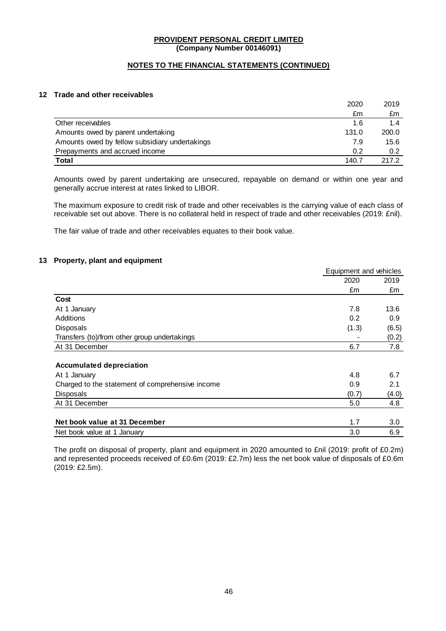### **NOTES TO THE FINANCIAL STATEMENTS (CONTINUED)**

### **12 Trade and other receivables**

|                                                | 2020  | 2019  |
|------------------------------------------------|-------|-------|
|                                                | £m    | £m    |
| Other receivables                              | 1.6   | 1.4   |
| Amounts owed by parent undertaking             | 131.0 | 200.0 |
| Amounts owed by fellow subsidiary undertakings | 7.9   | 15.6  |
| Prepayments and accrued income                 | 0.2   | 0.2   |
| Total                                          | 140.7 | 217.2 |

Amounts owed by parent undertaking are unsecured, repayable on demand or within one year and generally accrue interest at rates linked to LIBOR.

The maximum exposure to credit risk of trade and other receivables is the carrying value of each class of receivable set out above. There is no collateral held in respect of trade and other receivables (2019: £nil).

The fair value of trade and other receivables equates to their book value.

### **13 Property, plant and equipment**

|                                                  | Equipment and vehicles |       |
|--------------------------------------------------|------------------------|-------|
|                                                  | 2020                   | 2019  |
|                                                  | £m                     | £m    |
| Cost                                             |                        |       |
| At 1 January                                     | 7.8                    | 13.6  |
| Additions                                        | 0.2                    | 0.9   |
| <b>Disposals</b>                                 | (1.3)                  | (6.5) |
| Transfers (to)/from other group undertakings     |                        | (0.2) |
| At 31 December                                   | 6.7                    | 7.8   |
|                                                  |                        |       |
| <b>Accumulated depreciation</b>                  |                        |       |
| At 1 January                                     | 4.8                    | 6.7   |
| Charged to the statement of comprehensive income | 0.9                    | 2.1   |
| <b>Disposals</b>                                 | (0.7)                  | (4.0) |
| At 31 December                                   | 5.0                    | 4.8   |
|                                                  |                        |       |
| Net book value at 31 December                    | 1.7                    | 3.0   |
| Net book value at 1 January                      | 3.0                    | 6.9   |

The profit on disposal of property, plant and equipment in 2020 amounted to £nil (2019: profit of £0.2m) and represented proceeds received of £0.6m (2019: £2.7m) less the net book value of disposals of £0.6m (2019: £2.5m).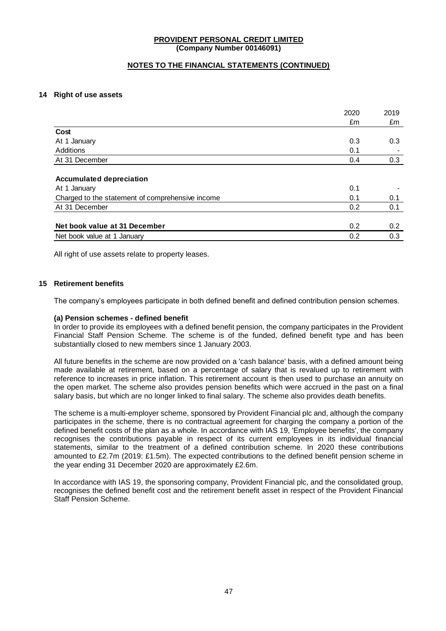### **NOTES TO THE FINANCIAL STATEMENTS (CONTINUED)**

### **14 Right of use assets**

|                                                  | 2020 | 2019          |
|--------------------------------------------------|------|---------------|
|                                                  | £m   | £m            |
| Cost                                             |      |               |
| At 1 January                                     | 0.3  | 0.3           |
| Additions                                        | 0.1  |               |
| At 31 December                                   | 0.4  | 0.3           |
|                                                  |      |               |
| <b>Accumulated depreciation</b>                  |      |               |
| At 1 January                                     | 0.1  |               |
| Charged to the statement of comprehensive income | 0.1  | 0.1           |
| At 31 December                                   | 0.2  | 0.1           |
|                                                  |      |               |
| Net book value at 31 December                    | 0.2  | $0.2^{\circ}$ |
| Net book value at 1 January                      | 0.2  | 0.3           |

All right of use assets relate to property leases.

### **15 Retirement benefits**

The company's employees participate in both defined benefit and defined contribution pension schemes.

#### **(a) Pension schemes - defined benefit**

In order to provide its employees with a defined benefit pension, the company participates in the Provident Financial Staff Pension Scheme. The scheme is of the funded, defined benefit type and has been substantially closed to new members since 1 January 2003.

All future benefits in the scheme are now provided on a 'cash balance' basis, with a defined amount being made available at retirement, based on a percentage of salary that is revalued up to retirement with reference to increases in price inflation. This retirement account is then used to purchase an annuity on the open market. The scheme also provides pension benefits which were accrued in the past on a final salary basis, but which are no longer linked to final salary. The scheme also provides death benefits.

The scheme is a multi-employer scheme, sponsored by Provident Financial plc and, although the company participates in the scheme, there is no contractual agreement for charging the company a portion of the defined benefit costs of the plan as a whole. In accordance with IAS 19, 'Employee benefits', the company recognises the contributions payable in respect of its current employees in its individual financial statements, similar to the treatment of a defined contribution scheme. In 2020 these contributions amounted to £2.7m (2019: £1.5m). The expected contributions to the defined benefit pension scheme in the year ending 31 December 2020 are approximately £2.6m.

In accordance with IAS 19, the sponsoring company, Provident Financial plc, and the consolidated group, recognises the defined benefit cost and the retirement benefit asset in respect of the Provident Financial Staff Pension Scheme.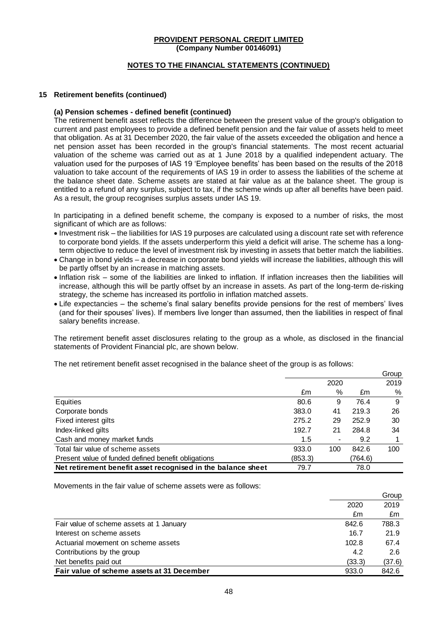### **NOTES TO THE FINANCIAL STATEMENTS (CONTINUED)**

#### **15 Retirement benefits (continued)**

### **(a) Pension schemes - defined benefit (continued)**

The retirement benefit asset reflects the difference between the present value of the group's obligation to current and past employees to provide a defined benefit pension and the fair value of assets held to meet that obligation. As at 31 December 2020, the fair value of the assets exceeded the obligation and hence a net pension asset has been recorded in the group's financial statements. The most recent actuarial valuation of the scheme was carried out as at 1 June 2018 by a qualified independent actuary. The valuation used for the purposes of IAS 19 'Employee benefits' has been based on the results of the 2018 valuation to take account of the requirements of IAS 19 in order to assess the liabilities of the scheme at the balance sheet date. Scheme assets are stated at fair value as at the balance sheet. The group is entitled to a refund of any surplus, subject to tax, if the scheme winds up after all benefits have been paid. As a result, the group recognises surplus assets under IAS 19.

In participating in a defined benefit scheme, the company is exposed to a number of risks, the most significant of which are as follows:

- Investment risk the liabilities for IAS 19 purposes are calculated using a discount rate set with reference to corporate bond yields. If the assets underperform this yield a deficit will arise. The scheme has a longterm objective to reduce the level of investment risk by investing in assets that better match the liabilities.
- Change in bond yields a decrease in corporate bond yields will increase the liabilities, although this will be partly offset by an increase in matching assets.
- Inflation risk some of the liabilities are linked to inflation. If inflation increases then the liabilities will increase, although this will be partly offset by an increase in assets. As part of the long-term de-risking strategy, the scheme has increased its portfolio in inflation matched assets.
- Life expectancies the scheme's final salary benefits provide pensions for the rest of members' lives (and for their spouses' lives). If members live longer than assumed, then the liabilities in respect of final salary benefits increase.

The retirement benefit asset disclosures relating to the group as a whole, as disclosed in the financial statements of Provident Financial plc, are shown below.

Group

 $\sim$ 

The net retirement benefit asset recognised in the balance sheet of the group is as follows:

|                                                              |         |      |         | <b>OIUUP</b> |
|--------------------------------------------------------------|---------|------|---------|--------------|
|                                                              |         | 2020 |         | 2019         |
|                                                              | £m      | $\%$ | £m      | $\%$         |
| Equities                                                     | 80.6    | 9    | 76.4    | 9            |
| Corporate bonds                                              | 383.0   | 41   | 219.3   | 26           |
| Fixed interest gilts                                         | 275.2   | 29   | 252.9   | 30           |
| Index-linked gilts                                           | 192.7   | 21   | 284.8   | 34           |
| Cash and money market funds                                  | 1.5     |      | 9.2     |              |
| Total fair value of scheme assets                            | 933.0   | 100  | 842.6   | 100          |
| Present value of funded defined benefit obligations          | (853.3) |      | (764.6) |              |
| Net retirement benefit asset recognised in the balance sheet | 79.7    |      | 78.0    |              |

Movements in the fair value of scheme assets were as follows:

|                                            |        | Group  |
|--------------------------------------------|--------|--------|
|                                            | 2020   | 2019   |
|                                            | £m     | £m     |
| Fair value of scheme assets at 1 January   | 842.6  | 788.3  |
| Interest on scheme assets                  | 16.7   | 21.9   |
| Actuarial movement on scheme assets        | 102.8  | 67.4   |
| Contributions by the group                 | 4.2    | 2.6    |
| Net benefits paid out                      | (33.3) | (37.6) |
| Fair value of scheme assets at 31 December | 933.0  | 842.6  |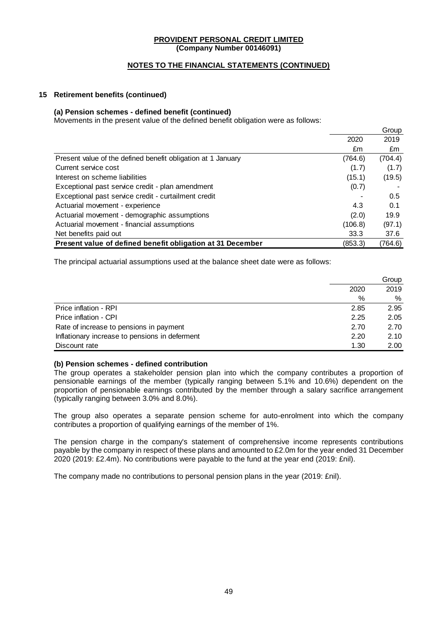### **NOTES TO THE FINANCIAL STATEMENTS (CONTINUED)**

### **15 Retirement benefits (continued)**

### **(a) Pension schemes - defined benefit (continued)**

Movements in the present value of the defined benefit obligation were as follows:

|                                                              |         | Group   |
|--------------------------------------------------------------|---------|---------|
|                                                              | 2020    | 2019    |
|                                                              | £m      | £m      |
| Present value of the defined benefit obligation at 1 January | (764.6) | (704.4) |
| Current service cost                                         | (1.7)   | (1.7)   |
| Interest on scheme liabilities                               | (15.1)  | (19.5)  |
| Exceptional past service credit - plan amendment             | (0.7)   |         |
| Exceptional past service credit - curtailment credit         |         | 0.5     |
| Actuarial movement - experience                              | 4.3     | 0.1     |
| Actuarial movement - demographic assumptions                 | (2.0)   | 19.9    |
| Actuarial movement - financial assumptions                   | (106.8) | (97.1)  |
| Net benefits paid out                                        | 33.3    | 37.6    |
| Present value of defined benefit obligation at 31 December   | (853.3) | (764.6) |

The principal actuarial assumptions used at the balance sheet date were as follows:

|                                                | Group |      |
|------------------------------------------------|-------|------|
|                                                | 2020  | 2019 |
|                                                | %     | %    |
| Price inflation - RPI                          | 2.85  | 2.95 |
| Price inflation - CPI                          | 2.25  | 2.05 |
| Rate of increase to pensions in payment        | 2.70  | 2.70 |
| Inflationary increase to pensions in deferment | 2.20  | 2.10 |
| Discount rate                                  | 1.30  | 2.00 |

#### **(b) Pension schemes - defined contribution**

The group operates a stakeholder pension plan into which the company contributes a proportion of pensionable earnings of the member (typically ranging between 5.1% and 10.6%) dependent on the proportion of pensionable earnings contributed by the member through a salary sacrifice arrangement (typically ranging between 3.0% and 8.0%).

The group also operates a separate pension scheme for auto-enrolment into which the company contributes a proportion of qualifying earnings of the member of 1%.

The pension charge in the company's statement of comprehensive income represents contributions payable by the company in respect of these plans and amounted to £2.0m for the year ended 31 December 2020 (2019: £2.4m). No contributions were payable to the fund at the year end (2019: £nil).

The company made no contributions to personal pension plans in the year (2019: £nil).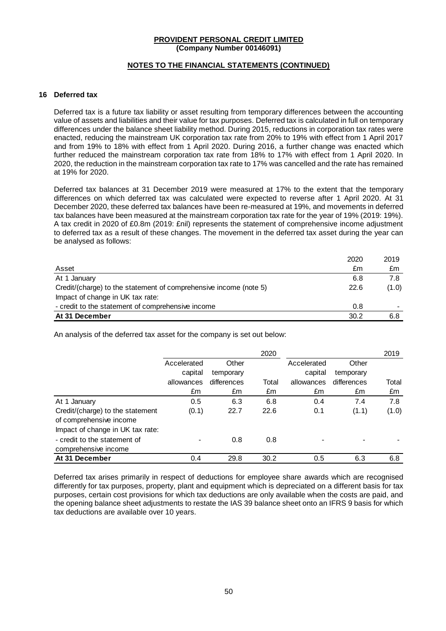### **NOTES TO THE FINANCIAL STATEMENTS (CONTINUED)**

#### **16 Deferred tax**

Deferred tax is a future tax liability or asset resulting from temporary differences between the accounting value of assets and liabilities and their value for tax purposes. Deferred tax is calculated in full on temporary differences under the balance sheet liability method. During 2015, reductions in corporation tax rates were enacted, reducing the mainstream UK corporation tax rate from 20% to 19% with effect from 1 April 2017 and from 19% to 18% with effect from 1 April 2020. During 2016, a further change was enacted which further reduced the mainstream corporation tax rate from 18% to 17% with effect from 1 April 2020. In 2020, the reduction in the mainstream corporation tax rate to 17% was cancelled and the rate has remained at 19% for 2020.

Deferred tax balances at 31 December 2019 were measured at 17% to the extent that the temporary differences on which deferred tax was calculated were expected to reverse after 1 April 2020. At 31 December 2020, these deferred tax balances have been re-measured at 19%, and movements in deferred tax balances have been measured at the mainstream corporation tax rate for the year of 19% (2019: 19%). A tax credit in 2020 of £0.8m (2019: £nil) represents the statement of comprehensive income adjustment to deferred tax as a result of these changes. The movement in the deferred tax asset during the year can be analysed as follows:

|                                                                   | 2020 | 2019  |
|-------------------------------------------------------------------|------|-------|
| Asset                                                             | £m   | £m    |
| At 1 January                                                      | 6.8  | 7.8   |
| Credit/(charge) to the statement of comprehensive income (note 5) | 22.6 | (1.0) |
| Impact of change in UK tax rate:                                  |      |       |
| - credit to the statement of comprehensive income                 | 0.8  | -     |
| At 31 December                                                    | 30.2 | 6.8   |

An analysis of the deferred tax asset for the company is set out below:

|                                                             |             |             | 2020  |             |             | 2019  |
|-------------------------------------------------------------|-------------|-------------|-------|-------------|-------------|-------|
|                                                             | Accelerated | Other       |       | Accelerated | Other       |       |
|                                                             | capital     | temporary   |       | capital     | temporary   |       |
|                                                             | allowances  | differences | Total | allowances  | differences | Total |
|                                                             | £m          | £m          | £m    | £m          | £m          | £m    |
| At 1 January                                                | 0.5         | 6.3         | 6.8   | 0.4         | 7.4         | 7.8   |
| Credit/(charge) to the statement<br>of comprehensive income | (0.1)       | 22.7        | 22.6  | 0.1         | (1.1)       | (1.0) |
| Impact of change in UK tax rate:                            |             |             |       |             |             |       |
| - credit to the statement of                                |             | 0.8         | 0.8   |             |             |       |
| comprehensive income                                        |             |             |       |             |             |       |
| At 31 December                                              | 0.4         | 29.8        | 30.2  | 0.5         | 6.3         | 6.8   |

Deferred tax arises primarily in respect of deductions for employee share awards which are recognised differently for tax purposes, property, plant and equipment which is depreciated on a different basis for tax purposes, certain cost provisions for which tax deductions are only available when the costs are paid, and the opening balance sheet adjustments to restate the IAS 39 balance sheet onto an IFRS 9 basis for which tax deductions are available over 10 years.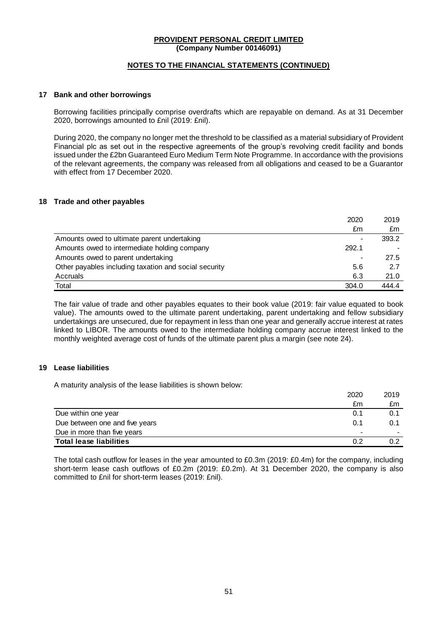### **NOTES TO THE FINANCIAL STATEMENTS (CONTINUED)**

#### **17 Bank and other borrowings**

Borrowing facilities principally comprise overdrafts which are repayable on demand. As at 31 December 2020, borrowings amounted to £nil (2019: £nil).

During 2020, the company no longer met the threshold to be classified as a material subsidiary of Provident Financial plc as set out in the respective agreements of the group's revolving credit facility and bonds issued under the £2bn Guaranteed Euro Medium Term Note Programme. In accordance with the provisions of the relevant agreements, the company was released from all obligations and ceased to be a Guarantor with effect from 17 December 2020.

### **18 Trade and other payables**

|                                                       | 2020  | 2019  |
|-------------------------------------------------------|-------|-------|
|                                                       | £m    | £m    |
| Amounts owed to ultimate parent undertaking           |       | 393.2 |
| Amounts owed to intermediate holding company          | 292.1 |       |
| Amounts owed to parent undertaking                    |       | 27.5  |
| Other payables including taxation and social security | 5.6   | 2.7   |
| Accruals                                              | 6.3   | 21.0  |
| Total                                                 | 304.0 | 444.4 |

The fair value of trade and other payables equates to their book value (2019: fair value equated to book value). The amounts owed to the ultimate parent undertaking, parent undertaking and fellow subsidiary undertakings are unsecured, due for repayment in less than one year and generally accrue interest at rates linked to LIBOR. The amounts owed to the intermediate holding company accrue interest linked to the monthly weighted average cost of funds of the ultimate parent plus a margin (see note 24).

#### **19 Lease liabilities**

A maturity analysis of the lease liabilities is shown below:

|                                | 2020 | 2019 |
|--------------------------------|------|------|
|                                | £m   | £m   |
| Due within one year            | 0.1  | 0.1  |
| Due between one and five years | 0.1  | 0.1  |
| Due in more than five years    |      |      |
| <b>Total lease liabilities</b> | 0.2  | 0.2  |

The total cash outflow for leases in the year amounted to £0.3m (2019: £0.4m) for the company, including short-term lease cash outflows of £0.2m (2019: £0.2m). At 31 December 2020, the company is also committed to £nil for short-term leases (2019: £nil).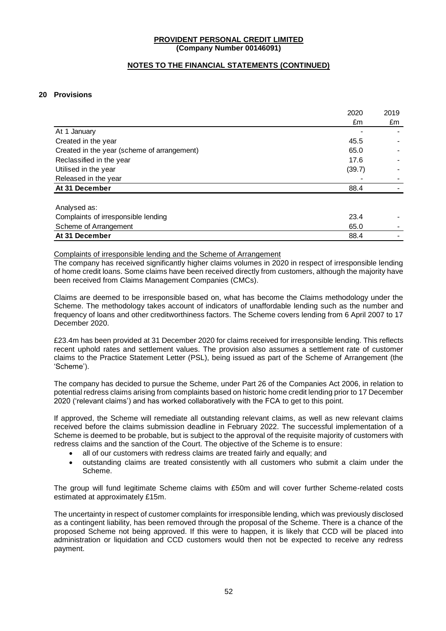### **NOTES TO THE FINANCIAL STATEMENTS (CONTINUED)**

### **20 Provisions**

|                                             | 2020   | 2019 |
|---------------------------------------------|--------|------|
|                                             | £m     | £m   |
| At 1 January                                |        |      |
| Created in the year                         | 45.5   |      |
| Created in the year (scheme of arrangement) | 65.0   |      |
| Reclassified in the year                    | 17.6   |      |
| Utilised in the year                        | (39.7) |      |
| Released in the year                        |        |      |
| At 31 December                              | 88.4   |      |
| Analysed as:                                |        |      |
| Complaints of irresponsible lending         | 23.4   |      |
| Scheme of Arrangement                       | 65.0   |      |
| At 31 December                              | 88.4   |      |

# Complaints of irresponsible lending and the Scheme of Arrangement

The company has received significantly higher claims volumes in 2020 in respect of irresponsible lending of home credit loans. Some claims have been received directly from customers, although the majority have been received from Claims Management Companies (CMCs).

Claims are deemed to be irresponsible based on, what has become the Claims methodology under the Scheme. The methodology takes account of indicators of unaffordable lending such as the number and frequency of loans and other creditworthiness factors. The Scheme covers lending from 6 April 2007 to 17 December 2020.

£23.4m has been provided at 31 December 2020 for claims received for irresponsible lending. This reflects recent uphold rates and settlement values. The provision also assumes a settlement rate of customer claims to the Practice Statement Letter (PSL), being issued as part of the Scheme of Arrangement (the 'Scheme').

The company has decided to pursue the Scheme, under Part 26 of the Companies Act 2006, in relation to potential redress claims arising from complaints based on historic home credit lending prior to 17 December 2020 ('relevant claims') and has worked collaboratively with the FCA to get to this point.

If approved, the Scheme will remediate all outstanding relevant claims, as well as new relevant claims received before the claims submission deadline in February 2022. The successful implementation of a Scheme is deemed to be probable, but is subject to the approval of the requisite majority of customers with redress claims and the sanction of the Court. The objective of the Scheme is to ensure:

- all of our customers with redress claims are treated fairly and equally; and
- outstanding claims are treated consistently with all customers who submit a claim under the Scheme.

The group will fund legitimate Scheme claims with £50m and will cover further Scheme-related costs estimated at approximately £15m.

The uncertainty in respect of customer complaints for irresponsible lending, which was previously disclosed as a contingent liability, has been removed through the proposal of the Scheme. There is a chance of the proposed Scheme not being approved. If this were to happen, it is likely that CCD will be placed into administration or liquidation and CCD customers would then not be expected to receive any redress payment.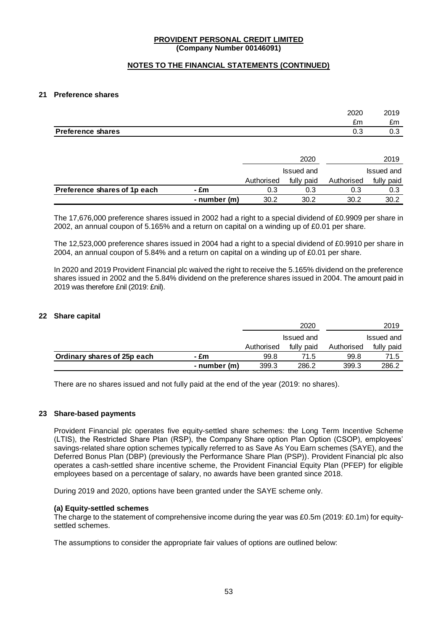### **NOTES TO THE FINANCIAL STATEMENTS (CONTINUED)**

#### **21 Preference shares**

|                          | 2020 | 2019 |
|--------------------------|------|------|
|                          | £m   | °m   |
| <b>Preference shares</b> | U.J  | 0.3  |

|                              |              | 2020       |            | 2019       |            |
|------------------------------|--------------|------------|------------|------------|------------|
|                              |              | Issued and |            | Issued and |            |
|                              |              | Authorised | fully paid | Authorised | fully paid |
| Preference shares of 1p each | - £m         | 0.3        | 0.3        | 0.3        | 0.3        |
|                              | - number (m) | 30.2       | 30.2       | 30.2       | 30.2       |

The 17,676,000 preference shares issued in 2002 had a right to a special dividend of £0,9909 per share in 2002, an annual coupon of 5.165% and a return on capital on a winding up of £0.01 per share.

The 12,523,000 preference shares issued in 2004 had a right to a special dividend of £0,9910 per share in 2004, an annual coupon of 5.84% and a return on capital on a winding up of £0.01 per share.

In 2020 and 2019 Provident Financial plc waived the right to receive the 5.165% dividend on the preference shares issued in 2002 and the 5.84% dividend on the preference shares issued in 2004. The amount paid in 2019 was therefore £nil (2019: £nil).

### **22 Share capital**

|                             |              |            | 2020       |            | 2019       |
|-----------------------------|--------------|------------|------------|------------|------------|
|                             |              | Issued and |            |            | Issued and |
|                             |              | Authorised | fully paid | Authorised | fully paid |
| Ordinary shares of 25p each | - £m         | 99.8       | 71.5       | 99.8       | 71.5       |
|                             | - number (m) | 399.3      | 286.2      | 399.3      | 286.2      |

There are no shares issued and not fully paid at the end of the year (2019: no shares).

#### **23 Share-based payments**

Provident Financial plc operates five equity-settled share schemes: the Long Term Incentive Scheme (LTIS), the Restricted Share Plan (RSP), the Company Share option Plan Option (CSOP), employees' savings-related share option schemes typically referred to as Save As You Earn schemes (SAYE), and the Deferred Bonus Plan (DBP) (previously the Performance Share Plan (PSP)). Provident Financial plc also operates a cash-settled share incentive scheme, the Provident Financial Equity Plan (PFEP) for eligible employees based on a percentage of salary, no awards have been granted since 2018.

During 2019 and 2020, options have been granted under the SAYE scheme only.

#### **(a) Equity-settled schemes**

The charge to the statement of comprehensive income during the year was £0.5m (2019: £0.1m) for equitysettled schemes.

The assumptions to consider the appropriate fair values of options are outlined below: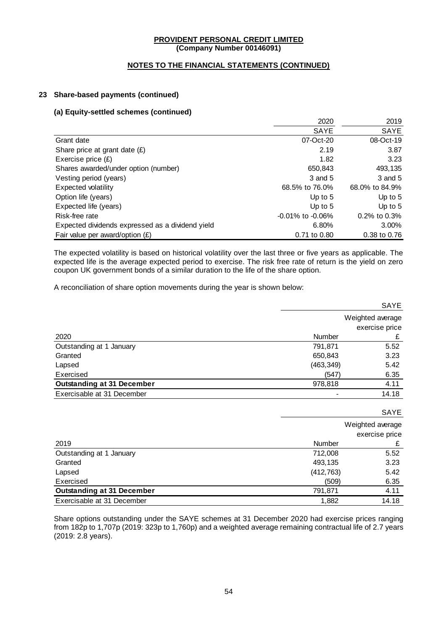### **NOTES TO THE FINANCIAL STATEMENTS (CONTINUED)**

### **23 Share-based payments (continued)**

### **(a) Equity-settled schemes (continued)**

|                                                  | 2020                   | 2019               |
|--------------------------------------------------|------------------------|--------------------|
|                                                  | <b>SAYE</b>            | SAYE               |
| Grant date                                       | 07-Oct-20              | 08-Oct-19          |
| Share price at grant date $(E)$                  | 2.19                   | 3.87               |
| Exercise price $(E)$                             | 1.82                   | 3.23               |
| Shares awarded/under option (number)             | 650,843                | 493,135            |
| Vesting period (years)                           | 3 and 5                | 3 and 5            |
| Expected volatility                              | 68.5% to 76.0%         | 68.0% to 84.9%     |
| Option life (years)                              | Up to $5$              | Up to $5$          |
| Expected life (years)                            | Up to $5$              | Up to $5$          |
| Risk-free rate                                   | $-0.01\%$ to $-0.06\%$ | $0.2\%$ to $0.3\%$ |
| Expected dividends expressed as a dividend yield | 6.80%                  | 3.00%              |
| Fair value per award/option $(E)$                | 0.71 to 0.80           | 0.38 to 0.76       |

The expected volatility is based on historical volatility over the last three or five years as applicable. The expected life is the average expected period to exercise. The risk free rate of return is the yield on zero coupon UK government bonds of a similar duration to the life of the share option.

A reconciliation of share option movements during the year is shown below:

|                                   |            | SAYE             |
|-----------------------------------|------------|------------------|
|                                   |            | Weighted average |
|                                   |            | exercise price   |
| 2020                              | Number     | £                |
| Outstanding at 1 January          | 791,871    | 5.52             |
| Granted                           | 650,843    | 3.23             |
| Lapsed                            | (463, 349) | 5.42             |
| Exercised                         | (547)      | 6.35             |
| <b>Outstanding at 31 December</b> | 978,818    | 4.11             |
| Exercisable at 31 December        | -          | 14.18            |
|                                   |            |                  |
|                                   |            | SAYE             |
|                                   |            | Weighted average |
|                                   |            | exercise price   |
| 2019                              | Number     | £                |
| Outstanding at 1 January          | 712,008    | 5.52             |
| Granted                           | 493,135    | 3.23             |
| Lapsed                            | (412, 763) | 5.42             |
| Exercised                         | (509)      | 6.35             |

Share options outstanding under the SAYE schemes at 31 December 2020 had exercise prices ranging from 182p to 1,707p (2019: 323p to 1,760p) and a weighted average remaining contractual life of 2.7 years (2019: 2.8 years).

**Outstanding at 31 December 191,871 191,871 191,871 191,871** Exercisable at 31 December 1,882 14.18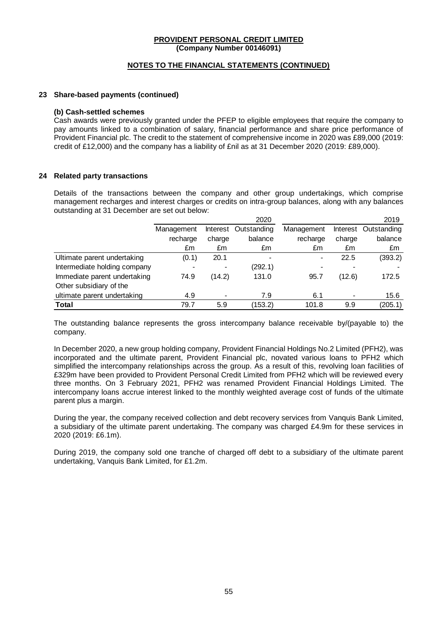#### **NOTES TO THE FINANCIAL STATEMENTS (CONTINUED)**

#### **23 Share-based payments (continued)**

#### **(b) Cash-settled schemes**

Cash awards were previously granted under the PFEP to eligible employees that require the company to pay amounts linked to a combination of salary, financial performance and share price performance of Provident Financial plc. The credit to the statement of comprehensive income in 2020 was £89,000 (2019: credit of £12,000) and the company has a liability of £nil as at 31 December 2020 (2019: £89,000).

### **24 Related party transactions**

Details of the transactions between the company and other group undertakings, which comprise management recharges and interest charges or credits on intra-group balances, along with any balances outstanding at 31 December are set out below:

|                              |            |        | 2020                     |                |        | 2019                 |
|------------------------------|------------|--------|--------------------------|----------------|--------|----------------------|
|                              | Management |        | Interest Outstanding     | Management     |        | Interest Outstanding |
|                              | recharge   | charge | balance                  | recharge       | charge | balance              |
|                              | £m         | £m     | £m                       | £m             | £m     | £m                   |
| Ultimate parent undertaking  | (0.1)      | 20.1   | $\overline{\phantom{0}}$ | $\blacksquare$ | 22.5   | (393.2)              |
| Intermediate holding company |            |        | (292.1)                  |                |        |                      |
| Immediate parent undertaking | 74.9       | (14.2) | 131.0                    | 95.7           | (12.6) | 172.5                |
| Other subsidiary of the      |            |        |                          |                |        |                      |
| ultimate parent undertaking  | 4.9        |        | 7.9                      | 6.1            |        | 15.6                 |
| Total                        | 79.7       | 5.9    | (153.2)                  | 101.8          | 9.9    | (205.1)              |

The outstanding balance represents the gross intercompany balance receivable by/(payable to) the company.

In December 2020, a new group holding company, Provident Financial Holdings No.2 Limited (PFH2), was incorporated and the ultimate parent, Provident Financial plc, novated various loans to PFH2 which simplified the intercompany relationships across the group. As a result of this, revolving loan facilities of £329m have been provided to Provident Personal Credit Limited from PFH2 which will be reviewed every three months. On 3 February 2021, PFH2 was renamed Provident Financial Holdings Limited. The intercompany loans accrue interest linked to the monthly weighted average cost of funds of the ultimate parent plus a margin.

During the year, the company received collection and debt recovery services from Vanquis Bank Limited, a subsidiary of the ultimate parent undertaking. The company was charged £4.9m for these services in 2020 (2019: £6.1m).

During 2019, the company sold one tranche of charged off debt to a subsidiary of the ultimate parent undertaking, Vanquis Bank Limited, for £1.2m.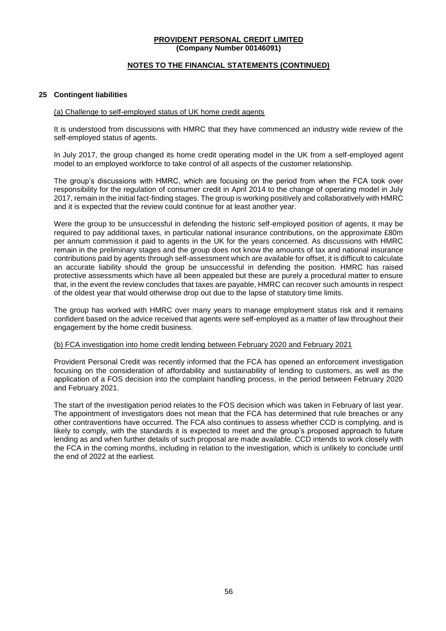### **NOTES TO THE FINANCIAL STATEMENTS (CONTINUED)**

#### **25 Contingent liabilities**

### (a) Challenge to self-employed status of UK home credit agents

It is understood from discussions with HMRC that they have commenced an industry wide review of the self-employed status of agents.

In July 2017, the group changed its home credit operating model in the UK from a self-employed agent model to an employed workforce to take control of all aspects of the customer relationship.

The group's discussions with HMRC, which are focusing on the period from when the FCA took over responsibility for the regulation of consumer credit in April 2014 to the change of operating model in July 2017, remain in the initial fact-finding stages. The group is working positively and collaboratively with HMRC and it is expected that the review could continue for at least another year.

Were the group to be unsuccessful in defending the historic self-employed position of agents, it may be required to pay additional taxes, in particular national insurance contributions, on the approximate £80m per annum commission it paid to agents in the UK for the years concerned. As discussions with HMRC remain in the preliminary stages and the group does not know the amounts of tax and national insurance contributions paid by agents through self-assessment which are available for offset, it is difficult to calculate an accurate liability should the group be unsuccessful in defending the position. HMRC has raised protective assessments which have all been appealed but these are purely a procedural matter to ensure that, in the event the review concludes that taxes are payable, HMRC can recover such amounts in respect of the oldest year that would otherwise drop out due to the lapse of statutory time limits.

The group has worked with HMRC over many years to manage employment status risk and it remains confident based on the advice received that agents were self-employed as a matter of law throughout their engagement by the home credit business.

#### (b) FCA investigation into home credit lending between February 2020 and February 2021

Provident Personal Credit was recently informed that the FCA has opened an enforcement investigation focusing on the consideration of affordability and sustainability of lending to customers, as well as the application of a FOS decision into the complaint handling process, in the period between February 2020 and February 2021.

The start of the investigation period relates to the FOS decision which was taken in February of last year. The appointment of investigators does not mean that the FCA has determined that rule breaches or any other contraventions have occurred. The FCA also continues to assess whether CCD is complying, and is likely to comply, with the standards it is expected to meet and the group's proposed approach to future lending as and when further details of such proposal are made available. CCD intends to work closely with the FCA in the coming months, including in relation to the investigation, which is unlikely to conclude until the end of 2022 at the earliest.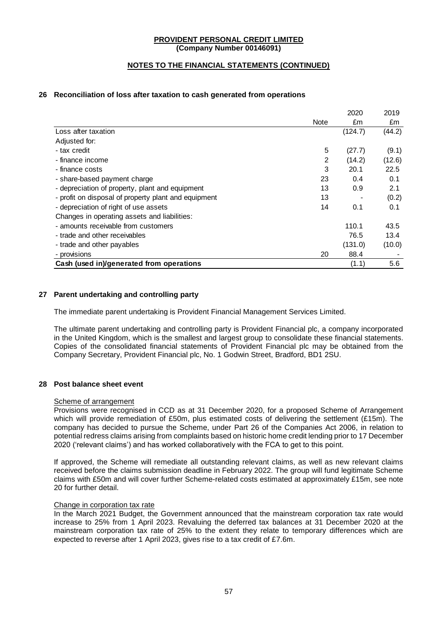### **NOTES TO THE FINANCIAL STATEMENTS (CONTINUED)**

### **26 Reconciliation of loss after taxation to cash generated from operations**

|                                                      |      | 2020    | 2019   |
|------------------------------------------------------|------|---------|--------|
|                                                      | Note | £m      | £m     |
| Loss after taxation                                  |      | (124.7) | (44.2) |
| Adjusted for:                                        |      |         |        |
| - tax credit                                         | 5    | (27.7)  | (9.1)  |
| - finance income                                     | 2    | (14.2)  | (12.6) |
| - finance costs                                      | 3    | 20.1    | 22.5   |
| - share-based payment charge                         | 23   | 0.4     | 0.1    |
| - depreciation of property, plant and equipment      | 13   | 0.9     | 2.1    |
| - profit on disposal of property plant and equipment | 13   |         | (0.2)  |
| - depreciation of right of use assets                | 14   | 0.1     | 0.1    |
| Changes in operating assets and liabilities:         |      |         |        |
| - amounts receivable from customers                  |      | 110.1   | 43.5   |
| - trade and other receivables                        |      | 76.5    | 13.4   |
| - trade and other payables                           |      | (131.0) | (10.0) |
| - provisions                                         | 20   | 88.4    |        |
| Cash (used in)/generated from operations             |      | (1.1)   | 5.6    |

### **27 Parent undertaking and controlling party**

The immediate parent undertaking is Provident Financial Management Services Limited.

The ultimate parent undertaking and controlling party is Provident Financial plc, a company incorporated in the United Kingdom, which is the smallest and largest group to consolidate these financial statements. Copies of the consolidated financial statements of Provident Financial plc may be obtained from the Company Secretary, Provident Financial plc, No. 1 Godwin Street, Bradford, BD1 2SU.

#### **28 Post balance sheet event**

#### Scheme of arrangement

Provisions were recognised in CCD as at 31 December 2020, for a proposed Scheme of Arrangement which will provide remediation of £50m, plus estimated costs of delivering the settlement (£15m). The company has decided to pursue the Scheme, under Part 26 of the Companies Act 2006, in relation to potential redress claims arising from complaints based on historic home credit lending prior to 17 December 2020 ('relevant claims') and has worked collaboratively with the FCA to get to this point.

If approved, the Scheme will remediate all outstanding relevant claims, as well as new relevant claims received before the claims submission deadline in February 2022. The group will fund legitimate Scheme claims with £50m and will cover further Scheme-related costs estimated at approximately £15m, see note 20 for further detail.

#### Change in corporation tax rate

In the March 2021 Budget, the Government announced that the mainstream corporation tax rate would increase to 25% from 1 April 2023. Revaluing the deferred tax balances at 31 December 2020 at the mainstream corporation tax rate of 25% to the extent they relate to temporary differences which are expected to reverse after 1 April 2023, gives rise to a tax credit of £7.6m.